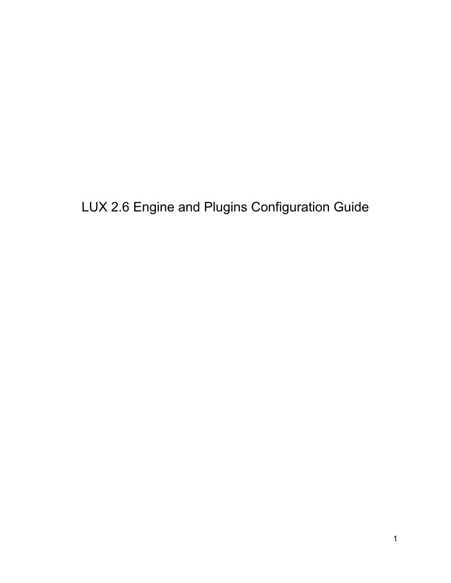LUX 2.6 Engine and Plugins Configuration Guide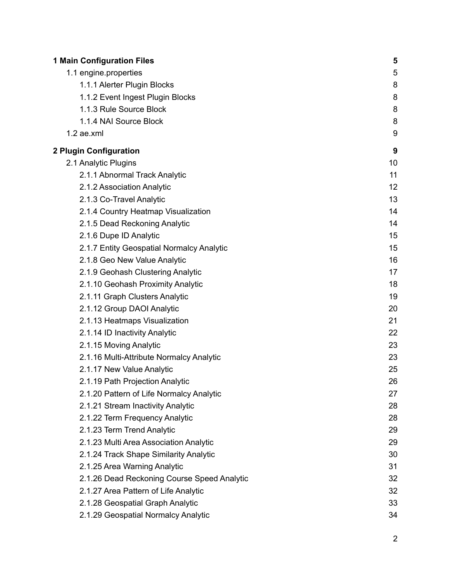| <b>1 Main Configuration Files</b>           | 5  |
|---------------------------------------------|----|
| 1.1 engine.properties                       | 5  |
| 1.1.1 Alerter Plugin Blocks                 | 8  |
| 1.1.2 Event Ingest Plugin Blocks            | 8  |
| 1.1.3 Rule Source Block                     | 8  |
| 1.1.4 NAI Source Block                      | 8  |
| $1.2$ ae.xml                                | 9  |
| 2 Plugin Configuration                      | 9  |
| 2.1 Analytic Plugins                        | 10 |
| 2.1.1 Abnormal Track Analytic               | 11 |
| 2.1.2 Association Analytic                  | 12 |
| 2.1.3 Co-Travel Analytic                    | 13 |
| 2.1.4 Country Heatmap Visualization         | 14 |
| 2.1.5 Dead Reckoning Analytic               | 14 |
| 2.1.6 Dupe ID Analytic                      | 15 |
| 2.1.7 Entity Geospatial Normalcy Analytic   | 15 |
| 2.1.8 Geo New Value Analytic                | 16 |
| 2.1.9 Geohash Clustering Analytic           | 17 |
| 2.1.10 Geohash Proximity Analytic           | 18 |
| 2.1.11 Graph Clusters Analytic              | 19 |
| 2.1.12 Group DAOI Analytic                  | 20 |
| 2.1.13 Heatmaps Visualization               | 21 |
| 2.1.14 ID Inactivity Analytic               | 22 |
| 2.1.15 Moving Analytic                      | 23 |
| 2.1.16 Multi-Attribute Normalcy Analytic    | 23 |
| 2.1.17 New Value Analytic                   | 25 |
| 2.1.19 Path Projection Analytic             | 26 |
| 2.1.20 Pattern of Life Normalcy Analytic    | 27 |
| 2.1.21 Stream Inactivity Analytic           | 28 |
| 2.1.22 Term Frequency Analytic              | 28 |
| 2.1.23 Term Trend Analytic                  | 29 |
| 2.1.23 Multi Area Association Analytic      | 29 |
| 2.1.24 Track Shape Similarity Analytic      | 30 |
| 2.1.25 Area Warning Analytic                | 31 |
| 2.1.26 Dead Reckoning Course Speed Analytic | 32 |
| 2.1.27 Area Pattern of Life Analytic        | 32 |
| 2.1.28 Geospatial Graph Analytic            | 33 |
| 2.1.29 Geospatial Normalcy Analytic         | 34 |
|                                             | 2  |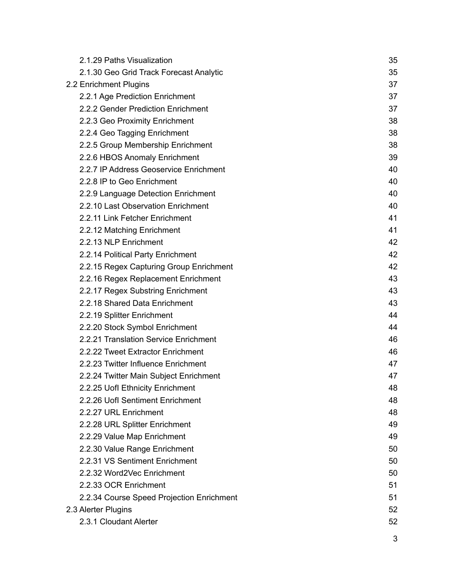| 2.1.29 Paths Visualization                | 35 |
|-------------------------------------------|----|
| 2.1.30 Geo Grid Track Forecast Analytic   | 35 |
| 2.2 Enrichment Plugins                    | 37 |
| 2.2.1 Age Prediction Enrichment           | 37 |
| 2.2.2 Gender Prediction Enrichment        | 37 |
| 2.2.3 Geo Proximity Enrichment            | 38 |
| 2.2.4 Geo Tagging Enrichment              | 38 |
| 2.2.5 Group Membership Enrichment         | 38 |
| 2.2.6 HBOS Anomaly Enrichment             | 39 |
| 2.2.7 IP Address Geoservice Enrichment    | 40 |
| 2.2.8 IP to Geo Enrichment                | 40 |
| 2.2.9 Language Detection Enrichment       | 40 |
| 2.2.10 Last Observation Enrichment        | 40 |
| 2.2.11 Link Fetcher Enrichment            | 41 |
| 2.2.12 Matching Enrichment                | 41 |
| 2.2.13 NLP Enrichment                     | 42 |
| 2.2.14 Political Party Enrichment         | 42 |
| 2.2.15 Regex Capturing Group Enrichment   | 42 |
| 2.2.16 Regex Replacement Enrichment       | 43 |
| 2.2.17 Regex Substring Enrichment         | 43 |
| 2.2.18 Shared Data Enrichment             | 43 |
| 2.2.19 Splitter Enrichment                | 44 |
| 2.2.20 Stock Symbol Enrichment            | 44 |
| 2.2.21 Translation Service Enrichment     | 46 |
| 2.2.22 Tweet Extractor Enrichment         | 46 |
| 2.2.23 Twitter Influence Enrichment       | 47 |
| 2.2.24 Twitter Main Subject Enrichment    | 47 |
| 2.2.25 Uofl Ethnicity Enrichment          | 48 |
| 2.2.26 Uofl Sentiment Enrichment          | 48 |
| 2.2.27 URL Enrichment                     | 48 |
| 2.2.28 URL Splitter Enrichment            | 49 |
| 2.2.29 Value Map Enrichment               | 49 |
| 2.2.30 Value Range Enrichment             | 50 |
| 2.2.31 VS Sentiment Enrichment            | 50 |
| 2.2.32 Word2Vec Enrichment                | 50 |
| 2.2.33 OCR Enrichment                     | 51 |
| 2.2.34 Course Speed Projection Enrichment | 51 |
| 2.3 Alerter Plugins                       | 52 |
| 2.3.1 Cloudant Alerter                    | 52 |
|                                           | 3  |
|                                           |    |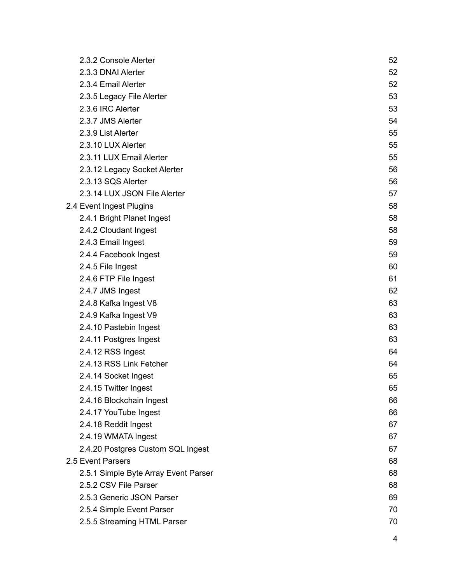| 2.3.2 Console Alerter                | 52 |
|--------------------------------------|----|
| 2.3.3 DNAI Alerter                   | 52 |
| 2.3.4 Email Alerter                  | 52 |
| 2.3.5 Legacy File Alerter            | 53 |
| 2.3.6 IRC Alerter                    | 53 |
| 2.3.7 JMS Alerter                    | 54 |
| 2.3.9 List Alerter                   | 55 |
| 2.3.10 LUX Alerter                   | 55 |
| 2.3.11 LUX Email Alerter             | 55 |
| 2.3.12 Legacy Socket Alerter         | 56 |
| 2.3.13 SQS Alerter                   | 56 |
| 2.3.14 LUX JSON File Alerter         | 57 |
| 2.4 Event Ingest Plugins             | 58 |
| 2.4.1 Bright Planet Ingest           | 58 |
| 2.4.2 Cloudant Ingest                | 58 |
| 2.4.3 Email Ingest                   | 59 |
| 2.4.4 Facebook Ingest                | 59 |
| 2.4.5 File Ingest                    | 60 |
| 2.4.6 FTP File Ingest                | 61 |
| 2.4.7 JMS Ingest                     | 62 |
| 2.4.8 Kafka Ingest V8                | 63 |
| 2.4.9 Kafka Ingest V9                | 63 |
| 2.4.10 Pastebin Ingest               | 63 |
| 2.4.11 Postgres Ingest               | 63 |
| 2.4.12 RSS Ingest                    | 64 |
| 2.4.13 RSS Link Fetcher              | 64 |
| 2.4.14 Socket Ingest                 | 65 |
| 2.4.15 Twitter Ingest                | 65 |
| 2.4.16 Blockchain Ingest             | 66 |
| 2.4.17 YouTube Ingest                | 66 |
| 2.4.18 Reddit Ingest                 | 67 |
| 2.4.19 WMATA Ingest                  | 67 |
| 2.4.20 Postgres Custom SQL Ingest    | 67 |
| 2.5 Event Parsers                    | 68 |
| 2.5.1 Simple Byte Array Event Parser | 68 |
| 2.5.2 CSV File Parser                | 68 |
| 2.5.3 Generic JSON Parser            | 69 |
| 2.5.4 Simple Event Parser            | 70 |
| 2.5.5 Streaming HTML Parser          | 70 |
|                                      | 4  |
|                                      |    |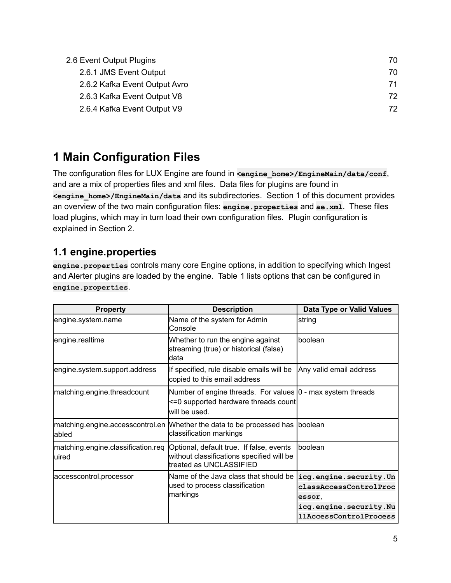| 2.6 Event Output Plugins      | 70 |
|-------------------------------|----|
| 2.6.1 JMS Event Output        | 70 |
| 2.6.2 Kafka Event Output Avro | 71 |
| 2.6.3 Kafka Event Output V8   | 72 |
| 2.6.4 Kafka Event Output V9   | 72 |

# <span id="page-4-0"></span>**1 Main Configuration Files**

The configuration files for LUX Engine are found in <engine home>/EngineMain/data/conf, and are a mix of properties files and xml files. Data files for plugins are found in **<engine\_home>/EngineMain/data** and its subdirectories. Section 1 of this document provides an overview of the two main configuration files: **engine.properties** and **ae.xml**. These files load plugins, which may in turn load their own configuration files. Plugin configuration is explained in Section 2.

# <span id="page-4-1"></span>**1.1 engine.properties**

**engine.properties** controls many core Engine options, in addition to specifying which Ingest and Alerter plugins are loaded by the engine. Table 1 lists options that can be configured in **engine.properties**.

| <b>Property</b>                              | <b>Description</b>                                                                                                     | Data Type or Valid Values                                                                                             |
|----------------------------------------------|------------------------------------------------------------------------------------------------------------------------|-----------------------------------------------------------------------------------------------------------------------|
| engine.system.name                           | Name of the system for Admin<br>Console                                                                                | string                                                                                                                |
| engine.realtime                              | Whether to run the engine against<br>streaming (true) or historical (false)<br>ldata                                   | boolean                                                                                                               |
| engine.system.support.address                | If specified, rule disable emails will be<br>copied to this email address                                              | Any valid email address                                                                                               |
| matching.engine.threadcount                  | Number of engine threads. For values  0 - max system threads<br><=0 supported hardware threads count<br>lwill be used. |                                                                                                                       |
| matching.engine.accesscontrol.en<br>labled   | Whether the data to be processed has<br>classification markings                                                        | Iboolean                                                                                                              |
| matching.engine.classification.req<br>luired | Optional, default true. If false, events<br>without classifications specified will be<br>ltreated as UNCLASSIFIED      | <b>Iboolean</b>                                                                                                       |
| accesscontrol.processor                      | Name of the Java class that should be<br>used to process classification<br>markings                                    | icg.engine.security.Un<br>classAccessControlProc<br>essor.<br>icg.engine.security.Nu<br><i>llAccessControlProcess</i> |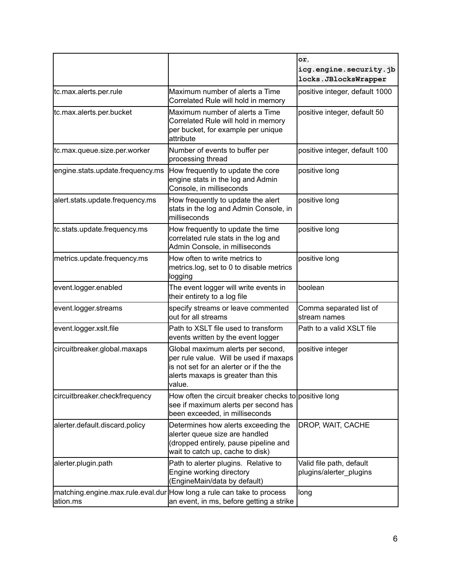|                                  |                                                                                                                                                                          | or,<br>icg.engine.security.jb<br>locks.JBlocksWrapper |
|----------------------------------|--------------------------------------------------------------------------------------------------------------------------------------------------------------------------|-------------------------------------------------------|
| tc.max.alerts.per.rule           | Maximum number of alerts a Time<br>Correlated Rule will hold in memory                                                                                                   | positive integer, default 1000                        |
| tc.max.alerts.per.bucket         | Maximum number of alerts a Time<br>Correlated Rule will hold in memory<br>per bucket, for example per unique<br>attribute                                                | positive integer, default 50                          |
| tc.max.queue.size.per.worker     | Number of events to buffer per<br>processing thread                                                                                                                      | positive integer, default 100                         |
| engine.stats.update.frequency.ms | How frequently to update the core<br>engine stats in the log and Admin<br>Console, in milliseconds                                                                       | positive long                                         |
| alert.stats.update.frequency.ms  | How frequently to update the alert<br>stats in the log and Admin Console, in<br>milliseconds                                                                             | positive long                                         |
| tc.stats.update.frequency.ms     | How frequently to update the time<br>correlated rule stats in the log and<br>Admin Console, in milliseconds                                                              | positive long                                         |
| metrics.update.frequency.ms      | How often to write metrics to<br>metrics log, set to 0 to disable metrics<br>logging                                                                                     | positive long                                         |
| event.logger.enabled             | The event logger will write events in<br>their entirety to a log file                                                                                                    | boolean                                               |
| event.logger.streams             | specify streams or leave commented<br>out for all streams                                                                                                                | Comma separated list of<br>stream names               |
| event.logger.xslt.file           | Path to XSLT file used to transform<br>events written by the event logger                                                                                                | Path to a valid XSLT file                             |
| circuitbreaker.global.maxaps     | Global maximum alerts per second,<br>per rule value. Will be used if maxaps<br>lis not set for an alerter or if the the<br>alerts maxaps is greater than this<br>lvalue. | positive integer                                      |
| circuitbreaker.checkfrequency    | How often the circuit breaker checks to positive long<br>see if maximum alerts per second has<br>been exceeded, in milliseconds                                          |                                                       |
| alerter.default.discard.policy   | Determines how alerts exceeding the<br>alerter queue size are handled<br>(dropped entirely, pause pipeline and<br>wait to catch up, cache to disk)                       | DROP, WAIT, CACHE                                     |
| alerter.plugin.path              | Path to alerter plugins. Relative to<br>Engine working directory<br>(EngineMain/data by default)                                                                         | Valid file path, default<br>plugins/alerter plugins   |
| ation.ms                         | matching.engine.max.rule.eval.dur How long a rule can take to process<br>an event, in ms, before getting a strike                                                        | long                                                  |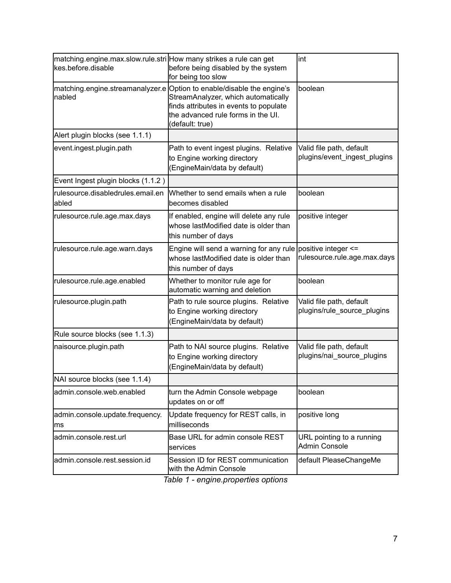| matching.engine.max.slow.rule.stri How many strikes a rule can get<br>kes.before.disable | before being disabled by the system<br>for being too slow                                                                                                                                                        | lint                                                     |
|------------------------------------------------------------------------------------------|------------------------------------------------------------------------------------------------------------------------------------------------------------------------------------------------------------------|----------------------------------------------------------|
| nabled                                                                                   | matching.engine.streamanalyzer.e Option to enable/disable the engine's<br>StreamAnalyzer, which automatically<br>finds attributes in events to populate<br>the advanced rule forms in the UI.<br>(default: true) | boolean                                                  |
| Alert plugin blocks (see 1.1.1)                                                          |                                                                                                                                                                                                                  |                                                          |
| event.ingest.plugin.path                                                                 | Path to event ingest plugins. Relative<br>to Engine working directory<br>(EngineMain/data by default)                                                                                                            | Valid file path, default<br>plugins/event_ingest_plugins |
| Event Ingest plugin blocks (1.1.2)                                                       |                                                                                                                                                                                                                  |                                                          |
| rulesource.disabledrules.email.en<br>abled                                               | Whether to send emails when a rule<br>becomes disabled                                                                                                                                                           | boolean                                                  |
| rulesource.rule.age.max.days                                                             | If enabled, engine will delete any rule<br>whose lastModified date is older than<br>this number of days                                                                                                          | positive integer                                         |
| rulesource.rule.age.warn.days                                                            | Engine will send a warning for any rule positive integer $\le$ =<br>whose lastModified date is older than<br>this number of days                                                                                 | rulesource.rule.age.max.days                             |
| rulesource.rule.age.enabled                                                              | Whether to monitor rule age for<br>automatic warning and deletion                                                                                                                                                | boolean                                                  |
| rulesource.plugin.path                                                                   | Path to rule source plugins. Relative<br>to Engine working directory<br>(EngineMain/data by default)                                                                                                             | Valid file path, default<br>plugins/rule_source_plugins  |
| Rule source blocks (see 1.1.3)                                                           |                                                                                                                                                                                                                  |                                                          |
| naisource.plugin.path                                                                    | Path to NAI source plugins. Relative<br>to Engine working directory<br>(EngineMain/data by default)                                                                                                              | Valid file path, default<br>plugins/nai source plugins   |
| NAI source blocks (see 1.1.4)                                                            |                                                                                                                                                                                                                  |                                                          |
| admin.console.web.enabled                                                                | turn the Admin Console webpage<br>updates on or off                                                                                                                                                              | boolean                                                  |
| admin.console.update.frequency.<br>ms                                                    | Update frequency for REST calls, in<br>milliseconds                                                                                                                                                              | positive long                                            |
| admin.console.rest.url                                                                   | Base URL for admin console REST<br>lservices                                                                                                                                                                     | URL pointing to a running<br><b>Admin Console</b>        |
| admin.console.rest.session.id                                                            | Session ID for REST communication<br>with the Admin Console                                                                                                                                                      | default PleaseChangeMe                                   |

*Table 1 - engine.properties options*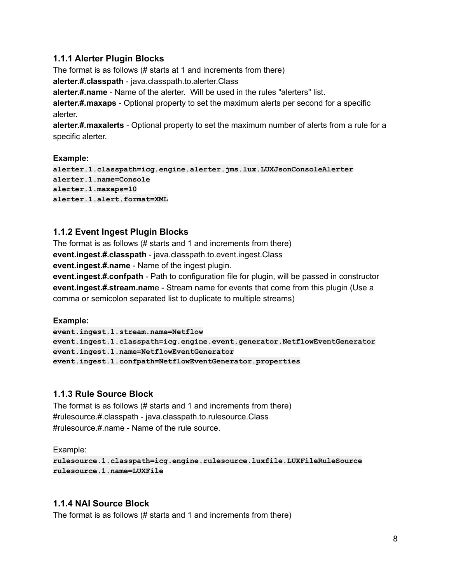### <span id="page-7-0"></span>**1.1.1 Alerter Plugin Blocks**

The format is as follows (# starts at 1 and increments from there) **alerter.#.classpath** - java.classpath.to.alerter.Class **alerter.#.name** - Name of the alerter. Will be used in the rules "alerters" list. **alerter.#.maxaps** - Optional property to set the maximum alerts per second for a specific alerter. **alerter.#.maxalerts** - Optional property to set the maximum number of alerts from a rule for a

**Example:**

specific alerter.

```
alerter.1.classpath=icg.engine.alerter.jms.lux.LUXJsonConsoleAlerter
alerter.1.name=Console
alerter.1.maxaps=10
alerter.1.alert.format=XML
```
### <span id="page-7-1"></span>**1.1.2 Event Ingest Plugin Blocks**

The format is as follows (# starts and 1 and increments from there) **event.ingest.#.classpath** - java.classpath.to.event.ingest.Class **event.ingest.#.name** - Name of the ingest plugin.

**event.ingest.#.confpath** - Path to configuration file for plugin, will be passed in constructor **event.ingest.#.stream.nam**e - Stream name for events that come from this plugin (Use a comma or semicolon separated list to duplicate to multiple streams)

**Example:**

```
event.ingest.1.stream.name=Netflow
event.ingest.1.classpath=icg.engine.event.generator.NetflowEventGenerator
event.ingest.1.name=NetflowEventGenerator
event.ingest.1.confpath=NetflowEventGenerator.properties
```
### <span id="page-7-2"></span>**1.1.3 Rule Source Block**

The format is as follows (# starts and 1 and increments from there) #rulesource.#.classpath - java.classpath.to.rulesource.Class #rulesource.#.name - Name of the rule source.

Example:

```
rulesource.1.classpath=icg.engine.rulesource.luxfile.LUXFileRuleSource
rulesource.1.name=LUXFile
```
#### <span id="page-7-3"></span>**1.1.4 NAI Source Block**

The format is as follows (# starts and 1 and increments from there)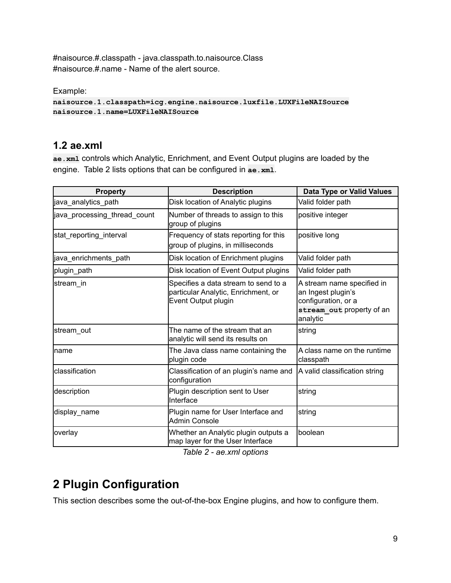#naisource.#.classpath - java.classpath.to.naisource.Class #naisource.#.name - Name of the alert source.

Example:

**naisource.1.classpath=icg.engine.naisource.luxfile.LUXFileNAISource naisource.1.name=LUXFileNAISource**

# <span id="page-8-0"></span>**1.2 ae.xml**

**ae.xml** controls which Analytic, Enrichment, and Event Output plugins are loaded by the engine. Table 2 lists options that can be configured in **ae.xml**.

| <b>Property</b>              | <b>Description</b>                                                                                 | Data Type or Valid Values                                                                                        |
|------------------------------|----------------------------------------------------------------------------------------------------|------------------------------------------------------------------------------------------------------------------|
| java_analytics_path          | Disk location of Analytic plugins                                                                  | Valid folder path                                                                                                |
| java_processing_thread_count | Number of threads to assign to this<br>group of plugins                                            | positive integer                                                                                                 |
| stat_reporting_interval      | Frequency of stats reporting for this<br>group of plugins, in milliseconds                         | positive long                                                                                                    |
| java_enrichments_path        | Disk location of Enrichment plugins                                                                | Valid folder path                                                                                                |
| plugin_path                  | Disk location of Event Output plugins                                                              | Valid folder path                                                                                                |
| stream in                    | Specifies a data stream to send to a<br>particular Analytic, Enrichment, or<br>Event Output plugin | A stream name specified in<br>an Ingest plugin's<br>configuration, or a<br>stream out property of an<br>analytic |
| stream out                   | The name of the stream that an<br>analytic will send its results on                                | string                                                                                                           |
| Iname                        | The Java class name containing the<br>plugin code                                                  | A class name on the runtime<br>classpath                                                                         |
| Iclassification              | Classification of an plugin's name and<br>configuration                                            | A valid classification string                                                                                    |
| description                  | Plugin description sent to User<br>Interface                                                       | string                                                                                                           |
| display_name                 | Plugin name for User Interface and<br><b>Admin Console</b>                                         | string                                                                                                           |
| overlay                      | Whether an Analytic plugin outputs a<br>map layer for the User Interface                           | boolean                                                                                                          |

*Table 2 - ae.xml options*

# <span id="page-8-1"></span>**2 Plugin Configuration**

This section describes some the out-of-the-box Engine plugins, and how to configure them.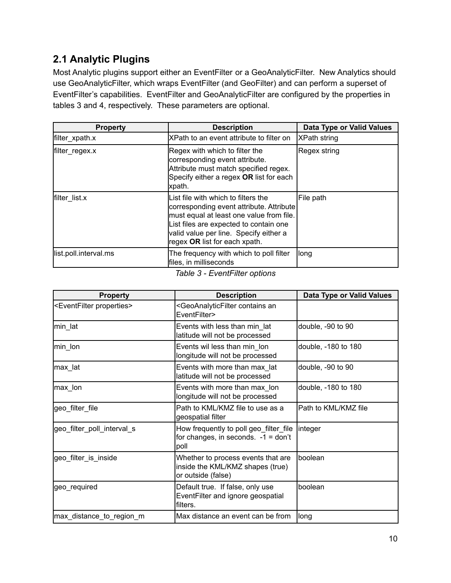# <span id="page-9-0"></span>**2.1 Analytic Plugins**

Most Analytic plugins support either an EventFilter or a GeoAnalyticFilter. New Analytics should use GeoAnalyticFilter, which wraps EventFilter (and GeoFilter) and can perform a superset of EventFilter's capabilities. EventFilter and GeoAnalyticFilter are configured by the properties in tables 3 and 4, respectively. These parameters are optional.

| <b>Property</b>       | <b>Description</b>                                                                                                                                                                                                                               | Data Type or Valid Values |
|-----------------------|--------------------------------------------------------------------------------------------------------------------------------------------------------------------------------------------------------------------------------------------------|---------------------------|
| filter_xpath.x        | XPath to an event attribute to filter on                                                                                                                                                                                                         | <b>XPath string</b>       |
| filter_regex.x        | Regex with which to filter the<br>corresponding event attribute.<br>Attribute must match specified regex.<br>Specify either a regex OR list for each<br>xpath.                                                                                   | Regex string              |
| filter list.x         | List file with which to filters the<br>corresponding event attribute. Attribute<br>must equal at least one value from file.<br>List files are expected to contain one<br>valid value per line. Specify either a<br>regex OR list for each xpath. | File path                 |
| list.poll.interval.ms | The frequency with which to poll filter<br>files, in milliseconds                                                                                                                                                                                | llong                     |

*Table 3 - EventFilter options*

| <b>Property</b>                           | <b>Description</b>                                                                           | Data Type or Valid Values |
|-------------------------------------------|----------------------------------------------------------------------------------------------|---------------------------|
| <eventfilter properties=""></eventfilter> | <geoanalyticfilter an<br="" contains="">EventFilter&gt;</geoanalyticfilter>                  |                           |
| min_lat                                   | Events with less than min_lat<br>latitude will not be processed                              | double, -90 to 90         |
| min_lon                                   | Events wil less than min lon<br>longitude will not be processed                              | double, -180 to 180       |
| max lat                                   | Events with more than max_lat<br>latitude will not be processed                              | double, -90 to 90         |
| max_lon                                   | Events with more than max_lon<br>longitude will not be processed                             | double, -180 to 180       |
| geo_filter_file                           | Path to KML/KMZ file to use as a<br>geospatial filter                                        | Path to KML/KMZ file      |
| geo_filter_poll_interval_s                | How frequently to poll geo_filter_file<br>for changes, in seconds. $-1 = don't$<br>poll      | <i>integer</i>            |
| geo_filter_is_inside                      | Whether to process events that are<br>inside the KML/KMZ shapes (true)<br>or outside (false) | boolean                   |
| geo_required                              | Default true. If false, only use<br>EventFilter and ignore geospatial<br>filters.            | boolean                   |
| max_distance_to_region_m                  | Max distance an event can be from                                                            | long                      |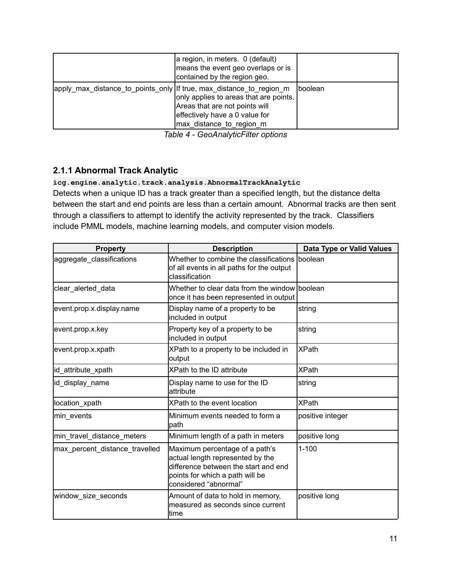|                                                                     | a region, in meters. 0 (default)<br>means the event geo overlaps or is<br>contained by the region geo.                                 |                |
|---------------------------------------------------------------------|----------------------------------------------------------------------------------------------------------------------------------------|----------------|
| apply max distance to points only If true, max distance to region m | only applies to areas that are points.<br>Areas that are not points will<br>effectively have a 0 value for<br>max distance to region m | <b>boolean</b> |

*Table 4 - GeoAnalyticFilter options*

### <span id="page-10-0"></span>**2.1.1 Abnormal Track Analytic**

#### **icg.engine.analytic.track.analysis.AbnormalTrackAnalytic**

Detects when a unique ID has a track greater than a specified length, but the distance delta between the start and end points are less than a certain amount. Abnormal tracks are then sent through a classifiers to attempt to identify the activity represented by the track. Classifiers include PMML models, machine learning models, and computer vision models.

| <b>Property</b>                | <b>Description</b>                                                                                                                                                     | Data Type or Valid Values |
|--------------------------------|------------------------------------------------------------------------------------------------------------------------------------------------------------------------|---------------------------|
| aggregate_classifications      | Whether to combine the classifications boolean<br>of all events in all paths for the output<br>classification                                                          |                           |
| clear alerted data             | Whether to clear data from the window boolean<br>once it has been represented in output                                                                                |                           |
| event.prop.x.display.name      | Display name of a property to be<br>included in output                                                                                                                 | string                    |
| event.prop.x.key               | Property key of a property to be<br>included in output                                                                                                                 | string                    |
| event.prop.x.xpath             | XPath to a property to be included in<br>output                                                                                                                        | <b>IXPath</b>             |
| id attribute xpath             | XPath to the ID attribute                                                                                                                                              | <b>XPath</b>              |
| id display name                | Display name to use for the ID<br>lattribute                                                                                                                           | string                    |
| location xpath                 | XPath to the event location                                                                                                                                            | <b>XPath</b>              |
| min events                     | Minimum events needed to form a<br>path                                                                                                                                | positive integer          |
| min_travel_distance_meters     | Minimum length of a path in meters                                                                                                                                     | positive long             |
| max percent distance travelled | Maximum percentage of a path's<br>actual length represented by the<br>difference between the start and end<br>points for which a path will be<br>considered "abnormal" | $1 - 100$                 |
| window_size_seconds            | Amount of data to hold in memory,<br>measured as seconds since current<br>ltime                                                                                        | positive long             |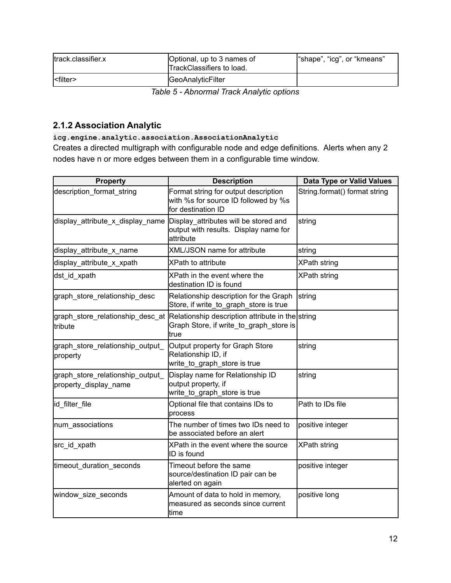| ltrack.classifier.x | Optional, up to 3 names of<br>TrackClassifiers to load. | "shape", "icg", or "kmeans" |
|---------------------|---------------------------------------------------------|-----------------------------|
| l <filter></filter> | GeoAnalyticFilter                                       |                             |

*Table 5 - Abnormal Track Analytic options*

# <span id="page-11-0"></span>**2.1.2 Association Analytic**

#### **icg.engine.analytic.association.AssociationAnalytic**

Creates a directed multigraph with configurable node and edge definitions. Alerts when any 2 nodes have n or more edges between them in a configurable time window.

| <b>Property</b>                                           | <b>Description</b>                                                                                                                    | Data Type or Valid Values     |
|-----------------------------------------------------------|---------------------------------------------------------------------------------------------------------------------------------------|-------------------------------|
| description format string                                 | Format string for output description<br>with %s for source ID followed by %s<br>for destination ID                                    | String.format() format string |
|                                                           | display_attribute_x_display_name Display_attributes will be stored and<br>output with results. Display name for<br>lattribute         | string                        |
| display_attribute_x_name                                  | <b>XML/JSON name for attribute</b>                                                                                                    | string                        |
| display_attribute_x_xpath                                 | <b>XPath to attribute</b>                                                                                                             | <b>XPath string</b>           |
| dst_id_xpath                                              | XPath in the event where the<br>destination ID is found                                                                               | <b>XPath string</b>           |
| graph_store_relationship_desc                             | Relationship description for the Graph<br>Store, if write_to_graph_store is true                                                      | string                        |
| tribute                                                   | graph_store_relationship_desc_at  Relationship description attribute in the string<br>Graph Store, if write_to_graph_store is<br>true |                               |
| graph_store_relationship_output_<br>property              | Output property for Graph Store<br>Relationship ID, if<br>write_to_graph_store is true                                                | string                        |
| graph_store_relationship_output_<br>property display name | Display name for Relationship ID<br>output property, if<br>write_to_graph_store is true                                               | string                        |
| id filter file                                            | Optional file that contains IDs to<br>process                                                                                         | Path to IDs file              |
| num_associations                                          | The number of times two IDs need to<br>be associated before an alert                                                                  | positive integer              |
| src_id_xpath                                              | XPath in the event where the source<br>ID is found                                                                                    | XPath string                  |
| timeout_duration_seconds                                  | Timeout before the same<br>source/destination ID pair can be<br>alerted on again                                                      | positive integer              |
| window_size_seconds                                       | Amount of data to hold in memory,<br>measured as seconds since current<br>time                                                        | positive long                 |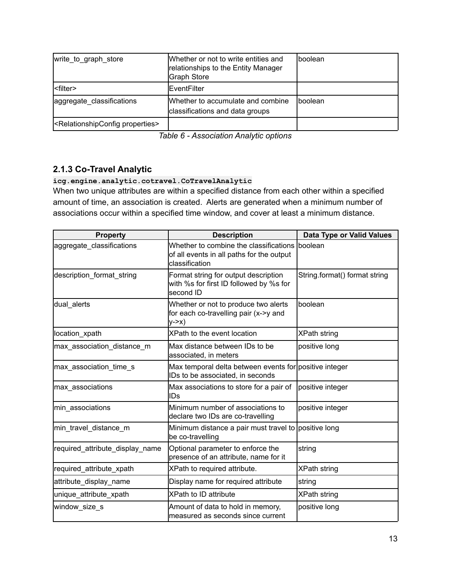| write to graph store                                    | Whether or not to write entities and<br>relationships to the Entity Manager<br><b>Graph Store</b> | Iboolean |
|---------------------------------------------------------|---------------------------------------------------------------------------------------------------|----------|
| l <filter></filter>                                     | <b>IEventFilter</b>                                                                               |          |
| aggregate classifications                               | Whether to accumulate and combine<br>classifications and data groups                              | Iboolean |
| <relationshipconfig properties=""></relationshipconfig> |                                                                                                   |          |

*Table 6 - Association Analytic options*

# <span id="page-12-0"></span>**2.1.3 Co-Travel Analytic**

#### **icg.engine.analytic.cotravel.CoTravelAnalytic**

When two unique attributes are within a specified distance from each other within a specified amount of time, an association is created. Alerts are generated when a minimum number of associations occur within a specified time window, and cover at least a minimum distance.

| <b>Property</b>                 | <b>Description</b>                                                                                             | Data Type or Valid Values     |
|---------------------------------|----------------------------------------------------------------------------------------------------------------|-------------------------------|
| aggregate_classifications       | Whether to combine the classifications Iboolean<br>of all events in all paths for the output<br>classification |                               |
| description format string       | Format string for output description<br>with %s for first ID followed by %s for<br>second ID                   | String.format() format string |
| dual_alerts                     | Whether or not to produce two alerts<br>for each co-travelling pair (x->y and<br>$y->x)$                       | boolean                       |
| location_xpath                  | XPath to the event location                                                                                    | <b>XPath string</b>           |
| max_association_distance_m      | Max distance between IDs to be<br>associated, in meters                                                        | positive long                 |
| max_association_time_s          | Max temporal delta between events for positive integer<br>IDs to be associated, in seconds                     |                               |
| max associations                | Max associations to store for a pair of<br>IDs                                                                 | positive integer              |
| min associations                | Minimum number of associations to<br>declare two IDs are co-travelling                                         | positive integer              |
| min_travel_distance_m           | Minimum distance a pair must travel to positive long<br>be co-travelling                                       |                               |
| required_attribute_display_name | Optional parameter to enforce the<br>presence of an attribute, name for it                                     | string                        |
| required_attribute_xpath        | XPath to required attribute.                                                                                   | <b>XPath string</b>           |
| attribute_display_name          | Display name for required attribute                                                                            | string                        |
| unique_attribute_xpath          | <b>XPath to ID attribute</b>                                                                                   | <b>XPath string</b>           |
| window_size_s                   | Amount of data to hold in memory,<br>measured as seconds since current                                         | positive long                 |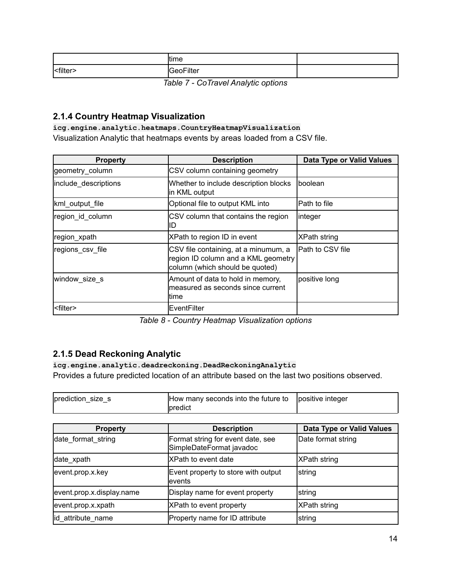|                                                      | time      |  |
|------------------------------------------------------|-----------|--|
| <filter< td=""><td>GeoFilter</td><td></td></filter<> | GeoFilter |  |

*Table 7 - CoTravel Analytic options*

### <span id="page-13-0"></span>**2.1.4 Country Heatmap Visualization**

**icg.engine.analytic.heatmaps.CountryHeatmapVisualization** Visualization Analytic that heatmaps events by areas loaded from a CSV file.

| <b>Property</b>      | <b>Description</b>                                                                                             | <b>Data Type or Valid Values</b> |
|----------------------|----------------------------------------------------------------------------------------------------------------|----------------------------------|
| geometry column      | CSV column containing geometry                                                                                 |                                  |
| include_descriptions | Whether to include description blocks<br>in KML output                                                         | Iboolean                         |
| kml_output_file      | Optional file to output KML into                                                                               | Path to file                     |
| region id column     | CSV column that contains the region<br>ID                                                                      | linteger                         |
| region xpath         | XPath to region ID in event                                                                                    | XPath string                     |
| regions csv file     | CSV file containing, at a minumum, a<br>region ID column and a KML geometry<br>column (which should be quoted) | Path to CSV file                 |
| window size s        | Amount of data to hold in memory,<br>Imeasured as seconds since current<br>ltime                               | positive long                    |
| <filter></filter>    | lEventFilter                                                                                                   |                                  |

*Table 8 - Country Heatmap Visualization options*

### <span id="page-13-1"></span>**2.1.5 Dead Reckoning Analytic**

**icg.engine.analytic.deadreckoning.DeadReckoningAnalytic** Provides a future predicted location of an attribute based on the last two positions observed.

| prediction_size_s | How many seconds into the future to | lpositive integer |
|-------------------|-------------------------------------|-------------------|
|                   | Ipredict                            |                   |

| <b>Property</b>           | <b>Description</b>                                            | Data Type or Valid Values |
|---------------------------|---------------------------------------------------------------|---------------------------|
| date format string        | Format string for event date, see<br>SimpleDateFormat javadoc | Date format string        |
| date_xpath                | <b>XPath to event date</b>                                    | <b>XPath string</b>       |
| event.prop.x.key          | Event property to store with output<br>levents                | string                    |
| event.prop.x.display.name | Display name for event property                               | string                    |
| event.prop.x.xpath        | <b>XPath to event property</b>                                | XPath string              |
| id_attribute_name         | Property name for ID attribute                                | string                    |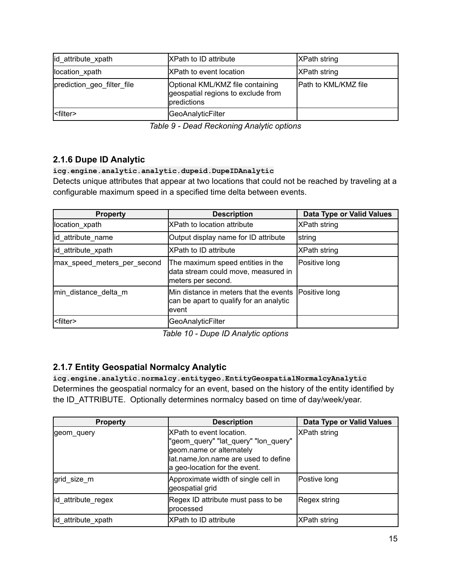| id_attribute_xpath         | <b>XPath to ID attribute</b>                                                          | <b>XPath string</b>         |
|----------------------------|---------------------------------------------------------------------------------------|-----------------------------|
| location xpath             | <b>IXPath to event location</b>                                                       | <b>XPath string</b>         |
| prediction geo filter file | Optional KML/KMZ file containing<br>geospatial regions to exclude from<br>predictions | <b>Path to KML/KMZ file</b> |
| <filter></filter>          | GeoAnalyticFilter                                                                     |                             |

*Table 9 - Dead Reckoning Analytic options*

# <span id="page-14-0"></span>**2.1.6 Dupe ID Analytic**

#### **icg.engine.analytic.analytic.dupeid.DupeIDAnalytic**

Detects unique attributes that appear at two locations that could not be reached by traveling at a configurable maximum speed in a specified time delta between events.

| <b>Property</b>             | <b>Description</b>                                                                             | Data Type or Valid Values |
|-----------------------------|------------------------------------------------------------------------------------------------|---------------------------|
| location xpath              | <b>XPath to location attribute</b>                                                             | XPath string              |
| id_attribute_name           | Output display name for ID attribute                                                           | <b>string</b>             |
| id_attribute_xpath          | <b>XPath to ID attribute</b>                                                                   | XPath string              |
| max_speed_meters_per_second | The maximum speed entities in the<br>data stream could move, measured in<br>meters per second. | Positive long             |
| min distance delta m        | Min distance in meters that the events<br>can be apart to qualify for an analytic<br>levent    | Positive long             |
| <filter></filter>           | GeoAnalyticFilter                                                                              |                           |

*Table 10 - Dupe ID Analytic options*

### <span id="page-14-1"></span>**2.1.7 Entity Geospatial Normalcy Analytic**

**icg.engine.analytic.normalcy.entitygeo.EntityGeospatialNormalcyAnalytic** Determines the geospatial normalcy for an event, based on the history of the entity identified by the ID\_ATTRIBUTE. Optionally determines normalcy based on time of day/week/year.

| <b>Property</b>    | <b>Description</b>                                                                                                                                                     | <b>Data Type or Valid Values</b> |
|--------------------|------------------------------------------------------------------------------------------------------------------------------------------------------------------------|----------------------------------|
| geom query         | XPath to event location.<br>"geom_query" "lat_query" "lon_query"<br>geom.name or alternately<br>lat.name, lon.name are used to define<br>a geo-location for the event. | <b>XPath string</b>              |
| grid size m        | Approximate width of single cell in<br>geospatial grid                                                                                                                 | Postive long                     |
| id attribute_regex | Regex ID attribute must pass to be<br>processed                                                                                                                        | Regex string                     |
| id attribute xpath | XPath to ID attribute                                                                                                                                                  | <b>XPath string</b>              |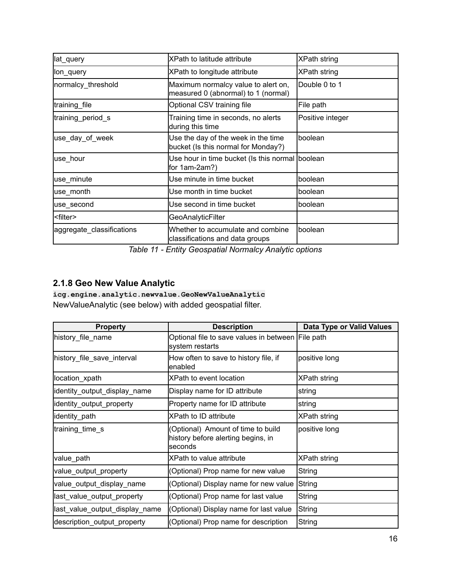| lat_query                 | XPath to latitude attribute                                                | XPath string     |
|---------------------------|----------------------------------------------------------------------------|------------------|
| llon query                | XPath to longitude attribute                                               | XPath string     |
| normalcy_threshold        | Maximum normalcy value to alert on,<br>measured 0 (abnormal) to 1 (normal) | Double 0 to 1    |
| training file             | Optional CSV training file                                                 | File path        |
| training period s         | Training time in seconds, no alerts<br>during this time                    | Positive integer |
| use_day_of_week           | Use the day of the week in the time<br>bucket (Is this normal for Monday?) | lboolean         |
| luse hour                 | Use hour in time bucket (Is this normal boolean<br>for 1am-2am?)           |                  |
| use_minute                | Use minute in time bucket                                                  | boolean          |
| use_month                 | lUse month in time bucket                                                  | lboolean         |
| luse second               | Use second in time bucket                                                  | boolean          |
| <filter></filter>         | <b>GeoAnalyticFilter</b>                                                   |                  |
| aggregate_classifications | Whether to accumulate and combine<br>classifications and data groups       | boolean          |

*Table 11 - Entity Geospatial Normalcy Analytic options*

### <span id="page-15-0"></span>**2.1.8 Geo New Value Analytic**

**icg.engine.analytic.newvalue.GeoNewValueAnalytic** NewValueAnalytic (see below) with added geospatial filter.

| <b>Property</b>                | <b>Description</b>                                                                  | Data Type or Valid Values |
|--------------------------------|-------------------------------------------------------------------------------------|---------------------------|
| history_file_name              | Optional file to save values in between File path<br>system restarts                |                           |
| history_file_save_interval     | How often to save to history file, if<br>lenabled                                   | positive long             |
| location_xpath                 | XPath to event location                                                             | <b>XPath string</b>       |
| identity_output_display_name   | Display name for ID attribute                                                       | string                    |
| identity_output_property       | Property name for ID attribute                                                      | string                    |
| identity_path                  | <b>XPath to ID attribute</b>                                                        | XPath string              |
| training_time_s                | (Optional) Amount of time to build<br>history before alerting begins, in<br>seconds | positive long             |
| value_path                     | XPath to value attribute                                                            | XPath string              |
| value_output_property          | (Optional) Prop name for new value                                                  | String                    |
| value_output_display_name      | (Optional) Display name for new value                                               | String                    |
| last_value_output_property     | (Optional) Prop name for last value                                                 | String                    |
| last_value_output_display_name | (Optional) Display name for last value                                              | String                    |
| description_output_property    | (Optional) Prop name for description                                                | String                    |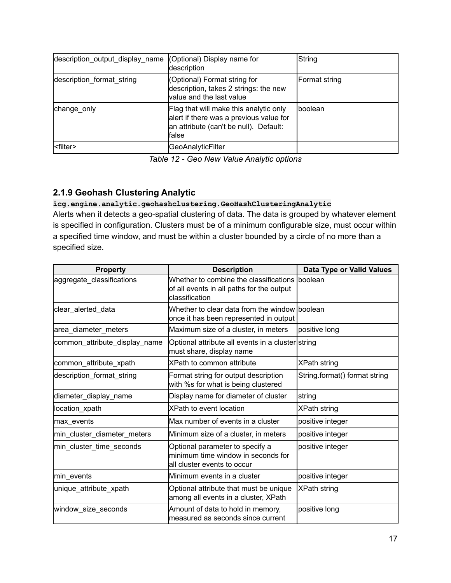| description_output_display_name (Optional) Display name for | description                                                                                                                           | String        |
|-------------------------------------------------------------|---------------------------------------------------------------------------------------------------------------------------------------|---------------|
| description format string                                   | (Optional) Format string for<br>description, takes 2 strings: the new<br>value and the last value                                     | Format string |
| change only                                                 | Flag that will make this analytic only<br>alert if there was a previous value for<br>an attribute (can't be null). Default:<br>lfalse | Iboolean      |
| l <filter></filter>                                         | GeoAnalyticFilter                                                                                                                     |               |

*Table 12 - Geo New Value Analytic options*

### <span id="page-16-0"></span>**2.1.9 Geohash Clustering Analytic**

**icg.engine.analytic.geohashclustering.GeoHashClusteringAnalytic** Alerts when it detects a geo-spatial clustering of data. The data is grouped by whatever element is specified in configuration. Clusters must be of a minimum configurable size, must occur within a specified time window, and must be within a cluster bounded by a circle of no more than a specified size.

| <b>Property</b>               | <b>Description</b>                                                                                            | Data Type or Valid Values     |
|-------------------------------|---------------------------------------------------------------------------------------------------------------|-------------------------------|
| aggregate_classifications     | Whether to combine the classifications boolean<br>of all events in all paths for the output<br>classification |                               |
| clear_alerted_data            | Whether to clear data from the window boolean<br>once it has been represented in output                       |                               |
| area_diameter_meters          | Maximum size of a cluster, in meters                                                                          | positive long                 |
| common_attribute_display_name | Optional attribute all events in a cluster string<br>must share, display name                                 |                               |
| common_attribute_xpath        | XPath to common attribute                                                                                     | <b>XPath string</b>           |
| description_format_string     | Format string for output description<br>with %s for what is being clustered                                   | String.format() format string |
| diameter_display_name         | Display name for diameter of cluster                                                                          | string                        |
| location_xpath                | <b>XPath to event location</b>                                                                                | <b>XPath string</b>           |
| max events                    | Max number of events in a cluster                                                                             | positive integer              |
| min_cluster_diameter_meters   | Minimum size of a cluster, in meters                                                                          | positive integer              |
| min_cluster_time_seconds      | Optional parameter to specify a<br>minimum time window in seconds for<br>all cluster events to occur          | positive integer              |
| min_events                    | Minimum events in a cluster                                                                                   | positive integer              |
| unique_attribute_xpath        | Optional attribute that must be unique<br>among all events in a cluster, XPath                                | XPath string                  |
| window size seconds           | Amount of data to hold in memory,<br>measured as seconds since current                                        | positive long                 |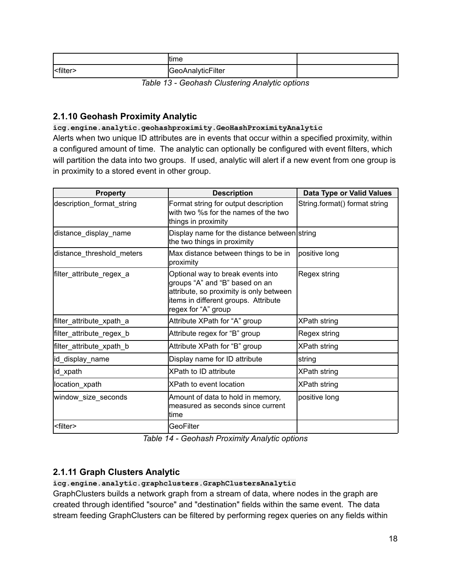|                   | <b>time</b>       |  |
|-------------------|-------------------|--|
| <filter></filter> | GeoAnalyticFilter |  |

*Table 13 - Geohash Clustering Analytic options*

### <span id="page-17-0"></span>**2.1.10 Geohash Proximity Analytic**

**icg.engine.analytic.geohashproximity.GeoHashProximityAnalytic**

Alerts when two unique ID attributes are in events that occur within a specified proximity, within a configured amount of time. The analytic can optionally be configured with event filters, which will partition the data into two groups. If used, analytic will alert if a new event from one group is in proximity to a stored event in other group.

| <b>Property</b>           | <b>Description</b>                                                                                                                                                            | Data Type or Valid Values     |
|---------------------------|-------------------------------------------------------------------------------------------------------------------------------------------------------------------------------|-------------------------------|
| description_format_string | Format string for output description<br>with two %s for the names of the two<br>things in proximity                                                                           | String.format() format string |
| distance_display_name     | Display name for the distance between string<br>the two things in proximity                                                                                                   |                               |
| distance_threshold_meters | Max distance between things to be in<br>proximity                                                                                                                             | positive long                 |
| filter_attribute_regex_a  | Optional way to break events into<br>groups "A" and "B" based on an<br>attribute, so proximity is only between<br>items in different groups. Attribute<br>regex for "A" group | Regex string                  |
| filter_attribute_xpath_a  | Attribute XPath for "A" group                                                                                                                                                 | <b>XPath string</b>           |
| filter_attribute_regex_b  | Attribute regex for "B" group                                                                                                                                                 | Regex string                  |
| filter_attribute_xpath_b  | Attribute XPath for "B" group                                                                                                                                                 | <b>XPath string</b>           |
| id_display_name           | Display name for ID attribute                                                                                                                                                 | string                        |
| id_xpath                  | <b>XPath to ID attribute</b>                                                                                                                                                  | XPath string                  |
| location_xpath            | IXPath to event location                                                                                                                                                      | XPath string                  |
| window_size_seconds       | Amount of data to hold in memory,<br>measured as seconds since current<br>ltime                                                                                               | positive long                 |
| <filter></filter>         | GeoFilter                                                                                                                                                                     |                               |

*Table 14 - Geohash Proximity Analytic options*

# <span id="page-17-1"></span>**2.1.11 Graph Clusters Analytic**

#### **icg.engine.analytic.graphclusters.GraphClustersAnalytic**

GraphClusters builds a network graph from a stream of data, where nodes in the graph are created through identified "source" and "destination" fields within the same event. The data stream feeding GraphClusters can be filtered by performing regex queries on any fields within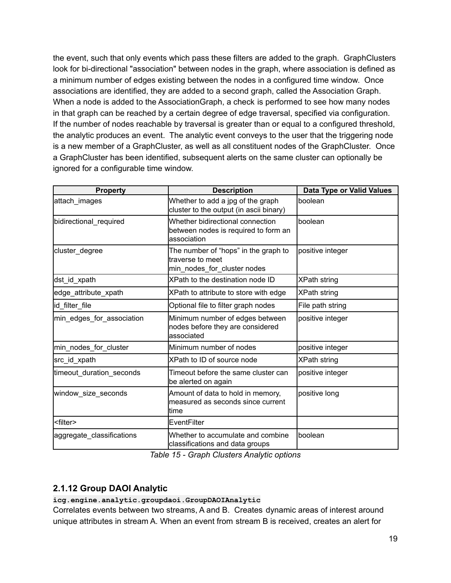the event, such that only events which pass these filters are added to the graph. GraphClusters look for bi-directional "association" between nodes in the graph, where association is defined as a minimum number of edges existing between the nodes in a configured time window. Once associations are identified, they are added to a second graph, called the Association Graph. When a node is added to the AssociationGraph, a check is performed to see how many nodes in that graph can be reached by a certain degree of edge traversal, specified via configuration. If the number of nodes reachable by traversal is greater than or equal to a configured threshold, the analytic produces an event. The analytic event conveys to the user that the triggering node is a new member of a GraphCluster, as well as all constituent nodes of the GraphCluster. Once a GraphCluster has been identified, subsequent alerts on the same cluster can optionally be ignored for a configurable time window.

| <b>Property</b>           | <b>Description</b>                                                                       | Data Type or Valid Values |
|---------------------------|------------------------------------------------------------------------------------------|---------------------------|
| attach images             | Whether to add a jpg of the graph<br>cluster to the output (in ascii binary)             | boolean                   |
| bidirectional_required    | Whether bidirectional connection<br>between nodes is required to form an<br>lassociation | boolean                   |
| cluster_degree            | The number of "hops" in the graph to<br>traverse to meet<br>min_nodes_for_cluster nodes  | positive integer          |
| dst_id_xpath              | XPath to the destination node ID                                                         | <b>XPath string</b>       |
| edge_attribute_xpath      | XPath to attribute to store with edge                                                    | <b>XPath string</b>       |
| id_filter_file            | Optional file to filter graph nodes                                                      | File path string          |
| min_edges_for_association | Minimum number of edges between<br>nodes before they are considered<br>lassociated       | positive integer          |
| min_nodes_for_cluster     | Minimum number of nodes                                                                  | positive integer          |
| src_id_xpath              | XPath to ID of source node                                                               | XPath string              |
| timeout_duration_seconds  | Timeout before the same cluster can<br>be alerted on again                               | positive integer          |
| window_size_seconds       | Amount of data to hold in memory,<br>lmeasured as seconds since current<br>ltime         | positive long             |
| <filter></filter>         | EventFilter                                                                              |                           |
| aggregate_classifications | Whether to accumulate and combine<br>classifications and data groups                     | boolean                   |

*Table 15 - Graph Clusters Analytic options*

### <span id="page-18-0"></span>**2.1.12 Group DAOI Analytic**

**icg.engine.analytic.groupdaoi.GroupDAOIAnalytic**

Correlates events between two streams, A and B. Creates dynamic areas of interest around unique attributes in stream A. When an event from stream B is received, creates an alert for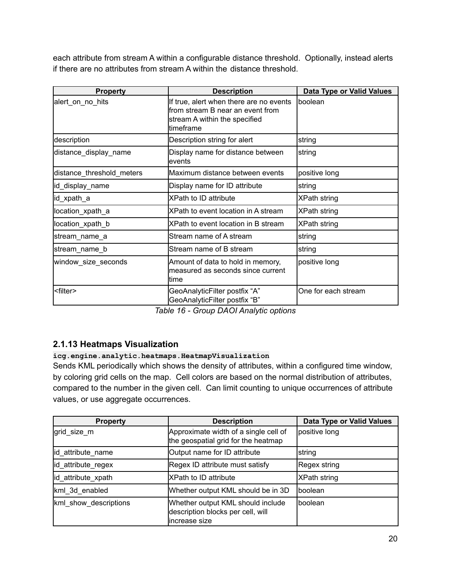each attribute from stream A within a configurable distance threshold. Optionally, instead alerts if there are no attributes from stream A within the distance threshold.

| <b>Property</b>           | <b>Description</b>                                                                                                        | Data Type or Valid Values |
|---------------------------|---------------------------------------------------------------------------------------------------------------------------|---------------------------|
| alert_on_no_hits          | If true, alert when there are no events<br>from stream B near an event from<br>stream A within the specified<br>timeframe | boolean                   |
| description               | Description string for alert                                                                                              | string                    |
| distance_display_name     | Display name for distance between<br>levents                                                                              | string                    |
| distance_threshold_meters | Maximum distance between events                                                                                           | positive long             |
| lid_display_name          | Display name for ID attribute                                                                                             | string                    |
| id_xpath_a                | XPath to ID attribute                                                                                                     | <b>XPath string</b>       |
| location_xpath_a          | XPath to event location in A stream                                                                                       | <b>XPath string</b>       |
| location_xpath_b          | XPath to event location in B stream                                                                                       | <b>XPath string</b>       |
| stream_name_a             | Stream name of A stream                                                                                                   | string                    |
| stream_name_b             | Stream name of B stream                                                                                                   | string                    |
| window_size_seconds       | Amount of data to hold in memory,<br>measured as seconds since current<br>ltime                                           | positive long             |
| <filter></filter>         | GeoAnalyticFilter postfix "A"<br>GeoAnalyticFilter postfix "B"                                                            | One for each stream       |

*Table 16 - Group DAOI Analytic options*

# <span id="page-19-0"></span>**2.1.13 Heatmaps Visualization**

### **icg.engine.analytic.heatmaps.HeatmapVisualization**

Sends KML periodically which shows the density of attributes, within a configured time window, by coloring grid cells on the map. Cell colors are based on the normal distribution of attributes, compared to the number in the given cell. Can limit counting to unique occurrences of attribute values, or use aggregate occurrences.

| <b>Property</b>       | <b>Description</b>                                                                       | Data Type or Valid Values |
|-----------------------|------------------------------------------------------------------------------------------|---------------------------|
| grid size m           | Approximate width of a single cell of<br>the geospatial grid for the heatmap             | positive long             |
| id_attribute_name     | Output name for ID attribute                                                             | <b>s</b> tring            |
| id_attribute_regex    | Regex ID attribute must satisfy                                                          | Regex string              |
| id attribute xpath    | <b>XPath to ID attribute</b>                                                             | <b>XPath string</b>       |
| kml_3d_enabled        | Whether output KML should be in 3D                                                       | Iboolean                  |
| kml show descriptions | Whether output KML should include<br>description blocks per cell, will<br>lincrease size | Iboolean                  |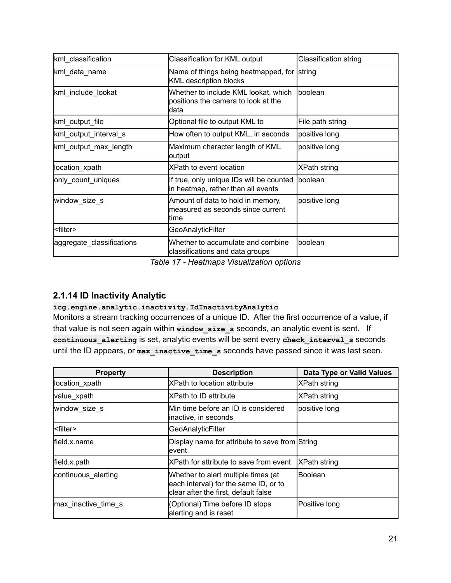| kml_classification        | Classification for KML output                                                        | <b>Classification string</b> |
|---------------------------|--------------------------------------------------------------------------------------|------------------------------|
| kml_data_name             | Name of things being heatmapped, for sstring<br><b>KML</b> description blocks        |                              |
| kml include lookat        | Whether to include KML lookat, which<br>positions the camera to look at the<br>ldata | Iboolean                     |
| kml_output_file           | Optional file to output KML to                                                       | File path string             |
| kml_output_interval_s     | How often to output KML, in seconds                                                  | positive long                |
| kml_output_max_length     | Maximum character length of KML<br>output                                            | positive long                |
| location_xpath            | XPath to event location                                                              | <b>XPath string</b>          |
| only_count_uniques        | If true, only unique IDs will be counted<br>in heatmap, rather than all events       | Iboolean                     |
| window_size_s             | Amount of data to hold in memory,<br>lmeasured as seconds since current<br>ltime     | positive long                |
| <filter></filter>         | <b>GeoAnalyticFilter</b>                                                             |                              |
| aggregate_classifications | Whether to accumulate and combine<br>classifications and data groups                 | Iboolean                     |

*Table 17 - Heatmaps Visualization options*

# <span id="page-20-0"></span>**2.1.14 ID Inactivity Analytic**

#### **icg.engine.analytic.inactivity.IdInactivityAnalytic**

Monitors a stream tracking occurrences of a unique ID. After the first occurrence of a value, if that value is not seen again within **window\_size\_s** seconds, an analytic event is sent. If **continuous\_alerting** is set, analytic events will be sent every **check\_interval\_s** seconds until the ID appears, or **max\_inactive\_time\_s** seconds have passed since it was last seen.

| <b>Property</b>     | <b>Description</b>                                                                                                   | Data Type or Valid Values |
|---------------------|----------------------------------------------------------------------------------------------------------------------|---------------------------|
| location_xpath      | <b>XPath to location attribute</b>                                                                                   | XPath string              |
| value_xpath         | <b>XPath to ID attribute</b>                                                                                         | XPath string              |
| window_size_s       | Min time before an ID is considered<br>inactive, in seconds                                                          | positive long             |
| l <filter></filter> | GeoAnalyticFilter                                                                                                    |                           |
| field.x.name        | Display name for attribute to save from String<br>levent                                                             |                           |
| field.x.path        | XPath for attribute to save from event                                                                               | <b>XPath string</b>       |
| continuous alerting | Whether to alert multiple times (at<br>each interval) for the same ID, or to<br>clear after the first, default false | <b>Boolean</b>            |
| max inactive time s | (Optional) Time before ID stops<br>alerting and is reset                                                             | Positive long             |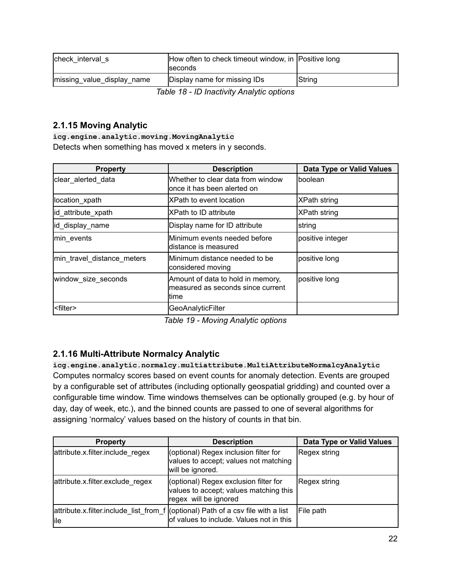| check interval s           | How often to check timeout window, in Positive long<br><b>Iseconds</b> |               |
|----------------------------|------------------------------------------------------------------------|---------------|
| missing_value_display_name | Display name for missing IDs                                           | <b>String</b> |

*Table 18 - ID Inactivity Analytic options*

# <span id="page-21-0"></span>**2.1.15 Moving Analytic**

**icg.engine.analytic.moving.MovingAnalytic** Detects when something has moved x meters in y seconds.

| <b>Property</b>            | <b>Description</b>                                                               | <b>Data Type or Valid Values</b> |
|----------------------------|----------------------------------------------------------------------------------|----------------------------------|
| clear alerted data         | Whether to clear data from window<br>lonce it has been alerted on                | lboolean                         |
| location_xpath             | <b>XPath to event location</b>                                                   | XPath string                     |
| id_attribute_xpath         | XPath to ID attribute                                                            | <b>XPath string</b>              |
| id_display_name            | Display name for ID attribute                                                    | string                           |
| min events                 | Minimum events needed before<br>ldistance is measured                            | positive integer                 |
| min_travel_distance_meters | IMinimum distance needed to be<br>considered moving                              | positive long                    |
| window_size_seconds        | Amount of data to hold in memory,<br>lmeasured as seconds since current<br>ltime | positive long                    |
| <filter></filter>          | GeoAnalyticFilter                                                                |                                  |

*Table 19 - Moving Analytic options*

# <span id="page-21-1"></span>**2.1.16 Multi-Attribute Normalcy Analytic**

**icg.engine.analytic.normalcy.multiattribute.MultiAttributeNormalcyAnalytic** Computes normalcy scores based on event counts for anomaly detection. Events are grouped by a configurable set of attributes (including optionally geospatial gridding) and counted over a configurable time window. Time windows themselves can be optionally grouped (e.g. by hour of day, day of week, etc.), and the binned counts are passed to one of several algorithms for assigning 'normalcy' values based on the history of counts in that bin.

| <b>Property</b>                  | <b>Description</b>                                                                                                            | Data Type or Valid Values |
|----------------------------------|-------------------------------------------------------------------------------------------------------------------------------|---------------------------|
| attribute.x.filter.include regex | (optional) Regex inclusion filter for<br>values to accept; values not matching<br>will be ignored.                            | Regex string              |
| attribute.x.filter.exclude regex | (optional) Regex exclusion filter for<br>values to accept; values matching this<br>regex will be ignored                      | Regex string              |
| lile                             | attribute.x.filter.include_list_from_f ((optional) Path of a csv file with a list<br>of values to include. Values not in this | File path                 |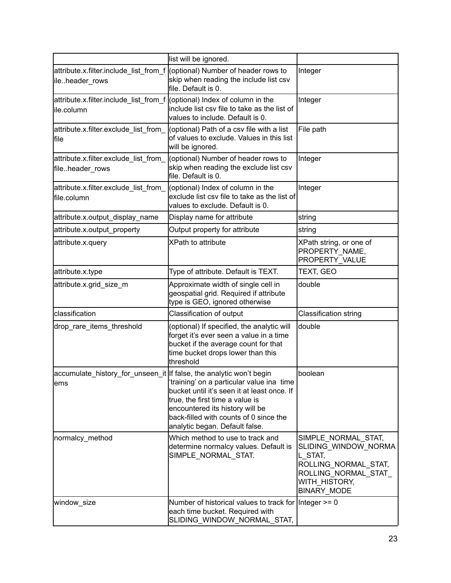|                                                                                          | list will be ignored.                                                                                                                                                                                                                      |                                                                                                                                              |
|------------------------------------------------------------------------------------------|--------------------------------------------------------------------------------------------------------------------------------------------------------------------------------------------------------------------------------------------|----------------------------------------------------------------------------------------------------------------------------------------------|
| attribute.x.filter.include_list_from_f<br>ileheader_rows                                 | (optional) Number of header rows to<br>skip when reading the include list csv<br>file. Default is 0.                                                                                                                                       | Integer                                                                                                                                      |
| attribute.x.filter.include_list_from_f ((optional) Index of column in the<br>lile.column | include list csv file to take as the list of<br>values to include. Default is 0.                                                                                                                                                           | Integer                                                                                                                                      |
| attribute.x.filter.exclude list from<br>file                                             | (optional) Path of a csv file with a list<br>of values to exclude. Values in this list<br>will be ignored.                                                                                                                                 | File path                                                                                                                                    |
| attribute.x.filter.exclude_list_from_<br>fileheader_rows                                 | (optional) Number of header rows to<br>skip when reading the exclude list csv<br>file. Default is 0.                                                                                                                                       | Integer                                                                                                                                      |
| attribute.x.filter.exclude_list_from_<br>file.column                                     | (optional) Index of column in the<br>exclude list csv file to take as the list of<br>values to exclude. Default is 0.                                                                                                                      | Integer                                                                                                                                      |
| attribute.x.output_display_name                                                          | Display name for attribute                                                                                                                                                                                                                 | string                                                                                                                                       |
| attribute.x.output property                                                              | Output property for attribute                                                                                                                                                                                                              | string                                                                                                                                       |
| attribute.x.query                                                                        | <b>XPath to attribute</b>                                                                                                                                                                                                                  | XPath string, or one of<br>PROPERTY NAME,<br>PROPERTY VALUE                                                                                  |
| attribute.x.type                                                                         | Type of attribute. Default is TEXT.                                                                                                                                                                                                        | TEXT, GEO                                                                                                                                    |
| attribute.x.grid_size_m                                                                  | Approximate width of single cell in<br>geospatial grid. Required if attribute<br>type is GEO, ignored otherwise                                                                                                                            | double                                                                                                                                       |
| classification                                                                           | Classification of output                                                                                                                                                                                                                   | Classification string                                                                                                                        |
| drop_rare_items_threshold                                                                | (optional) If specified, the analytic will<br>forget it's ever seen a value in a time<br>bucket if the average count for that<br>time bucket drops lower than this<br>threshold                                                            | double                                                                                                                                       |
| accumulate_history_for_unseen_it  If false, the analytic won't begin<br>lems             | ftraining' on a particular value ina time<br>bucket until it's seen it at least once. If<br>true, the first time a value is<br>encountered its history will be<br>back-filled with counts of 0 since the<br>analytic began. Default false. | boolean                                                                                                                                      |
| normalcy_method                                                                          | Which method to use to track and<br>determine normalcy values. Default is<br>SIMPLE_NORMAL_STAT.                                                                                                                                           | SIMPLE NORMAL STAT,<br>SLIDING WINDOW NORMA<br>L STAT,<br>ROLLING NORMAL STAT,<br>ROLLING NORMAL STAT<br>WITH HISTORY,<br><b>BINARY_MODE</b> |
| window_size                                                                              | Number of historical values to track for Integer $>= 0$<br>each time bucket. Required with<br>SLIDING_WINDOW_NORMAL_STAT,                                                                                                                  |                                                                                                                                              |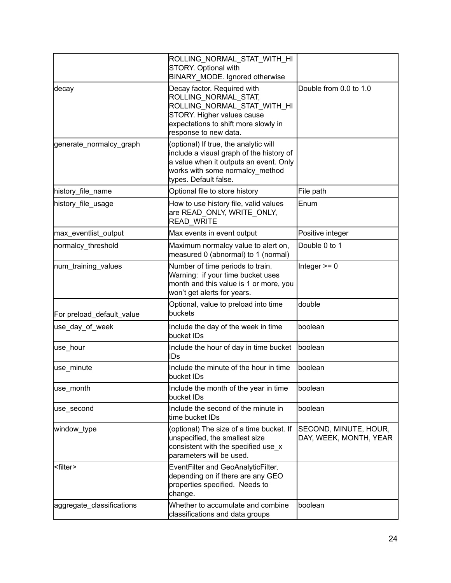|                           | ROLLING_NORMAL_STAT_WITH_HI<br><b>STORY. Optional with</b><br>BINARY MODE. Ignored otherwise                                                                                            |                                                 |
|---------------------------|-----------------------------------------------------------------------------------------------------------------------------------------------------------------------------------------|-------------------------------------------------|
| decay                     | Decay factor. Required with<br>ROLLING NORMAL STAT,<br>ROLLING_NORMAL_STAT_WITH_HI<br>STORY. Higher values cause<br>expectations to shift more slowly in<br>response to new data.       | Double from 0.0 to 1.0                          |
| generate normalcy graph   | (optional) If true, the analytic will<br>include a visual graph of the history of<br>a value when it outputs an event. Only<br>works with some normalcy_method<br>types. Default false. |                                                 |
| history_file_name         | Optional file to store history                                                                                                                                                          | File path                                       |
| history_file_usage        | How to use history file, valid values<br>are READ ONLY, WRITE ONLY,<br>READ_WRITE                                                                                                       | Enum                                            |
| max_eventlist_output      | Max events in event output                                                                                                                                                              | Positive integer                                |
| normalcy_threshold        | Maximum normalcy value to alert on,<br>measured 0 (abnormal) to 1 (normal)                                                                                                              | Double 0 to 1                                   |
| num_training_values       | Number of time periods to train.<br>Warning: if your time bucket uses<br>month and this value is 1 or more, you<br>won't get alerts for years.                                          | Integer $>= 0$                                  |
| For preload_default_value | Optional, value to preload into time<br>buckets                                                                                                                                         | double                                          |
| use_day_of_week           | Include the day of the week in time<br>bucket IDs                                                                                                                                       | boolean                                         |
| use_hour                  | Include the hour of day in time bucket<br>IDs                                                                                                                                           | boolean                                         |
| use minute                | Include the minute of the hour in time<br>bucket IDs                                                                                                                                    | boolean                                         |
| use_month                 | Include the month of the year in time<br>bucket IDs                                                                                                                                     | boolean                                         |
| use_second                | Include the second of the minute in<br>time bucket IDs                                                                                                                                  | boolean                                         |
| window_type               | (optional) The size of a time bucket. If<br>unspecified, the smallest size<br>consistent with the specified use x<br>parameters will be used.                                           | SECOND, MINUTE, HOUR,<br>DAY, WEEK, MONTH, YEAR |
| <filter></filter>         | EventFilter and GeoAnalyticFilter,<br>depending on if there are any GEO<br>properties specified. Needs to<br>change.                                                                    |                                                 |
| aggregate_classifications | Whether to accumulate and combine<br>classifications and data groups                                                                                                                    | boolean                                         |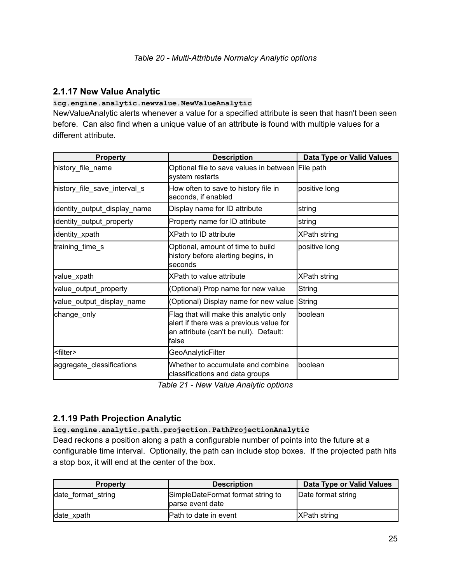#### <span id="page-24-0"></span>**2.1.17 New Value Analytic**

#### **icg.engine.analytic.newvalue.NewValueAnalytic**

NewValueAnalytic alerts whenever a value for a specified attribute is seen that hasn't been seen before. Can also find when a unique value of an attribute is found with multiple values for a different attribute.

| <b>Property</b>              | <b>Description</b>                                                                                                                    | <b>Data Type or Valid Values</b> |
|------------------------------|---------------------------------------------------------------------------------------------------------------------------------------|----------------------------------|
| history_file_name            | Optional file to save values in between File path<br>system restarts                                                                  |                                  |
| history_file_save_interval_s | How often to save to history file in<br>seconds, if enabled                                                                           | positive long                    |
| identity_output_display_name | Display name for ID attribute                                                                                                         | string                           |
| identity_output_property     | Property name for ID attribute                                                                                                        | string                           |
| identity_xpath               | <b>XPath to ID attribute</b>                                                                                                          | <b>XPath string</b>              |
| training_time_s              | Optional, amount of time to build<br>history before alerting begins, in<br>seconds                                                    | positive long                    |
| value_xpath                  | XPath to value attribute                                                                                                              | <b>XPath string</b>              |
| value_output_property        | (Optional) Prop name for new value                                                                                                    | String                           |
| value_output_display_name    | (Optional) Display name for new value String                                                                                          |                                  |
| change_only                  | Flag that will make this analytic only<br>alert if there was a previous value for<br>an attribute (can't be null). Default:<br>lfalse | boolean                          |
| <filter></filter>            | GeoAnalyticFilter                                                                                                                     |                                  |
| aggregate_classifications    | Whether to accumulate and combine<br>classifications and data groups                                                                  | boolean                          |

*Table 21 - New Value Analytic options*

# <span id="page-24-1"></span>**2.1.19 Path Projection Analytic**

#### **icg.engine.analytic.path.projection.PathProjectionAnalytic**

Dead reckons a position along a path a configurable number of points into the future at a configurable time interval. Optionally, the path can include stop boxes. If the projected path hits a stop box, it will end at the center of the box.

| <b>Property</b>    | <b>Description</b>                                    | Data Type or Valid Values |
|--------------------|-------------------------------------------------------|---------------------------|
| date format string | SimpleDateFormat format string to<br>parse event date | Date format string        |
| date_xpath         | Path to date in event                                 | <b>XPath string</b>       |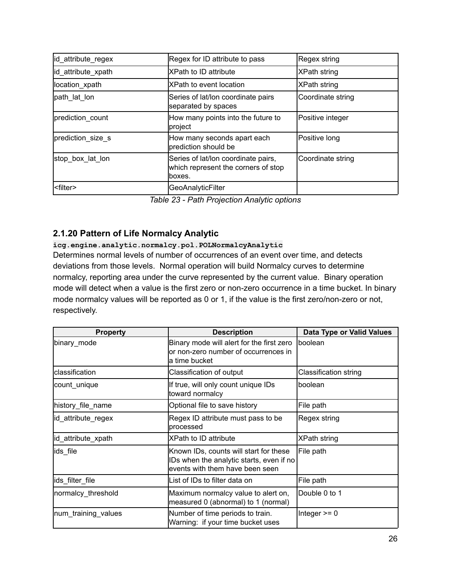| id_attribute_regex | Regex for ID attribute to pass                                                        | Regex string      |
|--------------------|---------------------------------------------------------------------------------------|-------------------|
| id_attribute_xpath | <b>XPath to ID attribute</b>                                                          | XPath string      |
| location xpath     | <b>XPath to event location</b>                                                        | XPath string      |
| path lat lon       | Series of lat/lon coordinate pairs<br>separated by spaces                             | Coordinate string |
| prediction_count   | How many points into the future to<br> project                                        | Positive integer  |
| prediction_size_s  | How many seconds apart each<br>prediction should be                                   | Positive long     |
| stop box lat lon   | Series of lat/lon coordinate pairs,<br>which represent the corners of stop<br>lboxes. | Coordinate string |
| <filter></filter>  | <b>GeoAnalyticFilter</b>                                                              |                   |

*Table 23 - Path Projection Analytic options*

# <span id="page-25-0"></span>**2.1.20 Pattern of Life Normalcy Analytic**

#### **icg.engine.analytic.normalcy.pol.POLNormalcyAnalytic**

Determines normal levels of number of occurrences of an event over time, and detects deviations from those levels. Normal operation will build Normalcy curves to determine normalcy, reporting area under the curve represented by the current value. Binary operation mode will detect when a value is the first zero or non-zero occurrence in a time bucket. In binary mode normalcy values will be reported as 0 or 1, if the value is the first zero/non-zero or not, respectively.

| <b>Property</b>     | <b>Description</b>                                                                                                    | Data Type or Valid Values    |
|---------------------|-----------------------------------------------------------------------------------------------------------------------|------------------------------|
| binary_mode         | Binary mode will alert for the first zero<br>or non-zero number of occurrences in<br>la time bucket                   | Iboolean                     |
| Iclassification     | Classification of output                                                                                              | <b>Classification string</b> |
| count_unique        | If true, will only count unique IDs<br>toward normalcy                                                                | lboolean                     |
| history file name   | Optional file to save history                                                                                         | File path                    |
| id_attribute_regex  | Regex ID attribute must pass to be<br>processed                                                                       | Regex string                 |
| id_attribute_xpath  | <b>XPath to ID attribute</b>                                                                                          | XPath string                 |
| ids file            | Known IDs, counts will start for these<br>IDs when the analytic starts, even if no<br>events with them have been seen | File path                    |
| ids filter file     | List of IDs to filter data on                                                                                         | File path                    |
| normalcy_threshold  | Maximum normalcy value to alert on,<br>measured 0 (abnormal) to 1 (normal)                                            | Double 0 to 1                |
| num_training_values | Number of time periods to train.<br>Warning: if your time bucket uses                                                 | Integer $>= 0$               |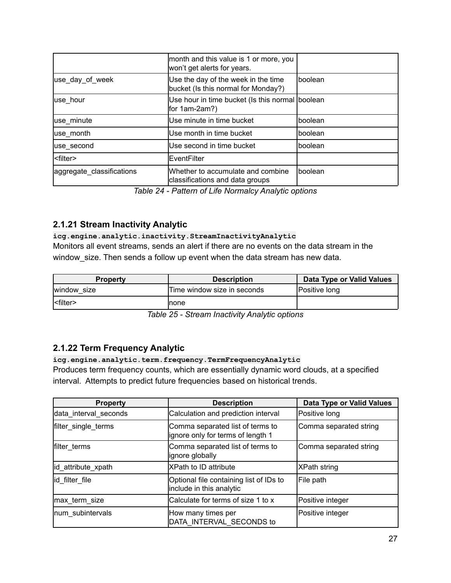|                           | month and this value is 1 or more, you<br>won't get alerts for years.      |          |
|---------------------------|----------------------------------------------------------------------------|----------|
| use day of week           | Use the day of the week in the time<br>bucket (Is this normal for Monday?) | Iboolean |
| luse hour                 | Use hour in time bucket (Is this normal boolean<br>for $1am-2am$ ?)        |          |
| use_minute                | Use minute in time bucket                                                  | Iboolean |
| use month                 | Use month in time bucket                                                   | Iboolean |
| use_second                | Use second in time bucket                                                  | Iboolean |
| l <filter></filter>       | <b>IEventFilter</b>                                                        |          |
| aggregate_classifications | Whether to accumulate and combine<br>classifications and data groups       | Iboolean |

*Table 24 - Pattern of Life Normalcy Analytic options*

### <span id="page-26-0"></span>**2.1.21 Stream Inactivity Analytic**

#### **icg.engine.analytic.inactivity.StreamInactivityAnalytic**

Monitors all event streams, sends an alert if there are no events on the data stream in the window\_size. Then sends a follow up event when the data stream has new data.

| <b>Property</b>       | <b>Description</b>          | Data Type or Valid Values |
|-----------------------|-----------------------------|---------------------------|
| Iwindow size          | Time window size in seconds | <b>Positive long</b>      |
| $ $ <filter></filter> | Inone                       |                           |

*Table 25 - Stream Inactivity Analytic options*

### <span id="page-26-1"></span>**2.1.22 Term Frequency Analytic**

#### **icg.engine.analytic.term.frequency.TermFrequencyAnalytic**

Produces term frequency counts, which are essentially dynamic word clouds, at a specified interval. Attempts to predict future frequencies based on historical trends.

| <b>Property</b>       | <b>Description</b>                                                     | Data Type or Valid Values |
|-----------------------|------------------------------------------------------------------------|---------------------------|
| data_interval_seconds | Calculation and prediction interval                                    | Positive long             |
| filter_single_terms   | Comma separated list of terms to<br>lignore only for terms of length 1 | Comma separated string    |
| filter terms          | Comma separated list of terms to<br>lignore globally                   | Comma separated string    |
| id attribute_xpath    | <b>XPath to ID attribute</b>                                           | XPath string              |
| id filter file        | Optional file containing list of IDs to<br>include in this analytic    | File path                 |
| max term size         | Calculate for terms of size 1 to x                                     | Positive integer          |
| num subintervals      | How many times per<br>DATA_INTERVAL_SECONDS to                         | Positive integer          |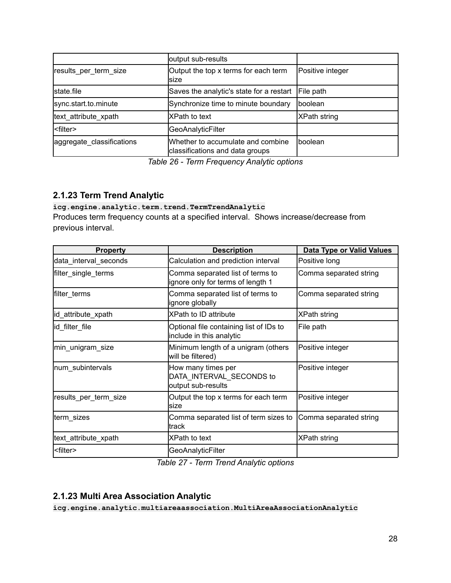|                           | output sub-results                                                   |                  |
|---------------------------|----------------------------------------------------------------------|------------------|
| results per term size     | Output the top x terms for each term<br>Isize                        | Positive integer |
| state file                | Saves the analytic's state for a restart                             | File path        |
| sync.start.to.minute      | Synchronize time to minute boundary                                  | <b>Iboolean</b>  |
| text attribute xpath      | <b>XPath to text</b>                                                 | XPath string     |
| <filter></filter>         | GeoAnalyticFilter                                                    |                  |
| aggregate_classifications | Whether to accumulate and combine<br>classifications and data groups | Iboolean         |

*Table 26 - Term Frequency Analytic options*

# <span id="page-27-0"></span>**2.1.23 Term Trend Analytic**

**icg.engine.analytic.term.trend.TermTrendAnalytic** Produces term frequency counts at a specified interval. Shows increase/decrease from previous interval.

| <b>Property</b>       | <b>Description</b>                                                    | <b>Data Type or Valid Values</b> |
|-----------------------|-----------------------------------------------------------------------|----------------------------------|
| data_interval_seconds | Calculation and prediction interval                                   | Positive long                    |
| filter_single_terms   | Comma separated list of terms to<br>ignore only for terms of length 1 | Comma separated string           |
| filter_terms          | Comma separated list of terms to<br>ignore globally                   | Comma separated string           |
| id_attribute_xpath    | <b>XPath to ID attribute</b>                                          | <b>XPath string</b>              |
| id filter file        | Optional file containing list of IDs to<br>include in this analytic   | File path                        |
| min_unigram_size      | Minimum length of a unigram (others<br>will be filtered)              | Positive integer                 |
| num_subintervals      | How many times per<br>DATA INTERVAL SECONDS to<br>output sub-results  | Positive integer                 |
| results_per_term_size | Output the top x terms for each term<br>lsize                         | Positive integer                 |
| term_sizes            | Comma separated list of term sizes to<br>ltrack                       | Comma separated string           |
| text_attribute_xpath  | XPath to text                                                         | XPath string                     |
| <filter></filter>     | GeoAnalyticFilter                                                     |                                  |

*Table 27 - Term Trend Analytic options*

### <span id="page-27-1"></span>**2.1.23 Multi Area Association Analytic**

**icg.engine.analytic.multiareaassociation.MultiAreaAssociationAnalytic**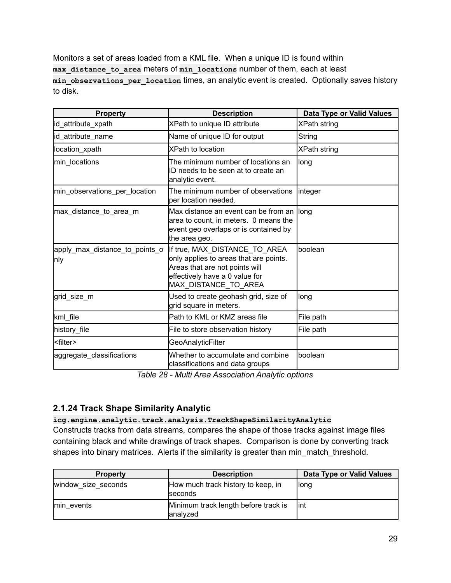Monitors a set of areas loaded from a KML file. When a unique ID is found within **max\_distance\_to\_area** meters of **min\_locations** number of them, each at least **min\_observations\_per\_location** times, an analytic event is created. Optionally saves history to disk.

| <b>Property</b>                       | <b>Description</b>                                                                                                                                                  | <b>Data Type or Valid Values</b> |
|---------------------------------------|---------------------------------------------------------------------------------------------------------------------------------------------------------------------|----------------------------------|
| id_attribute_xpath                    | XPath to unique ID attribute                                                                                                                                        | <b>XPath string</b>              |
| id attribute name                     | Name of unique ID for output                                                                                                                                        | String                           |
| location xpath                        | <b>XPath to location</b>                                                                                                                                            | <b>XPath string</b>              |
| min locations                         | The minimum number of locations an<br>ID needs to be seen at to create an<br>analytic event.                                                                        | long                             |
| min_observations_per_location         | The minimum number of observations<br>per location needed.                                                                                                          | integer                          |
| max_distance_to_area_m                | Max distance an event can be from an<br>area to count, in meters. 0 means the<br>event geo overlaps or is contained by<br>the area geo.                             | llong                            |
| apply_max_distance_to_points_o<br>nly | If true, MAX_DISTANCE_TO_AREA<br>only applies to areas that are points.<br>Areas that are not points will<br>effectively have a 0 value for<br>MAX DISTANCE_TO_AREA | boolean                          |
| grid_size_m                           | Used to create geohash grid, size of<br>grid square in meters.                                                                                                      | long                             |
| kml_file                              | Path to KML or KMZ areas file                                                                                                                                       | File path                        |
| history_file                          | File to store observation history                                                                                                                                   | File path                        |
| <filter></filter>                     | GeoAnalyticFilter                                                                                                                                                   |                                  |
| aggregate_classifications             | Whether to accumulate and combine<br>classifications and data groups                                                                                                | boolean                          |

*Table 28 - Multi Area Association Analytic options*

### <span id="page-28-0"></span>**2.1.24 Track Shape Similarity Analytic**

**icg.engine.analytic.track.analysis.TrackShapeSimilarityAnalytic** Constructs tracks from data streams, compares the shape of those tracks against image files containing black and white drawings of track shapes. Comparison is done by converting track shapes into binary matrices. Alerts if the similarity is greater than min\_match\_threshold.

| <b>Property</b>     | <b>Description</b>                                    | Data Type or Valid Values |
|---------------------|-------------------------------------------------------|---------------------------|
| window size seconds | How much track history to keep, in<br><b>Iseconds</b> | llong                     |
| Imin events         | Minimum track length before track is<br>lanalyzed     | lint                      |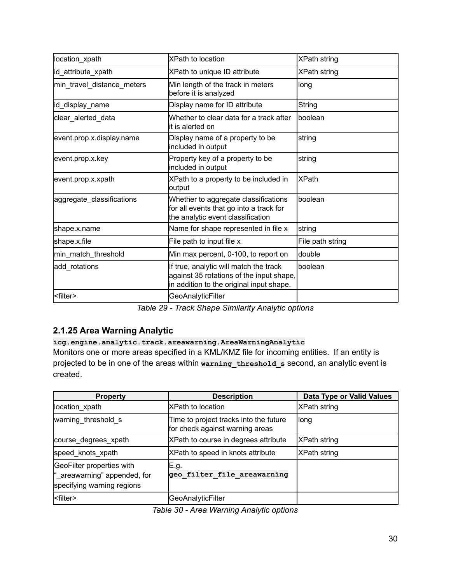| location_xpath             | <b>XPath to location</b>                                                                                                       | <b>XPath string</b> |
|----------------------------|--------------------------------------------------------------------------------------------------------------------------------|---------------------|
| id_attribute_xpath         | XPath to unique ID attribute                                                                                                   | <b>XPath string</b> |
| min_travel_distance_meters | Min length of the track in meters<br>before it is analyzed                                                                     | long                |
| id_display_name            | Display name for ID attribute                                                                                                  | <b>String</b>       |
| clear_alerted_data         | Whether to clear data for a track after<br>lit is alerted on                                                                   | boolean             |
| event.prop.x.display.name  | Display name of a property to be<br>included in output                                                                         | string              |
| event.prop.x.key           | Property key of a property to be<br>included in output                                                                         | string              |
| event.prop.x.xpath         | XPath to a property to be included in<br>output                                                                                | <b>XPath</b>        |
| aggregate_classifications  | Whether to aggregate classifications<br>for all events that go into a track for<br>the analytic event classification           | boolean             |
| shape.x.name               | Name for shape represented in file x                                                                                           | string              |
| shape.x.file               | File path to input file x                                                                                                      | File path string    |
| min_match_threshold        | Min max percent, 0-100, to report on                                                                                           | double              |
| add_rotations              | If true, analytic will match the track<br>against 35 rotations of the input shape,<br>in addition to the original input shape. | boolean             |
| <filter></filter>          | GeoAnalyticFilter                                                                                                              |                     |

*Table 29 - Track Shape Similarity Analytic options*

# <span id="page-29-0"></span>**2.1.25 Area Warning Analytic**

# **icg.engine.analytic.track.areawarning.AreaWarningAnalytic**

Monitors one or more areas specified in a KML/KMZ file for incoming entities. If an entity is projected to be in one of the areas within **warning\_threshold\_s** second, an analytic event is created.

| <b>Property</b>                                                                         | <b>Description</b>                                                        | Data Type or Valid Values |
|-----------------------------------------------------------------------------------------|---------------------------------------------------------------------------|---------------------------|
| location xpath                                                                          | IXPath to location                                                        | <b>XPath string</b>       |
| warning_threshold s                                                                     | Time to project tracks into the future<br>for check against warning areas | llong                     |
| course degrees xpath                                                                    | XPath to course in degrees attribute                                      | XPath string              |
| speed_knots_xpath                                                                       | XPath to speed in knots attribute                                         | XPath string              |
| GeoFilter properties with<br>"_areawarning" appended, for<br>specifying warning regions | E.g.<br>geo filter file areawarning                                       |                           |
| <filter></filter>                                                                       | <b>GeoAnalyticFilter</b>                                                  |                           |

*Table 30 - Area Warning Analytic options*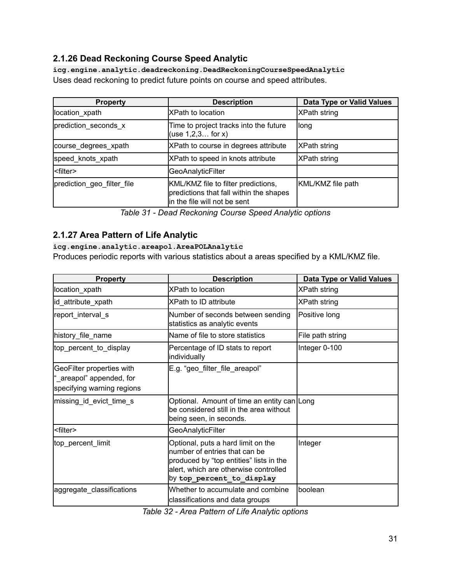# <span id="page-30-0"></span>**2.1.26 Dead Reckoning Course Speed Analytic**

**icg.engine.analytic.deadreckoning.DeadReckoningCourseSpeedAnalytic** Uses dead reckoning to predict future points on course and speed attributes.

| <b>Property</b>            | <b>Description</b>                                                                                             | Data Type or Valid Values |
|----------------------------|----------------------------------------------------------------------------------------------------------------|---------------------------|
| location_xpath             | <b>IXPath to location</b>                                                                                      | XPath string              |
| prediction_seconds_x       | Time to project tracks into the future<br>(use $1, 2, 3$ for x)                                                | long                      |
| course degrees xpath       | XPath to course in degrees attribute                                                                           | <b>XPath string</b>       |
| speed knots xpath          | XPath to speed in knots attribute                                                                              | XPath string              |
| <filter></filter>          | GeoAnalyticFilter                                                                                              |                           |
| prediction_geo_filter_file | KML/KMZ file to filter predictions,<br>predictions that fall within the shapes<br>in the file will not be sent | KML/KMZ file path         |

*Table 31 - Dead Reckoning Course Speed Analytic options*

### <span id="page-30-1"></span>**2.1.27 Area Pattern of Life Analytic**

#### **icg.engine.analytic.areapol.AreaPOLAnalytic**

Produces periodic reports with various statistics about a areas specified by a KML/KMZ file.

| <b>Property</b>                                                                     | <b>Description</b>                                                                                                                                                                   | Data Type or Valid Values |
|-------------------------------------------------------------------------------------|--------------------------------------------------------------------------------------------------------------------------------------------------------------------------------------|---------------------------|
| location_xpath                                                                      | <b>XPath to location</b>                                                                                                                                                             | <b>XPath string</b>       |
| id_attribute_xpath                                                                  | <b>XPath to ID attribute</b>                                                                                                                                                         | <b>XPath string</b>       |
| report_interval_s                                                                   | Number of seconds between sending<br>statistics as analytic events                                                                                                                   | Positive long             |
| history_file_name                                                                   | Name of file to store statistics                                                                                                                                                     | File path string          |
| top_percent_to_display                                                              | Percentage of ID stats to report<br>individually                                                                                                                                     | Integer 0-100             |
| GeoFilter properties with<br>"_areapol" appended, for<br>specifying warning regions | E.g. "geo_filter_file_areapol"                                                                                                                                                       |                           |
| missing_id_evict_time_s                                                             | Optional. Amount of time an entity can Long<br>be considered still in the area without<br>being seen, in seconds.                                                                    |                           |
| <filter></filter>                                                                   | GeoAnalyticFilter                                                                                                                                                                    |                           |
| top_percent_limit                                                                   | Optional, puts a hard limit on the<br>number of entries that can be<br>produced by "top entities" lists in the<br>alert, which are otherwise controlled<br>by top_percent_to_display | Integer                   |
| aggregate_classifications                                                           | Whether to accumulate and combine<br>classifications and data groups                                                                                                                 | lboolean                  |

*Table 32 - Area Pattern of Life Analytic options*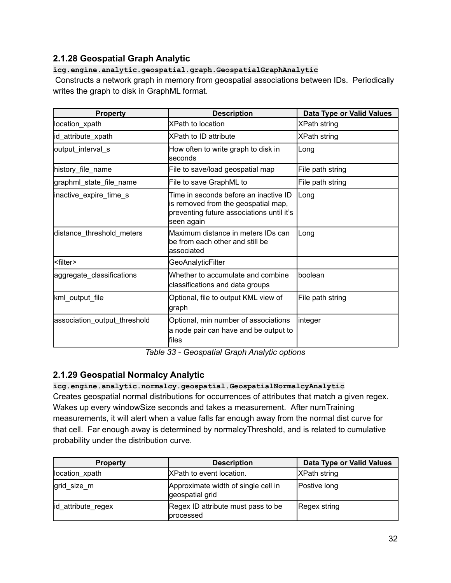# <span id="page-31-0"></span>**2.1.28 Geospatial Graph Analytic**

#### **icg.engine.analytic.geospatial.graph.GeospatialGraphAnalytic**

Constructs a network graph in memory from geospatial associations between IDs. Periodically writes the graph to disk in GraphML format.

| <b>Property</b>              | <b>Description</b>                                                                                                                      | Data Type or Valid Values |
|------------------------------|-----------------------------------------------------------------------------------------------------------------------------------------|---------------------------|
| location_xpath               | <b>XPath to location</b>                                                                                                                | XPath string              |
| id_attribute_xpath           | <b>XPath to ID attribute</b>                                                                                                            | <b>XPath string</b>       |
| output_interval_s            | How often to write graph to disk in<br>lseconds                                                                                         | Long                      |
| history_file_name            | File to save/load geospatial map                                                                                                        | File path string          |
| graphml_state_file_name      | File to save GraphML to                                                                                                                 | File path string          |
| inactive_expire_time_s       | Time in seconds before an inactive ID<br>is removed from the geospatial map,<br>preventing future associations until it's<br>seen again | Long                      |
| distance_threshold_meters    | Maximum distance in meters IDs can<br>be from each other and still be<br>lassociated                                                    | Long                      |
| <filter></filter>            | <b>GeoAnalyticFilter</b>                                                                                                                |                           |
| aggregate_classifications    | Whether to accumulate and combine<br>classifications and data groups                                                                    | boolean                   |
| kml_output_file              | Optional, file to output KML view of<br>graph                                                                                           | File path string          |
| association_output_threshold | Optional, min number of associations<br>a node pair can have and be output to<br>lfiles                                                 | integer                   |

*Table 33 - Geospatial Graph Analytic options*

### <span id="page-31-1"></span>**2.1.29 Geospatial Normalcy Analytic**

#### **icg.engine.analytic.normalcy.geospatial.GeospatialNormalcyAnalytic**

Creates geospatial normal distributions for occurrences of attributes that match a given regex. Wakes up every windowSize seconds and takes a measurement. After numTraining measurements, it will alert when a value falls far enough away from the normal dist curve for that cell. Far enough away is determined by normalcyThreshold, and is related to cumulative probability under the distribution curve.

| <b>Property</b>    | <b>Description</b>                                     | Data Type or Valid Values |
|--------------------|--------------------------------------------------------|---------------------------|
| location xpath     | XPath to event location.                               | <b>XPath string</b>       |
| grid size m        | Approximate width of single cell in<br>geospatial grid | Postive long              |
| id_attribute_regex | Regex ID attribute must pass to be<br>processed        | Regex string              |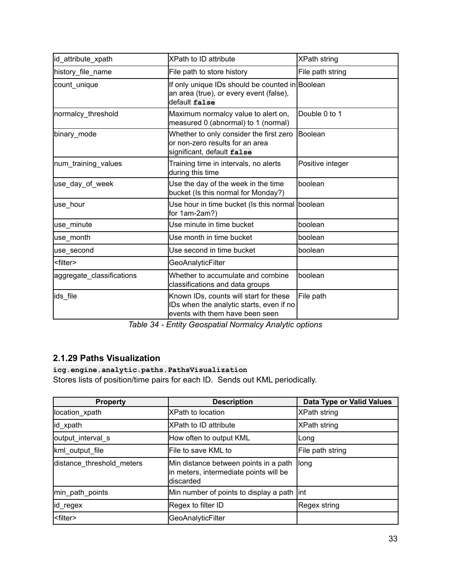| id_attribute_xpath        | <b>XPath to ID attribute</b>                                                                                          | <b>XPath string</b> |
|---------------------------|-----------------------------------------------------------------------------------------------------------------------|---------------------|
| history_file_name         | File path to store history                                                                                            | File path string    |
| count_unique              | If only unique IDs should be counted in Boolean<br>an area (true), or every event (false),<br>default false           |                     |
| normalcy_threshold        | Maximum normalcy value to alert on,<br>measured 0 (abnormal) to 1 (normal)                                            | Double 0 to 1       |
| binary mode               | Whether to only consider the first zero<br>lor non-zero results for an area<br>significant, default false             | Boolean             |
| num training values       | Training time in intervals, no alerts<br>during this time                                                             | Positive integer    |
| use_day_of_week           | Use the day of the week in the time<br>bucket (Is this normal for Monday?)                                            | boolean             |
| use_hour                  | Use hour in time bucket (Is this normal boolean<br>for 1am-2am?)                                                      |                     |
| use_minute                | Use minute in time bucket                                                                                             | boolean             |
| use month                 | Use month in time bucket                                                                                              | boolean             |
| use_second                | Use second in time bucket                                                                                             | boolean             |
| <filter></filter>         | GeoAnalyticFilter                                                                                                     |                     |
| aggregate_classifications | Whether to accumulate and combine<br>classifications and data groups                                                  | lboolean            |
| ids_file                  | Known IDs, counts will start for these<br>IDs when the analytic starts, even if no<br>events with them have been seen | File path           |

*Table 34 - Entity Geospatial Normalcy Analytic options*

# <span id="page-32-0"></span>**2.1.29 Paths Visualization**

**icg.engine.analytic.paths.PathsVisualization**

Stores lists of position/time pairs for each ID. Sends out KML periodically.

| <b>Property</b>           | <b>Description</b>                                                                           | Data Type or Valid Values |
|---------------------------|----------------------------------------------------------------------------------------------|---------------------------|
| location_xpath            | <b>XPath to location</b>                                                                     | XPath string              |
| lid_xpath                 | <b>XPath to ID attribute</b>                                                                 | XPath string              |
| output interval s         | How often to output KML                                                                      | <b>Long</b>               |
| kml_output_file           | File to save KML to                                                                          | File path string          |
| distance_threshold_meters | Min distance between points in a path<br>in meters, intermediate points will be<br>discarded | <b>long</b>               |
| min_path_points           | Min number of points to display a path lint                                                  |                           |
| lid_regex                 | Regex to filter ID                                                                           | Regex string              |
| <filter></filter>         | GeoAnalyticFilter                                                                            |                           |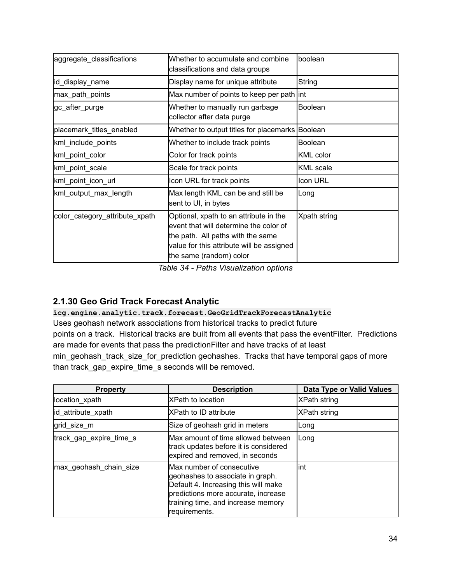| aggregate_classifications      | Whether to accumulate and combine<br>classifications and data groups                                                                                                                          | lboolean         |
|--------------------------------|-----------------------------------------------------------------------------------------------------------------------------------------------------------------------------------------------|------------------|
| id_display_name                | Display name for unique attribute                                                                                                                                                             | String           |
| max_path_points                | Max number of points to keep per path int                                                                                                                                                     |                  |
| gc_after_purge                 | Whether to manually run garbage<br>collector after data purge                                                                                                                                 | Boolean          |
| placemark_titles_enabled       | Whether to output titles for placemarks Boolean                                                                                                                                               |                  |
| kml_include_points             | Whether to include track points                                                                                                                                                               | <b>Boolean</b>   |
| kml_point_color                | Color for track points                                                                                                                                                                        | <b>KML</b> color |
| kml_point_scale                | Scale for track points                                                                                                                                                                        | <b>KML</b> scale |
| kml_point_icon_url             | Icon URL for track points                                                                                                                                                                     | Icon URL         |
| kml_output_max_length          | Max length KML can be and still be<br>sent to UI, in bytes                                                                                                                                    | Long             |
| color_category_attribute_xpath | Optional, xpath to an attribute in the<br>event that will determine the color of<br>the path. All paths with the same<br>value for this attribute will be assigned<br>the same (random) color | Xpath string     |

*Table 34 - Paths Visualization options*

# <span id="page-33-0"></span>**2.1.30 Geo Grid Track Forecast Analytic**

**icg.engine.analytic.track.forecast.GeoGridTrackForecastAnalytic** Uses geohash network associations from historical tracks to predict future points on a track. Historical tracks are built from all events that pass the eventFilter. Predictions are made for events that pass the predictionFilter and have tracks of at least min\_geohash\_track\_size\_for\_prediction geohashes. Tracks that have temporal gaps of more than track\_gap\_expire\_time\_s seconds will be removed.

| <b>Property</b>         | <b>Description</b>                                                                                                                                                                                  | Data Type or Valid Values |
|-------------------------|-----------------------------------------------------------------------------------------------------------------------------------------------------------------------------------------------------|---------------------------|
| location_xpath          | IXPath to location                                                                                                                                                                                  | <b>XPath string</b>       |
| id_attribute_xpath      | XPath to ID attribute                                                                                                                                                                               | XPath string              |
| grid_size_m             | Size of geohash grid in meters                                                                                                                                                                      | Long                      |
| track_gap_expire_time_s | Max amount of time allowed between<br>track updates before it is considered<br>expired and removed, in seconds                                                                                      | Long                      |
| max_geohash_chain_size  | Max number of consecutive<br>geohashes to associate in graph.<br>Default 4. Increasing this will make<br>predictions more accurate, increase<br>training time, and increase memory<br>requirements. | lint                      |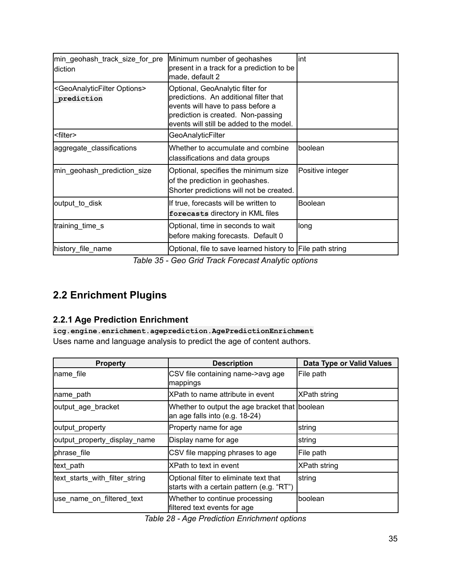| min_geohash_track_size_for_pre<br>diction                         | Minimum number of geohashes<br>present in a track for a prediction to be<br>made, default 2                                                                                                       | lint             |
|-------------------------------------------------------------------|---------------------------------------------------------------------------------------------------------------------------------------------------------------------------------------------------|------------------|
| <geoanalyticfilter options=""><br/>prediction</geoanalyticfilter> | Optional, GeoAnalytic filter for<br>predictions. An additional filter that<br>events will have to pass before a<br>prediction is created. Non-passing<br>events will still be added to the model. |                  |
| <filter></filter>                                                 | <b>GeoAnalyticFilter</b>                                                                                                                                                                          |                  |
| aggregate_classifications                                         | Whether to accumulate and combine<br>classifications and data groups                                                                                                                              | lboolean         |
| min_geohash_prediction_size                                       | Optional, specifies the minimum size<br>of the prediction in geohashes.<br>Shorter predictions will not be created.                                                                               | Positive integer |
| output_to_disk                                                    | If true, forecasts will be written to<br>forecasts directory in KML files                                                                                                                         | <b>Boolean</b>   |
| training_time_s                                                   | Optional, time in seconds to wait<br>before making forecasts. Default 0                                                                                                                           | long             |
| history file name                                                 | Optional, file to save learned history to File path string                                                                                                                                        |                  |

*Table 35 - Geo Grid Track Forecast Analytic options*

# <span id="page-34-0"></span>**2.2 Enrichment Plugins**

# <span id="page-34-1"></span>**2.2.1 Age Prediction Enrichment**

**icg.engine.enrichment.ageprediction.AgePredictionEnrichment** Uses name and language analysis to predict the age of content authors.

| <b>Property</b>                | <b>Description</b>                                                                  | <b>Data Type or Valid Values</b> |
|--------------------------------|-------------------------------------------------------------------------------------|----------------------------------|
| name file                      | CSV file containing name->avg age<br>mappings                                       | File path                        |
| name path                      | XPath to name attribute in event                                                    | XPath string                     |
| output_age_bracket             | Whether to output the age bracket that boolean<br>an age falls into (e.g. 18-24)    |                                  |
| output_property                | Property name for age                                                               | string                           |
| output_property_display_name   | Display name for age                                                                | string                           |
| phrase file                    | CSV file mapping phrases to age                                                     | File path                        |
| text_path                      | XPath to text in event                                                              | <b>XPath string</b>              |
| text_starts_with_filter_string | Optional filter to eliminate text that<br>starts with a certain pattern (e.g. "RT") | <b>string</b>                    |
| use_name_on_filtered_text      | Whether to continue processing<br>filtered text events for age                      | boolean                          |

*Table 28 - Age Prediction Enrichment options*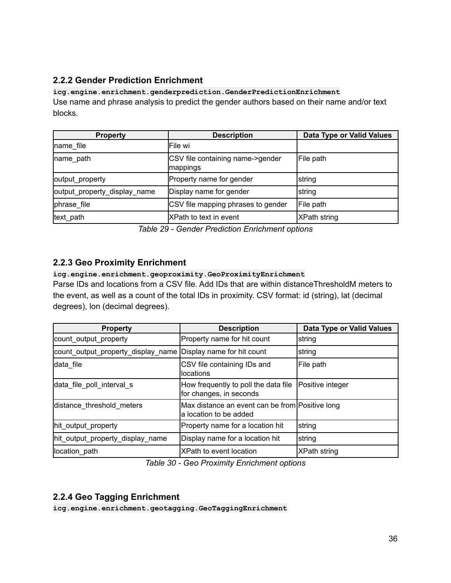# <span id="page-35-0"></span>**2.2.2 Gender Prediction Enrichment**

**icg.engine.enrichment.genderprediction.GenderPredictionEnrichment** Use name and phrase analysis to predict the gender authors based on their name and/or text blocks.

| <b>Property</b>              | <b>Description</b>                           | Data Type or Valid Values |
|------------------------------|----------------------------------------------|---------------------------|
| name file                    | lFile wi                                     |                           |
| name path                    | CSV file containing name->gender<br>mappings | File path                 |
| output_property              | Property name for gender                     | string                    |
| output_property_display_name | Display name for gender                      | <b>s</b> tring            |
| phrase_file                  | CSV file mapping phrases to gender           | File path                 |
| text path                    | XPath to text in event                       | XPath string              |

*Table 29 - Gender Prediction Enrichment options*

### <span id="page-35-1"></span>**2.2.3 Geo Proximity Enrichment**

**icg.engine.enrichment.geoproximity.GeoProximityEnrichment**

Parse IDs and locations from a CSV file. Add IDs that are within distanceThresholdM meters to the event, as well as a count of the total IDs in proximity. CSV format: id (string), lat (decimal degrees), lon (decimal degrees).

| <b>Property</b>                    | <b>Description</b>                                                        | Data Type or Valid Values |
|------------------------------------|---------------------------------------------------------------------------|---------------------------|
| count output property              | Property name for hit count                                               | string                    |
| count_output_property_display_name | Display name for hit count                                                | string                    |
| data file                          | CSV file containing IDs and<br>locations                                  | File path                 |
| data file poll interval s          | How frequently to poll the data file<br>for changes, in seconds           | Positive integer          |
| distance threshold meters          | Max distance an event can be from Positive long<br>a location to be added |                           |
| hit_output_property                | Property name for a location hit                                          | string                    |
| hit_output_property_display_name   | Display name for a location hit                                           | string                    |
| location_path                      | XPath to event location                                                   | XPath string              |

*Table 30 - Geo Proximity Enrichment options*

# <span id="page-35-2"></span>**2.2.4 Geo Tagging Enrichment**

**icg.engine.enrichment.geotagging.GeoTaggingEnrichment**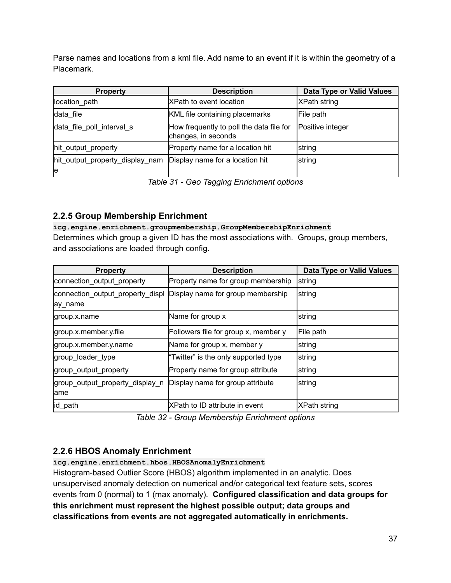Parse names and locations from a kml file. Add name to an event if it is within the geometry of a Placemark.

| <b>Property</b>                       | <b>Description</b>                                              | Data Type or Valid Values |
|---------------------------------------|-----------------------------------------------------------------|---------------------------|
| location path                         | <b>XPath to event location</b>                                  | <b>XPath string</b>       |
| data file                             | KML file containing placemarks                                  | File path                 |
| data_file_poll_interval_s             | How frequently to poll the data file for<br>changes, in seconds | Positive integer          |
| hit_output_property                   | Property name for a location hit                                | string                    |
| hit_output_property_display_nam<br>le | Display name for a location hit                                 | string                    |

*Table 31 - Geo Tagging Enrichment options*

# <span id="page-36-0"></span>**2.2.5 Group Membership Enrichment**

**icg.engine.enrichment.groupmembership.GroupMembershipEnrichment** Determines which group a given ID has the most associations with. Groups, group members, and associations are loaded through config.

| <b>Property</b>                             | <b>Description</b>                   | Data Type or Valid Values |
|---------------------------------------------|--------------------------------------|---------------------------|
| connection_output_property                  | Property name for group membership   | string                    |
| connection_output_property_displ<br>ay_name | Display name for group membership    | string                    |
| group.x.name                                | Name for group x                     | string                    |
| group.x.member.y.file                       | Followers file for group x, member y | File path                 |
| group.x.member.y.name                       | Name for group x, member y           | string                    |
| group_loader_type                           | "Twitter" is the only supported type | string                    |
| group_output_property                       | Property name for group attribute    | string                    |
| group_output_property_display_n<br>lame     | Display name for group attribute     | string                    |
| lid_path                                    | XPath to ID attribute in event       | XPath string              |

*Table 32 - Group Membership Enrichment options*

# <span id="page-36-1"></span>**2.2.6 HBOS Anomaly Enrichment**

**icg.engine.enrichment.hbos.HBOSAnomalyEnrichment**

Histogram-based Outlier Score (HBOS) algorithm implemented in an analytic. Does unsupervised anomaly detection on numerical and/or categorical text feature sets, scores events from 0 (normal) to 1 (max anomaly). **Configured classification and data groups for this enrichment must represent the highest possible output; data groups and classifications from events are not aggregated automatically in enrichments.**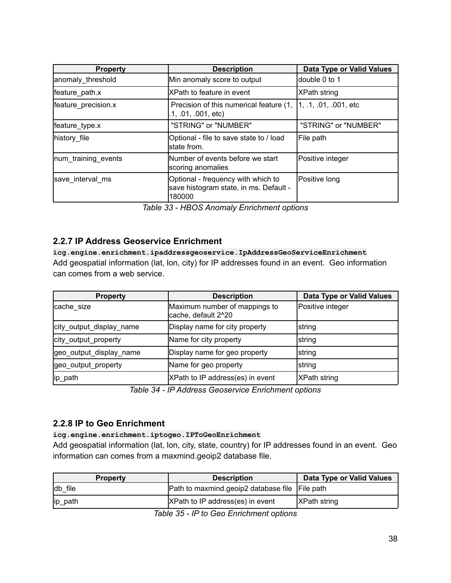| <b>Property</b>     | <b>Description</b>                                                                     | Data Type or Valid Values           |
|---------------------|----------------------------------------------------------------------------------------|-------------------------------------|
| anomaly threshold   | Min anomaly score to output                                                            | ldouble 0 to 1                      |
| feature path.x      | <b>XPath to feature in event</b>                                                       | <b>XPath string</b>                 |
| feature_precision.x | Precision of this numerical feature (1,<br>.1, .01, .001, etc.                         | $\vert 1, .1, .01, .001, etc \vert$ |
| feature_type.x      | "STRING" or "NUMBER"                                                                   | "STRING" or "NUMBER"                |
| history file        | Optional - file to save state to / load<br>Istate from.                                | File path                           |
| num_training_events | INumber of events before we start<br>scoring anomalies                                 | Positive integer                    |
| save interval ms    | Optional - frequency with which to<br>save histogram state, in ms. Default -<br>180000 | Positive long                       |

*Table 33 - HBOS Anomaly Enrichment options*

#### <span id="page-37-0"></span>**2.2.7 IP Address Geoservice Enrichment**

**icg.engine.enrichment.ipaddressgeoservice.IpAddressGeoServiceEnrichment** Add geospatial information (lat, lon, city) for IP addresses found in an event. Geo information can comes from a web service.

| <b>Property</b>          | <b>Description</b>                                   | Data Type or Valid Values |
|--------------------------|------------------------------------------------------|---------------------------|
| cache size               | Maximum number of mappings to<br>cache, default 2^20 | Positive integer          |
| city_output_display_name | Display name for city property                       | string                    |
| city_output_property     | Name for city property                               | string                    |
| geo_output_display_name  | Display name for geo property                        | string                    |
| geo_output_property      | Name for geo property                                | string                    |
| lip_path                 | XPath to IP address(es) in event                     | <b>XPath string</b>       |

*Table 34 - IP Address Geoservice Enrichment options*

#### <span id="page-37-1"></span>**2.2.8 IP to Geo Enrichment**

**icg.engine.enrichment.iptogeo.IPToGeoEnrichment**

Add geospatial information (lat, lon, city, state, country) for IP addresses found in an event. Geo information can comes from a maxmind.geoip2 database file.

| <b>Property</b> | <b>Description</b>                             | Data Type or Valid Values |
|-----------------|------------------------------------------------|---------------------------|
| db file         | Path to maxmind geoip2 database file File path |                           |
| ip_path         | XPath to IP address(es) in event               | <b>XPath string</b>       |

*Table 35 - IP to Geo Enrichment options*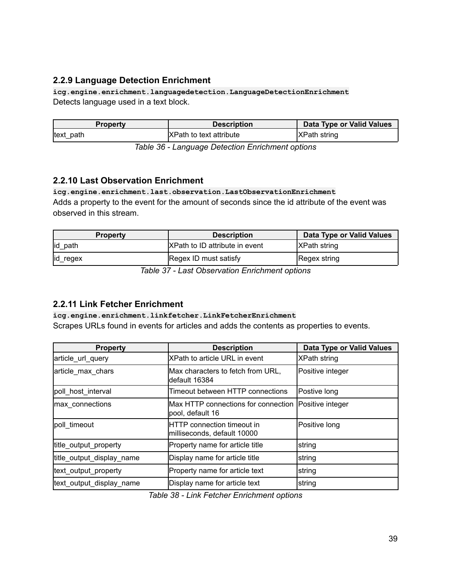# <span id="page-38-0"></span>**2.2.9 Language Detection Enrichment**

**icg.engine.enrichment.languagedetection.LanguageDetectionEnrichment** Detects language used in a text block.

| <b>Property</b> | <b>Description</b>             | Data Type or Valid Values |
|-----------------|--------------------------------|---------------------------|
| text path       | <b>XPath to text attribute</b> | <b>XPath string</b>       |

*Table 36 - Language Detection Enrichment options*

### <span id="page-38-1"></span>**2.2.10 Last Observation Enrichment**

**icg.engine.enrichment.last.observation.LastObservationEnrichment** Adds a property to the event for the amount of seconds since the id attribute of the event was observed in this stream.

| <b>Property</b> | <b>Description</b>              | Data Type or Valid Values |
|-----------------|---------------------------------|---------------------------|
| id_path         | IXPath to ID attribute in event | <b>XPath string</b>       |
| id_regex        | Regex ID must satisfy           | Regex string              |

*Table 37 - Last Observation Enrichment options*

#### <span id="page-38-2"></span>**2.2.11 Link Fetcher Enrichment**

**icg.engine.enrichment.linkfetcher.LinkFetcherEnrichment**

Scrapes URLs found in events for articles and adds the contents as properties to events.

| <b>Property</b>           | <b>Description</b>                                               | Data Type or Valid Values |
|---------------------------|------------------------------------------------------------------|---------------------------|
| article_url_query         | <b>XPath to article URL in event</b>                             | XPath string              |
| article max chars         | Max characters to fetch from URL,<br>default 16384               | Positive integer          |
| poll host interval        | Timeout between HTTP connections                                 | Postive long              |
| max connections           | Max HTTP connections for connection<br>pool, default 16          | Positive integer          |
| poll timeout              | <b>HTTP</b> connection timeout in<br>milliseconds, default 10000 | Positive long             |
| title_output_property     | Property name for article title                                  | string                    |
| title_output_display_name | Display name for article title                                   | string                    |
| text_output_property      | Property name for article text                                   | string                    |
| text_output_display_name  | Display name for article text                                    | string                    |

*Table 38 - Link Fetcher Enrichment options*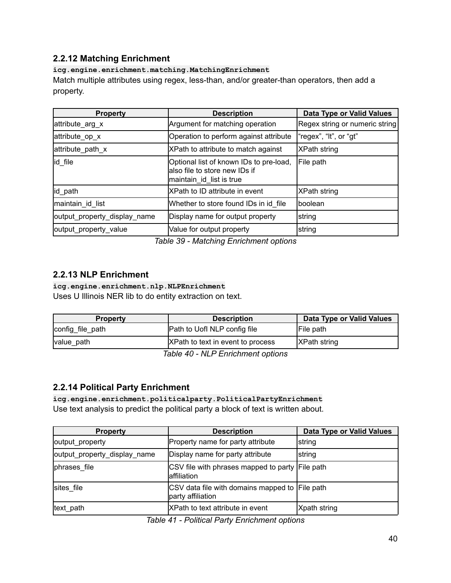### <span id="page-39-0"></span>**2.2.12 Matching Enrichment**

#### **icg.engine.enrichment.matching.MatchingEnrichment**

Match multiple attributes using regex, less-than, and/or greater-than operators, then add a property.

| <b>Property</b>              | <b>Description</b>                                                                                    | Data Type or Valid Values      |
|------------------------------|-------------------------------------------------------------------------------------------------------|--------------------------------|
| attribute_arg_x              | Argument for matching operation                                                                       | Regex string or numeric string |
| attribute_op_x               | Operation to perform against attribute                                                                | "regex", "It", or "gt"         |
| attribute_path_x             | XPath to attribute to match against                                                                   | <b>XPath string</b>            |
| id file                      | Optional list of known IDs to pre-load,<br>lalso file to store new IDs if<br>maintain_id_list is true | File path                      |
| id path                      | XPath to ID attribute in event                                                                        | XPath string                   |
| maintain_id_list             | Whether to store found IDs in id file                                                                 | Iboolean                       |
| output_property_display_name | Display name for output property                                                                      | string                         |
| output_property_value        | Value for output property                                                                             | string                         |

*Table 39 - Matching Enrichment options*

### <span id="page-39-1"></span>**2.2.13 NLP Enrichment**

#### **icg.engine.enrichment.nlp.NLPEnrichment**

Uses U Illinois NER lib to do entity extraction on text.

| <b>Property</b>  | <b>Description</b>                  | Data Type or Valid Values |
|------------------|-------------------------------------|---------------------------|
| config_file_path | <b>Path to Uofl NLP config file</b> | File path                 |
| value_path       | XPath to text in event to process   | <b>IXPath string</b>      |
|                  | $T - L = 40$ all $D T - L = L = 4$  |                           |

*Table 40 - NLP Enrichment options*

#### <span id="page-39-2"></span>**2.2.14 Political Party Enrichment**

**icg.engine.enrichment.politicalparty.PoliticalPartyEnrichment** Use text analysis to predict the political party a block of text is written about.

| <b>Property</b>              | <b>Description</b>                                                  | Data Type or Valid Values |
|------------------------------|---------------------------------------------------------------------|---------------------------|
| output_property              | Property name for party attribute                                   | string                    |
| output_property_display_name | Display name for party attribute                                    | <b>s</b> tring            |
| phrases file                 | CSV file with phrases mapped to party File path<br>laffiliation     |                           |
| sites file                   | CSV data file with domains mapped to File path<br>party affiliation |                           |
| text path                    | <b>XPath to text attribute in event</b>                             | Xpath string              |

*Table 41 - Political Party Enrichment options*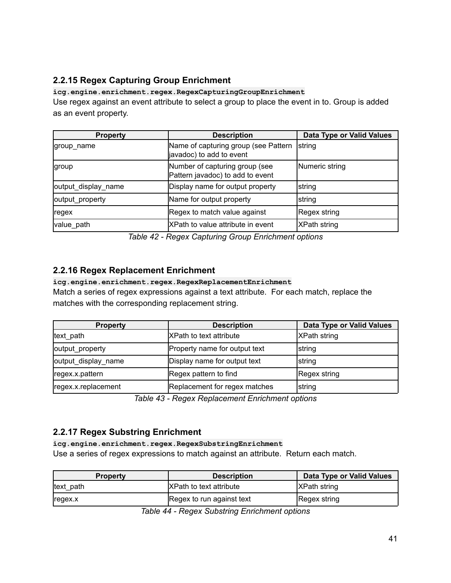# <span id="page-40-0"></span>**2.2.15 Regex Capturing Group Enrichment**

**icg.engine.enrichment.regex.RegexCapturingGroupEnrichment** Use regex against an event attribute to select a group to place the event in to. Group is added as an event property.

| <b>Property</b>     | <b>Description</b>                                                 | Data Type or Valid Values |
|---------------------|--------------------------------------------------------------------|---------------------------|
| group name          | Name of capturing group (see Pattern<br>javadoc) to add to event   | <b>string</b>             |
| group               | Number of capturing group (see<br>Pattern javadoc) to add to event | Numeric string            |
| output_display_name | Display name for output property                                   | string                    |
| output_property     | Name for output property                                           | <b>s</b> tring            |
| regex               | Regex to match value against                                       | Regex string              |
| value_path          | XPath to value attribute in event                                  | XPath string              |

*Table 42 - Regex Capturing Group Enrichment options*

# <span id="page-40-1"></span>**2.2.16 Regex Replacement Enrichment**

#### **icg.engine.enrichment.regex.RegexReplacementEnrichment**

Match a series of regex expressions against a text attribute. For each match, replace the matches with the corresponding replacement string.

| <b>Property</b>     | <b>Description</b>            | Data Type or Valid Values |
|---------------------|-------------------------------|---------------------------|
| text path           | IXPath to text attribute      | <b>XPath string</b>       |
| output_property     | Property name for output text | <b>String</b>             |
| output_display_name | Display name for output text  | <b>String</b>             |
| regex.x.pattern     | Regex pattern to find         | Regex string              |
| regex.x.replacement | Replacement for regex matches | string                    |

*Table 43 - Regex Replacement Enrichment options*

### <span id="page-40-2"></span>**2.2.17 Regex Substring Enrichment**

**icg.engine.enrichment.regex.RegexSubstringEnrichment**

Use a series of regex expressions to match against an attribute. Return each match.

| <b>Property</b>    | <b>Description</b>             | Data Type or Valid Values |
|--------------------|--------------------------------|---------------------------|
| text path          | <b>XPath to text attribute</b> | <b>XPath string</b>       |
| <sub>regex.x</sub> | Regex to run against text      | Regex string              |

*Table 44 - Regex Substring Enrichment options*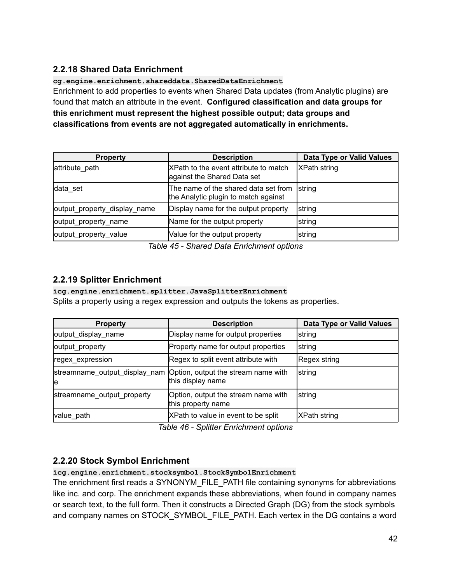# <span id="page-41-0"></span>**2.2.18 Shared Data Enrichment**

**cg.engine.enrichment.shareddata.SharedDataEnrichment**

Enrichment to add properties to events when Shared Data updates (from Analytic plugins) are found that match an attribute in the event. **Configured classification and data groups for this enrichment must represent the highest possible output; data groups and classifications from events are not aggregated automatically in enrichments.**

| <b>Property</b>              | <b>Description</b>                                                           | Data Type or Valid Values |
|------------------------------|------------------------------------------------------------------------------|---------------------------|
| attribute path               | XPath to the event attribute to match<br>against the Shared Data set         | <b>XPath string</b>       |
| data set                     | The name of the shared data set from<br>the Analytic plugin to match against | string                    |
| output_property_display_name | Display name for the output property                                         | string                    |
| output_property_name         | Name for the output property                                                 | string                    |
| output_property_value        | Value for the output property                                                | string                    |

*Table 45 - Shared Data Enrichment options*

# <span id="page-41-1"></span>**2.2.19 Splitter Enrichment**

**icg.engine.enrichment.splitter.JavaSplitterEnrichment** Splits a property using a regex expression and outputs the tokens as properties.

| <b>Property</b>                     | <b>Description</b>                                        | Data Type or Valid Values |
|-------------------------------------|-----------------------------------------------------------|---------------------------|
| output_display_name                 | Display name for output properties                        | string                    |
| output_property                     | Property name for output properties                       | string                    |
| regex_expression                    | Regex to split event attribute with                       | Regex string              |
| streamname_output_display_nam<br>le | Option, output the stream name with<br>this display name  | string                    |
| streamname_output_property          | Option, output the stream name with<br>this property name | string                    |
| value_path                          | XPath to value in event to be split                       | <b>XPath string</b>       |

*Table 46 - Splitter Enrichment options*

### <span id="page-41-2"></span>**2.2.20 Stock Symbol Enrichment**

**icg.engine.enrichment.stocksymbol.StockSymbolEnrichment**

The enrichment first reads a SYNONYM\_FILE\_PATH file containing synonyms for abbreviations like inc. and corp. The enrichment expands these abbreviations, when found in company names or search text, to the full form. Then it constructs a Directed Graph (DG) from the stock symbols and company names on STOCK\_SYMBOL\_FILE\_PATH. Each vertex in the DG contains a word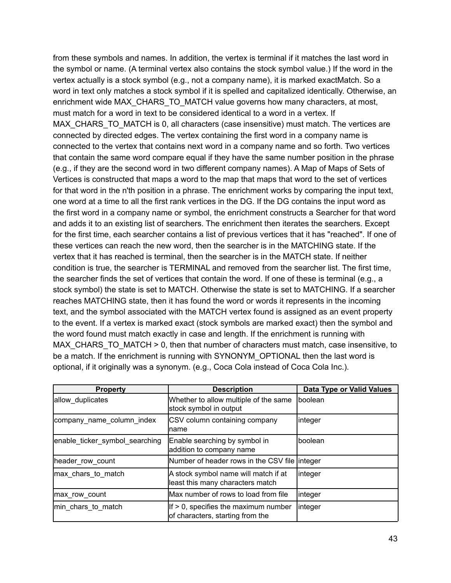from these symbols and names. In addition, the vertex is terminal if it matches the last word in the symbol or name. (A terminal vertex also contains the stock symbol value.) If the word in the vertex actually is a stock symbol (e.g., not a company name), it is marked exactMatch. So a word in text only matches a stock symbol if it is spelled and capitalized identically. Otherwise, an enrichment wide MAX\_CHARS\_TO\_MATCH value governs how many characters, at most, must match for a word in text to be considered identical to a word in a vertex. If MAX\_CHARS\_TO\_MATCH is 0, all characters (case insensitive) must match. The vertices are connected by directed edges. The vertex containing the first word in a company name is connected to the vertex that contains next word in a company name and so forth. Two vertices that contain the same word compare equal if they have the same number position in the phrase (e.g., if they are the second word in two different company names). A Map of Maps of Sets of Vertices is constructed that maps a word to the map that maps that word to the set of vertices for that word in the n'th position in a phrase. The enrichment works by comparing the input text, one word at a time to all the first rank vertices in the DG. If the DG contains the input word as the first word in a company name or symbol, the enrichment constructs a Searcher for that word and adds it to an existing list of searchers. The enrichment then iterates the searchers. Except for the first time, each searcher contains a list of previous vertices that it has "reached". If one of these vertices can reach the new word, then the searcher is in the MATCHING state. If the vertex that it has reached is terminal, then the searcher is in the MATCH state. If neither condition is true, the searcher is TERMINAL and removed from the searcher list. The first time, the searcher finds the set of vertices that contain the word. If one of these is terminal (e.g., a stock symbol) the state is set to MATCH. Otherwise the state is set to MATCHING. If a searcher reaches MATCHING state, then it has found the word or words it represents in the incoming text, and the symbol associated with the MATCH vertex found is assigned as an event property to the event. If a vertex is marked exact (stock symbols are marked exact) then the symbol and the word found must match exactly in case and length. If the enrichment is running with MAX CHARS TO MATCH  $> 0$ , then that number of characters must match, case insensitive, to be a match. If the enrichment is running with SYNONYM\_OPTIONAL then the last word is optional, if it originally was a synonym. (e.g., Coca Cola instead of Coca Cola Inc.).

| <b>Property</b>                | <b>Description</b>                                                          | Data Type or Valid Values |
|--------------------------------|-----------------------------------------------------------------------------|---------------------------|
| allow duplicates               | Whether to allow multiple of the same<br>stock symbol in output             | <b>Iboolean</b>           |
| company_name_column_index      | <b>CSV</b> column containing company<br>Iname                               | linteger                  |
| enable_ticker_symbol_searching | Enable searching by symbol in<br>addition to company name                   | boolean                   |
| header_row_count               | Number of header rows in the CSV file linteger                              |                           |
| max chars to match             | A stock symbol name will match if at<br>least this many characters match    | linteger                  |
| max row count                  | Max number of rows to load from file                                        | linteger                  |
| min_chars_to_match             | $If > 0$ , specifies the maximum number<br>of characters, starting from the | linteger                  |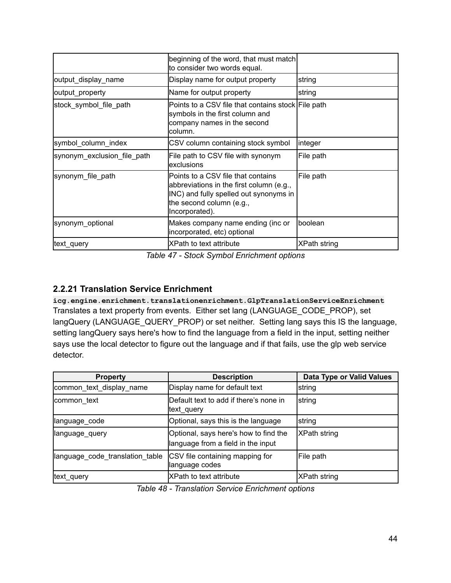|                             | beginning of the word, that must match<br>to consider two words equal.                                                                                                 |                     |
|-----------------------------|------------------------------------------------------------------------------------------------------------------------------------------------------------------------|---------------------|
| output_display_name         | Display name for output property                                                                                                                                       | string              |
| output_property             | Name for output property                                                                                                                                               | string              |
| stock_symbol_file_path      | Points to a CSV file that contains stock File path<br>symbols in the first column and<br>company names in the second<br>column.                                        |                     |
| symbol_column_index         | CSV column containing stock symbol                                                                                                                                     | integer             |
| synonym exclusion file path | File path to CSV file with synonym<br>lexclusions                                                                                                                      | File path           |
| synonym file path           | Points to a CSV file that contains<br>abbreviations in the first column (e.g.,<br>INC) and fully spelled out synonyms in<br>the second column (e.g.,<br>Incorporated). | File path           |
| synonym_optional            | Makes company name ending (inc or<br>incorporated, etc) optional                                                                                                       | <b>Iboolean</b>     |
| text_query                  | IXPath to text attribute                                                                                                                                               | <b>XPath string</b> |

*Table 47 - Stock Symbol Enrichment options*

# <span id="page-43-0"></span>**2.2.21 Translation Service Enrichment**

**icg.engine.enrichment.translationenrichment.GlpTranslationServiceEnrichment** Translates a text property from events. Either set lang (LANGUAGE\_CODE\_PROP), set langQuery (LANGUAGE\_QUERY\_PROP) or set neither. Setting lang says this IS the language, setting langQuery says here's how to find the language from a field in the input, setting neither says use the local detector to figure out the language and if that fails, use the glp web service detector.

| <b>Property</b>                 | <b>Description</b>                                                          | Data Type or Valid Values |
|---------------------------------|-----------------------------------------------------------------------------|---------------------------|
| common_text_display_name        | Display name for default text                                               | <b>s</b> tring            |
| common text                     | Default text to add if there's none in<br>text_query                        | string                    |
| language_code                   | Optional, says this is the language                                         | string                    |
| llanguage_query                 | Optional, says here's how to find the<br>language from a field in the input | <b>XPath string</b>       |
| language_code_translation_table | CSV file containing mapping for<br>language codes                           | File path                 |
| text_query                      | <b>XPath to text attribute</b>                                              | XPath string              |

*Table 48 - Translation Service Enrichment options*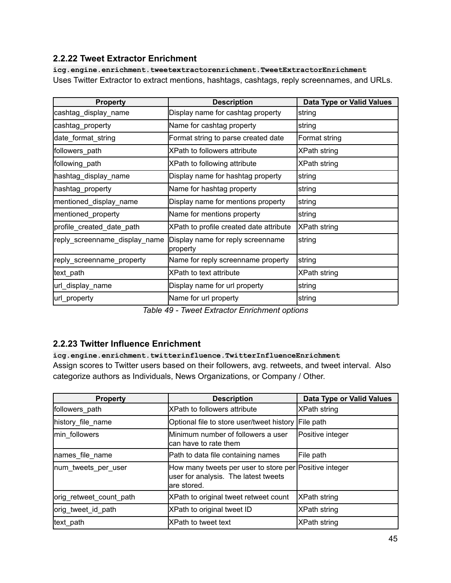### <span id="page-44-0"></span>**2.2.22 Tweet Extractor Enrichment**

**icg.engine.enrichment.tweetextractorenrichment.TweetExtractorEnrichment** Uses Twitter Extractor to extract mentions, hashtags, cashtags, reply screennames, and URLs.

| <b>Property</b>               | <b>Description</b>                            | Data Type or Valid Values |
|-------------------------------|-----------------------------------------------|---------------------------|
| cashtag_display_name          | Display name for cashtag property             | ∣string                   |
| cashtag_property              | Name for cashtag property                     | string                    |
| date_format_string            | Format string to parse created date           | Format string             |
| followers_path                | XPath to followers attribute                  | <b>XPath string</b>       |
| following_path                | XPath to following attribute                  | XPath string              |
| hashtag_display_name          | Display name for hashtag property             | string                    |
| hashtag_property              | Name for hashtag property                     | string                    |
| mentioned_display_name        | Display name for mentions property            | string                    |
| mentioned_property            | Name for mentions property                    | string                    |
| profile_created_date_path     | XPath to profile created date attribute       | XPath string              |
| reply_screenname_display_name | Display name for reply screenname<br>property | string                    |
| reply_screenname_property     | Name for reply screenname property            | string                    |
| text_path                     | XPath to text attribute                       | XPath string              |
| url_display_name              | Display name for url property                 | ∣string                   |
| url_property                  | Name for url property                         | string                    |

*Table 49 - Tweet Extractor Enrichment options*

### <span id="page-44-1"></span>**2.2.23 Twitter Influence Enrichment**

**icg.engine.enrichment.twitterinfluence.TwitterInfluenceEnrichment** Assign scores to Twitter users based on their followers, avg. retweets, and tweet interval. Also categorize authors as Individuals, News Organizations, or Company / Other.

| <b>Property</b>         | <b>Description</b>                                                                                            | Data Type or Valid Values |
|-------------------------|---------------------------------------------------------------------------------------------------------------|---------------------------|
| followers_path          | <b>XPath to followers attribute</b>                                                                           | XPath string              |
| history file name       | Optional file to store user/tweet history                                                                     | File path                 |
| min followers           | Minimum number of followers a user<br>can have to rate them                                                   | Positive integer          |
| names file name         | Path to data file containing names                                                                            | File path                 |
| num_tweets_per_user     | How many tweets per user to store per Positive integer<br>user for analysis. The latest tweets<br>are stored. |                           |
| orig retweet count path | XPath to original tweet retweet count                                                                         | <b>XPath string</b>       |
| orig_tweet_id_path      | XPath to original tweet ID                                                                                    | XPath string              |
| text path               | <b>XPath to tweet text</b>                                                                                    | XPath string              |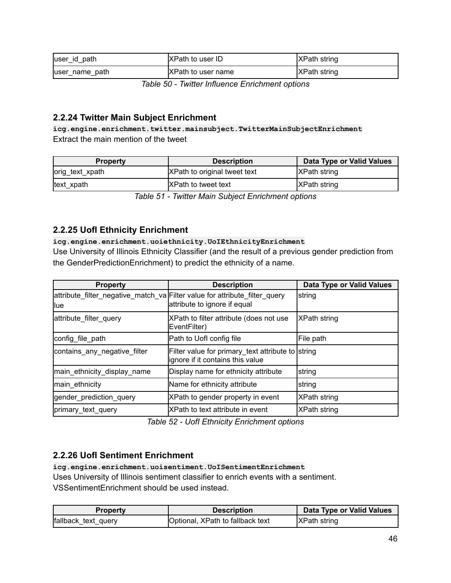| luser id path   | <b>XPath to user ID</b>   | <b>XPath string</b> |
|-----------------|---------------------------|---------------------|
| luser name path | <b>XPath to user name</b> | <b>XPath string</b> |

*Table 50 - Twitter Influence Enrichment options*

### <span id="page-45-0"></span>**2.2.24 Twitter Main Subject Enrichment**

**icg.engine.enrichment.twitter.mainsubject.TwitterMainSubjectEnrichment** Extract the main mention of the tweet

| <b>Property</b> | <b>Description</b>           | Data Type or Valid Values |
|-----------------|------------------------------|---------------------------|
| orig_text_xpath | XPath to original tweet text | <b>XPath string</b>       |
| text_xpath      | <b>IXPath to tweet text</b>  | <b>XPath string</b>       |

*Table 51 - Twitter Main Subject Enrichment options*

### <span id="page-45-1"></span>**2.2.25 UofI Ethnicity Enrichment**

**icg.engine.enrichment.uoiethnicity.UoIEthnicityEnrichment**

Use University of Illinois Ethnicity Classifier (and the result of a previous gender prediction from the GenderPredictionEnrichment) to predict the ethnicity of a name.

| <b>Property</b>              | <b>Description</b>                                                                                         | Data Type or Valid Values |
|------------------------------|------------------------------------------------------------------------------------------------------------|---------------------------|
| <b>llue</b>                  | attribute_filter_negative_match_va Filter value for attribute_filter_query<br>attribute to ignore if equal | string                    |
| attribute_filter_query       | XPath to filter attribute (does not use<br>EventFilter)                                                    | <b>XPath string</b>       |
| config file path             | Path to Uofl config file                                                                                   | File path                 |
| contains any negative filter | Filter value for primary_text attribute to string<br>lignore if it contains this value                     |                           |
| main_ethnicity_display_name  | Display name for ethnicity attribute                                                                       | string                    |
| main ethnicity               | Name for ethnicity attribute                                                                               | string                    |
| gender_prediction_query      | XPath to gender property in event                                                                          | <b>XPath string</b>       |
| primary_text_query           | XPath to text attribute in event                                                                           | XPath string              |

*Table 52 - UofI Ethnicity Enrichment options*

### <span id="page-45-2"></span>**2.2.26 UofI Sentiment Enrichment**

**icg.engine.enrichment.uoisentiment.UoISentimentEnrichment**

Uses University of Illinois sentiment classifier to enrich events with a sentiment. VSSentimentEnrichment should be used instead.

| <b>Property</b>     | <b>Description</b>               | Data Type or Valid Values |
|---------------------|----------------------------------|---------------------------|
| fallback text query | Optional, XPath to fallback text | <b>XPath string</b>       |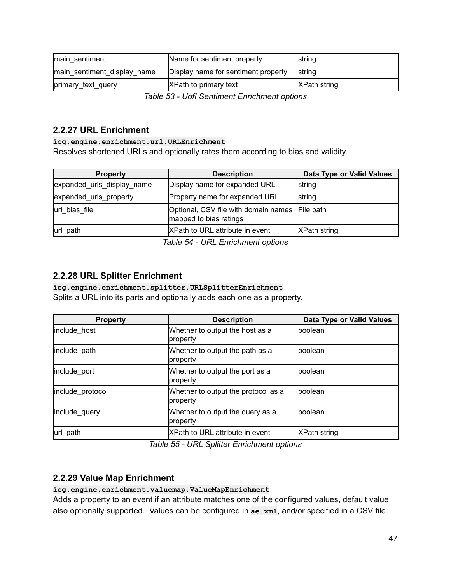| main sentiment              | Name for sentiment property         | <b>String</b>        |
|-----------------------------|-------------------------------------|----------------------|
| main sentiment display name | Display name for sentiment property | Istring              |
| primary_text_query          | <b>XPath to primary text</b>        | <b>IXPath string</b> |

*Table 53 - UofI Sentiment Enrichment options*

### <span id="page-46-0"></span>**2.2.27 URL Enrichment**

**icg.engine.enrichment.url.URLEnrichment** Resolves shortened URLs and optionally rates them according to bias and validity.

| <b>Property</b>            | <b>Description</b>                                                       | Data Type or Valid Values |
|----------------------------|--------------------------------------------------------------------------|---------------------------|
| expanded_urls_display_name | Display name for expanded URL                                            | <b>String</b>             |
| expanded_urls_property     | Property name for expanded URL                                           | <b>String</b>             |
| url bias file              | Optional, CSV file with domain names File path<br>mapped to bias ratings |                           |
| url path                   | <b>XPath to URL attribute in event</b>                                   | <b>XPath string</b>       |

*Table 54 - URL Enrichment options*

### <span id="page-46-1"></span>**2.2.28 URL Splitter Enrichment**

**icg.engine.enrichment.splitter.URLSplitterEnrichment**

Splits a URL into its parts and optionally adds each one as a property.

| <b>Property</b>  | <b>Description</b>                              | Data Type or Valid Values |
|------------------|-------------------------------------------------|---------------------------|
| include_host     | Whether to output the host as a<br>property     | Iboolean                  |
| include_path     | Whether to output the path as a<br>property     | <b>Iboolean</b>           |
| include port     | Whether to output the port as a<br>property     | Iboolean                  |
| include protocol | Whether to output the protocol as a<br>property | Iboolean                  |
| include_query    | Whether to output the query as a<br>property    | Iboolean                  |
| url_path         | XPath to URL attribute in event                 | XPath string              |

*Table 55 - URL Splitter Enrichment options*

#### <span id="page-46-2"></span>**2.2.29 Value Map Enrichment**

#### **icg.engine.enrichment.valuemap.ValueMapEnrichment**

Adds a property to an event if an attribute matches one of the configured values, default value also optionally supported. Values can be configured in **ae.xml**, and/or specified in a CSV file.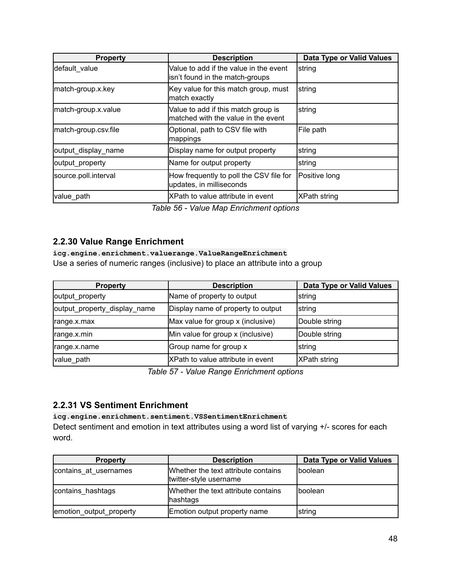| <b>Property</b>      | <b>Description</b>                                                          | <b>Data Type or Valid Values</b> |
|----------------------|-----------------------------------------------------------------------------|----------------------------------|
| default value        | Value to add if the value in the event<br>isn't found in the match-groups   | string                           |
| match-group.x.key    | Key value for this match group, must<br>match exactly                       | string                           |
| match-group.x.value  | Value to add if this match group is<br>Imatched with the value in the event | string                           |
| match-group.csv.file | Optional, path to CSV file with<br>mappings                                 | File path                        |
| output_display_name  | Display name for output property                                            | string                           |
| output property      | Name for output property                                                    | string                           |
| source.poll.interval | How frequently to poll the CSV file for<br>updates, in milliseconds         | Positive long                    |
| value_path           | XPath to value attribute in event                                           | <b>XPath string</b>              |

*Table 56 - Value Map Enrichment options*

#### <span id="page-47-0"></span>**2.2.30 Value Range Enrichment**

**icg.engine.enrichment.valuerange.ValueRangeEnrichment** Use a series of numeric ranges (inclusive) to place an attribute into a group

| <b>Property</b>              | <b>Description</b>                 | Data Type or Valid Values |
|------------------------------|------------------------------------|---------------------------|
| output_property              | Name of property to output         | string                    |
| output_property_display_name | Display name of property to output | string                    |
| range.x.max                  | Max value for group x (inclusive)  | Double string             |
| range.x.min                  | Min value for group x (inclusive)  | Double string             |
| range.x.name                 | Group name for group x             | string                    |
| value path                   | XPath to value attribute in event  | XPath string              |

*Table 57 - Value Range Enrichment options*

#### <span id="page-47-1"></span>**2.2.31 VS Sentiment Enrichment**

#### **icg.engine.enrichment.sentiment.VSSentimentEnrichment**

Detect sentiment and emotion in text attributes using a word list of varying +/- scores for each word.

| <b>Property</b>         | <b>Description</b>                                            | Data Type or Valid Values |
|-------------------------|---------------------------------------------------------------|---------------------------|
| contains at usernames   | Whether the text attribute contains<br>twitter-style username | Iboolean                  |
| contains hashtags       | Whether the text attribute contains<br>hashtags               | Iboolean                  |
| emotion output property | Emotion output property name                                  | <b>String</b>             |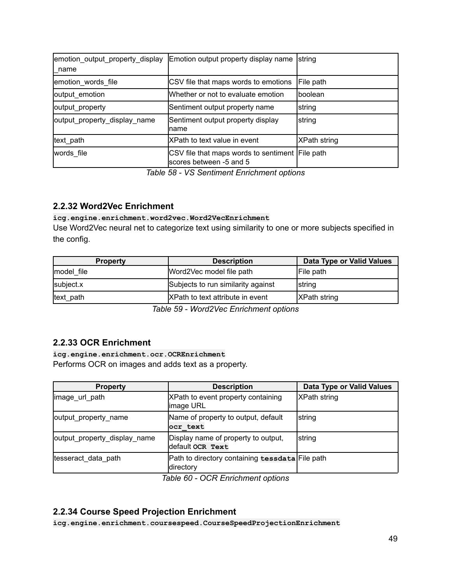| emotion_output_property_display<br>name | Emotion output property display name                                       | <b>String</b>       |
|-----------------------------------------|----------------------------------------------------------------------------|---------------------|
| emotion_words_file                      | CSV file that maps words to emotions                                       | File path           |
| output_emotion                          | Whether or not to evaluate emotion                                         | <b>Iboolean</b>     |
| output_property                         | Sentiment output property name                                             | string              |
| output_property_display_name            | Sentiment output property display<br>Iname                                 | string              |
| text_path                               | XPath to text value in event                                               | <b>XPath string</b> |
| words file                              | CSV file that maps words to sentiment File path<br>scores between -5 and 5 |                     |

*Table 58 - VS Sentiment Enrichment options*

### <span id="page-48-0"></span>**2.2.32 Word2Vec Enrichment**

#### **icg.engine.enrichment.word2vec.Word2VecEnrichment**

Use Word2Vec neural net to categorize text using similarity to one or more subjects specified in the config.

| <b>Property</b> | <b>Description</b>                      | Data Type or Valid Values |
|-----------------|-----------------------------------------|---------------------------|
| model file      | Word2Vec model file path                | <b>File path</b>          |
| subject.x       | Subjects to run similarity against      | <b>String</b>             |
| text path       | <b>XPath to text attribute in event</b> | <b>IXPath string</b>      |

*Table 59 - Word2Vec Enrichment options*

#### <span id="page-48-1"></span>**2.2.33 OCR Enrichment**

**icg.engine.enrichment.ocr.OCREnrichment** Performs OCR on images and adds text as a property.

| <b>Property</b>              | <b>Description</b>                                           | Data Type or Valid Values |
|------------------------------|--------------------------------------------------------------|---------------------------|
| image_url_path               | XPath to event property containing<br>image URL              | <b>XPath string</b>       |
| output_property_name         | Name of property to output, default<br>ocr text              | string                    |
| output_property_display_name | Display name of property to output,<br>default ocr Text      | string                    |
| tesseract data path          | Path to directory containing tessdata File path<br>directory |                           |

*Table 60 - OCR Enrichment options*

### <span id="page-48-2"></span>**2.2.34 Course Speed Projection Enrichment**

**icg.engine.enrichment.coursespeed.CourseSpeedProjectionEnrichment**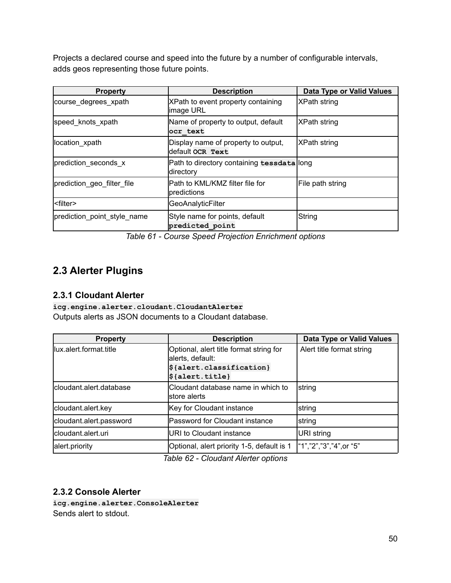Projects a declared course and speed into the future by a number of configurable intervals, adds geos representing those future points.

| <b>Property</b>             | <b>Description</b>                                      | Data Type or Valid Values |
|-----------------------------|---------------------------------------------------------|---------------------------|
| course_degrees_xpath        | XPath to event property containing<br>image URL         | <b>XPath string</b>       |
| speed knots xpath           | Name of property to output, default<br>ocr text         | <b>XPath string</b>       |
| location xpath              | Display name of property to output,<br>default ocr Text | XPath string              |
| prediction_seconds_x        | Path to directory containing tessdata long<br>directory |                           |
| prediction geo filter file  | Path to KML/KMZ filter file for<br>predictions          | File path string          |
| <filter></filter>           | <b>GeoAnalyticFilter</b>                                |                           |
| prediction_point_style_name | Style name for points, default<br>predicted point       | String                    |

*Table 61 - Course Speed Projection Enrichment options*

# <span id="page-49-0"></span>**2.3 Alerter Plugins**

### <span id="page-49-1"></span>**2.3.1 Cloudant Alerter**

**icg.engine.alerter.cloudant.CloudantAlerter** Outputs alerts as JSON documents to a Cloudant database.

| <b>Property</b>         | <b>Description</b>                                                                 | Data Type or Valid Values |
|-------------------------|------------------------------------------------------------------------------------|---------------------------|
| llux.alert.format.title | Optional, alert title format string for<br>alerts, default:                        | Alert title format string |
|                         | $\frac{1}{2}$ {alert.classification}<br>$ \boldsymbol{\mathsf{\$}}\$ {alert.title} |                           |
| cloudant.alert.database | Cloudant database name in which to<br>Istore alerts                                | string                    |
| cloudant.alert.key      | Key for Cloudant instance                                                          | string                    |
| cloudant.alert.password | Password for Cloudant instance                                                     | string                    |
| cloudant.alert.uri      | URI to Cloudant instance                                                           | URI string                |
| alert.priority          | Optional, alert priority 1-5, default is 1<br>— '' aa a' '' ''' ''                 | "1","2","3","4",or "5"    |

*Table 62 - Cloudant Alerter options*

#### <span id="page-49-2"></span>**2.3.2 Console Alerter**

**icg.engine.alerter.ConsoleAlerter** Sends alert to stdout.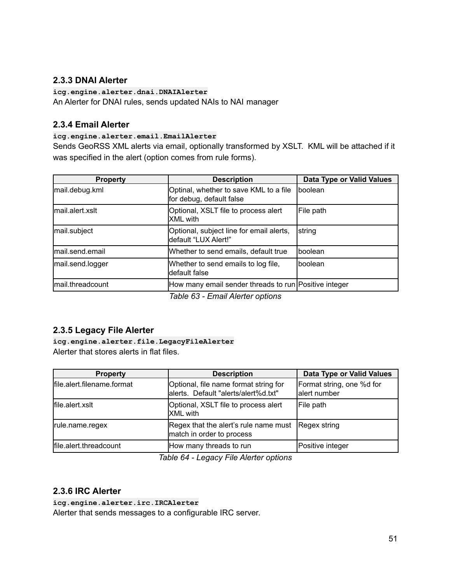### <span id="page-50-0"></span>**2.3.3 DNAI Alerter**

#### **icg.engine.alerter.dnai.DNAIAlerter**

An Alerter for DNAI rules, sends updated NAIs to NAI manager

#### <span id="page-50-1"></span>**2.3.4 Email Alerter**

#### **icg.engine.alerter.email.EmailAlerter**

Sends GeoRSS XML alerts via email, optionally transformed by XSLT. KML will be attached if it was specified in the alert (option comes from rule forms).

| <b>Property</b>  | <b>Description</b>                                                 | Data Type or Valid Values |
|------------------|--------------------------------------------------------------------|---------------------------|
| mail.debug.kml   | Optinal, whether to save KML to a file<br>for debug, default false | <b>I</b> boolean          |
| mail.alert.xslt  | Optional, XSLT file to process alert<br><b>XML</b> with            | File path                 |
| mail.subject     | Optional, subject line for email alerts,<br>default "LUX Alert!"   | string                    |
| mail.send.email  | Whether to send emails, default true                               | Iboolean                  |
| mail.send.logger | Whether to send emails to log file,<br>default false               | Iboolean                  |
| mail.threadcount | How many email sender threads to run Positive integer              |                           |
|                  | Tahle 63 - Email Alerter ontions                                   |                           |

*Table 63 - Email Alerter options*

### <span id="page-50-2"></span>**2.3.5 Legacy File Alerter**

**icg.engine.alerter.file.LegacyFileAlerter** Alerter that stores alerts in flat files.

| <b>Property</b>            | <b>Description</b>                                                            | Data Type or Valid Values                 |
|----------------------------|-------------------------------------------------------------------------------|-------------------------------------------|
| file.alert.filename.format | Optional, file name format string for<br>alerts. Default "alerts/alert%d.txt" | Format string, one %d for<br>alert number |
| file.alert.xslt            | Optional, XSLT file to process alert<br><b>XML</b> with                       | File path                                 |
| rule.name.regex            | Regex that the alert's rule name must<br>match in order to process            | Regex string                              |
| file.alert.threadcount     | How many threads to run                                                       | Positive integer                          |

*Table 64 - Legacy File Alerter options*

### <span id="page-50-3"></span>**2.3.6 IRC Alerter**

**icg.engine.alerter.irc.IRCAlerter**

Alerter that sends messages to a configurable IRC server.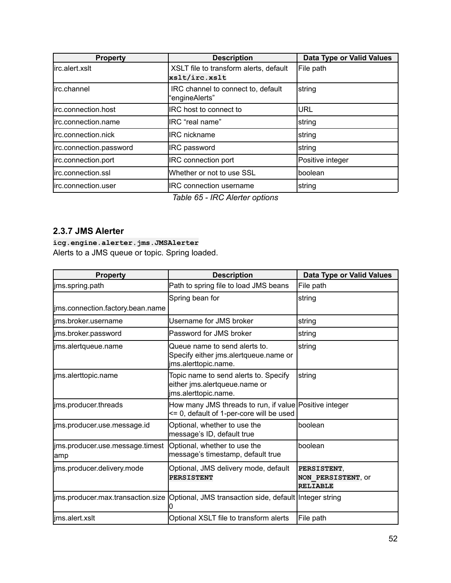| <b>Property</b>         | <b>Description</b>                                      | Data Type or Valid Values |
|-------------------------|---------------------------------------------------------|---------------------------|
| lirc.alert.xslt         | XSLT file to transform alerts, default<br>xslt/irc.xslt | File path                 |
| lirc.channel            | IRC channel to connect to, default<br>"engineAlerts"    | string                    |
| lirc.connection.host    | <b>IRC</b> host to connect to                           | URL                       |
| lirc.connection.name    | IRC "real name"                                         | <b>string</b>             |
| lirc.connection.nick    | <b>IRC</b> nickname                                     | Istring                   |
| irc.connection.password | <b>IRC</b> password                                     | string                    |
| irc.connection.port     | <b>IRC</b> connection port                              | Positive integer          |
| lirc.connection.ssl     | Whether or not to use SSL                               | boolean                   |
| lirc.connection.user    | <b>IRC</b> connection username                          | string                    |

*Table 65 - IRC Alerter options*

#### <span id="page-51-0"></span>**2.3.7 JMS Alerter**

**icg.engine.alerter.jms.JMSAlerter** Alerts to a JMS queue or topic. Spring loaded.

| <b>Property</b>                          | <b>Description</b>                                                                                 | <b>Data Type or Valid Values</b>                     |
|------------------------------------------|----------------------------------------------------------------------------------------------------|------------------------------------------------------|
| jms.spring.path                          | Path to spring file to load JMS beans                                                              | File path                                            |
|                                          | Spring bean for                                                                                    | string                                               |
| lims.connection.factory.bean.name        |                                                                                                    |                                                      |
| ims.broker.username                      | Username for JMS broker                                                                            | string                                               |
| jms.broker.password                      | Password for JMS broker                                                                            | string                                               |
| jms.alertqueue.name                      | Queue name to send alerts to.<br>Specify either jms.alertqueue.name or<br>ims.alerttopic.name.     | string                                               |
| ims.alerttopic.name                      | Topic name to send alerts to. Specify<br>either jms.alertqueue.name or<br>jms.alerttopic.name.     | string                                               |
| ims.producer.threads                     | How many JMS threads to run, if value Positive integer<br><= 0, default of 1-per-core will be used |                                                      |
| jms.producer.use.message.id              | Optional, whether to use the<br>message's ID, default true                                         | boolean                                              |
| ljms.producer.use.message.timest<br>lamp | Optional, whether to use the<br>message's timestamp, default true                                  | boolean                                              |
| ims.producer.delivery.mode               | Optional, JMS delivery mode, default<br><b>PERSISTENT</b>                                          | PERSISTENT,<br>NON PERSISTENT, OF<br><b>RELIABLE</b> |
|                                          | jms.producer.max.transaction.size  Optional, JMS transaction side, default  Integer string         |                                                      |
| ims.alert.xslt                           | Optional XSLT file to transform alerts                                                             | File path                                            |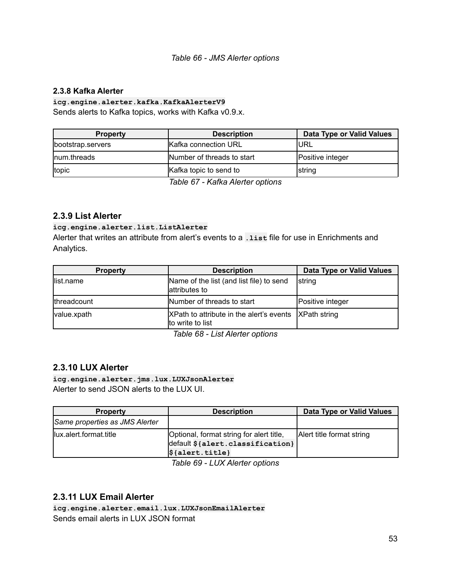#### *Table 66 - JMS Alerter options*

#### **2.3.8 Kafka Alerter**

#### **icg.engine.alerter.kafka.KafkaAlerterV9**

Sends alerts to Kafka topics, works with Kafka v0.9.x.

| <b>Property</b>   | <b>Description</b>           | Data Type or Valid Values |
|-------------------|------------------------------|---------------------------|
| bootstrap.servers | <b>IKafka connection URL</b> | <b>URL</b>                |
| Inum.threads      | Number of threads to start   | Positive integer          |
| topic             | Kafka topic to send to       | Istring                   |

*Table 67 - Kafka Alerter options*

#### <span id="page-52-0"></span>**2.3.9 List Alerter**

#### **icg.engine.alerter.list.ListAlerter**

Alerter that writes an attribute from alert's events to a **.list** file for use in Enrichments and Analytics.

| <b>Property</b> | <b>Description</b>                                                        | Data Type or Valid Values |
|-----------------|---------------------------------------------------------------------------|---------------------------|
| list.name       | Name of the list (and list file) to send<br>lattributes to                | string                    |
| threadcount     | Number of threads to start                                                | Positive integer          |
| value.xpath     | XPath to attribute in the alert's events XPath string<br>to write to list |                           |

*Table 68 - List Alerter options*

#### <span id="page-52-1"></span>**2.3.10 LUX Alerter**

**icg.engine.alerter.jms.lux.LUXJsonAlerter** Alerter to send JSON alerts to the LUX UI.

| <b>Property</b>                | <b>Description</b>                                                                                           | Data Type or Valid Values |
|--------------------------------|--------------------------------------------------------------------------------------------------------------|---------------------------|
| Same properties as JMS Alerter |                                                                                                              |                           |
| llux.alert.format.title        | Optional, format string for alert title,<br>default \${alert.classification}<br>$\frac{1}{2}$ {alert. title} | Alert title format string |

*Table 69 - LUX Alerter options*

#### <span id="page-52-2"></span>**2.3.11 LUX Email Alerter**

**icg.engine.alerter.email.lux.LUXJsonEmailAlerter** Sends email alerts in LUX JSON format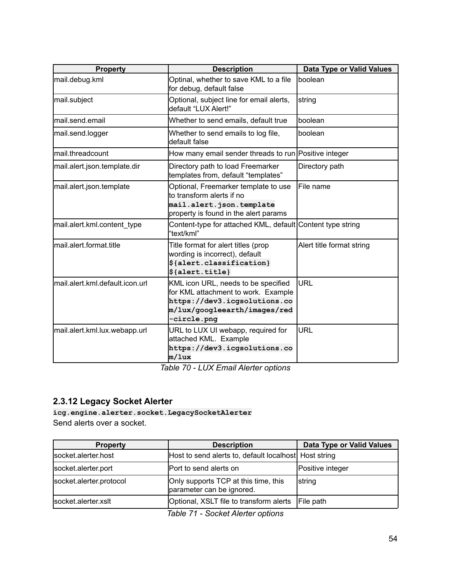| <b>Property</b>                  | <b>Description</b>                                                                                                                                        | Data Type or Valid Values |
|----------------------------------|-----------------------------------------------------------------------------------------------------------------------------------------------------------|---------------------------|
| mail.debug.kml                   | Optinal, whether to save KML to a file<br>for debug, default false                                                                                        | boolean                   |
| mail.subject                     | Optional, subject line for email alerts,<br>default "LUX Alert!"                                                                                          | string                    |
| lmail.send.email                 | Whether to send emails, default true                                                                                                                      | boolean                   |
| mail.send.logger                 | Whether to send emails to log file,<br>default false                                                                                                      | boolean                   |
| lmail.threadcount                | How many email sender threads to run Positive integer                                                                                                     |                           |
| mail.alert.json.template.dir     | Directory path to load Freemarker<br>templates from, default "templates"                                                                                  | Directory path            |
| mail.alert.json.template         | Optional, Freemarker template to use<br>to transform alerts if no<br>mail.alert.json.template<br>property is found in the alert params                    | lFile name                |
| mail.alert.kml.content type      | Content-type for attached KML, default Content type string<br>"text/kml"                                                                                  |                           |
| lmail.alert.format.title         | Title format for alert titles (prop<br>wording is incorrect), default<br>\${alert.classification}<br>\${alert.title}                                      | Alert title format string |
| lmail.alert.kml.default.icon.url | KML icon URL, needs to be specified<br>for KML attachment to work. Example<br>https://dev3.icgsolutions.co<br>m/lux/googleearth/images/red<br>-circle.png | <b>URL</b>                |
| mail.alert.kml.lux.webapp.url    | URL to LUX UI webapp, required for<br>attached KML. Example<br>https://dev3.icgsolutions.co<br>m/lux                                                      | <b>URL</b>                |

*Table 70 - LUX Email Alerter options*

# <span id="page-53-0"></span>**2.3.12 Legacy Socket Alerter**

**icg.engine.alerter.socket.LegacySocketAlerter** Send alerts over a socket.

| <b>Property</b>         | <b>Description</b>                                                | Data Type or Valid Values |
|-------------------------|-------------------------------------------------------------------|---------------------------|
| socket.alerter.host     | Host to send alerts to, default localhost Host string             |                           |
| socket.alerter.port     | Port to send alerts on                                            | Positive integer          |
| socket.alerter.protocol | Only supports TCP at this time, this<br>parameter can be ignored. | <b>String</b>             |
| socket.alerter.xslt     | Optional, XSLT file to transform alerts                           | File path                 |

*Table 71 - Socket Alerter options*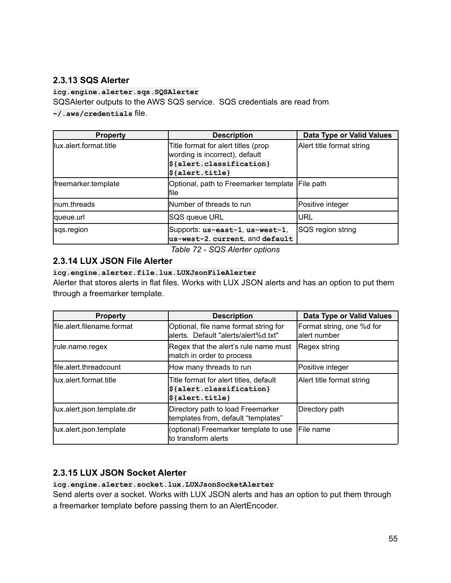### <span id="page-54-0"></span>**2.3.13 SQS Alerter**

**icg.engine.alerter.sqs.SQSAlerter**

SQSAlerter outputs to the AWS SQS service. SQS credentials are read from

**~/.aws/credentials** file.

| <b>Property</b>         | <b>Description</b>                                                    | Data Type or Valid Values |
|-------------------------|-----------------------------------------------------------------------|---------------------------|
| llux.alert.format.title | Title format for alert titles (prop<br>wording is incorrect), default | Alert title format string |
|                         | $\frac{1}{2}$ {alert.classification}                                  |                           |
|                         | $\beta$ {alert.title}                                                 |                           |
| freemarker.template     | Optional, path to Freemarker template File path<br>lfile              |                           |
| Inum.threads            | Number of threads to run                                              | Positive integer          |
| lqueue.url              | SQS queue URL                                                         | IURL                      |
| sqs.region              | Supports: us-east-1, us-west-1,<br>us-west-2, current, and default    | SQS region string         |

*Table 72 - SQS Alerter options*

### <span id="page-54-1"></span>**2.3.14 LUX JSON File Alerter**

### **icg.engine.alerter.file.lux.LUXJsonFileAlerter**

Alerter that stores alerts in flat files. Works with LUX JSON alerts and has an option to put them through a freemarker template.

| <b>Property</b>             | <b>Description</b>                                                                                      | Data Type or Valid Values                  |
|-----------------------------|---------------------------------------------------------------------------------------------------------|--------------------------------------------|
| file.alert.filename.format  | Optional, file name format string for<br>alerts. Default "alerts/alert%d.txt"                           | Format string, one %d for<br>lalert number |
| rule.name.regex             | Regex that the alert's rule name must<br>match in order to process                                      | Regex string                               |
| lfile.alert.threadcount     | How many threads to run                                                                                 | Positive integer                           |
| llux.alert.format.title     | Title format for alert titles, default<br>$\frac{1}{2}$ {alert.classification}<br>$\beta$ {alert.title} | Alert title format string                  |
| lux.alert.json.template.dir | Directory path to load Freemarker<br>templates from, default "templates"                                | Directory path                             |
| lux.alert.json.template     | (optional) Freemarker template to use<br>lto transform alerts                                           | <b>IFile name</b>                          |

# **2.3.15 LUX JSON Socket Alerter**

**icg.engine.alerter.socket.lux.LUXJsonSocketAlerter**

Send alerts over a socket. Works with LUX JSON alerts and has an option to put them through a freemarker template before passing them to an AlertEncoder.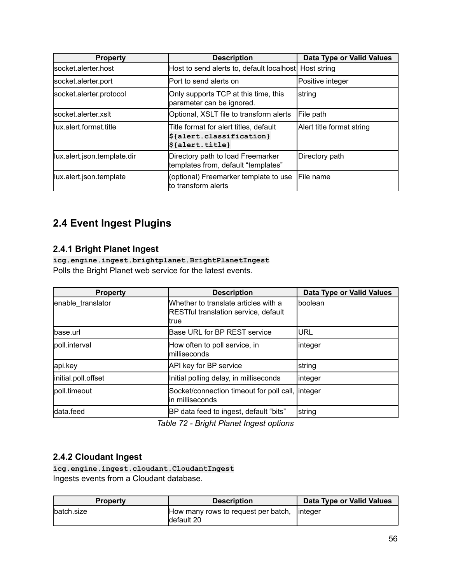| <b>Property</b>             | <b>Description</b>                                                                                            | Data Type or Valid Values |
|-----------------------------|---------------------------------------------------------------------------------------------------------------|---------------------------|
| lsocket.alerter.host        | Host to send alerts to, default localhost Host string                                                         |                           |
| socket.alerter.port         | IPort to send alerts on                                                                                       | Positive integer          |
| socket.alerter.protocol     | Only supports TCP at this time, this<br>parameter can be ignored.                                             | string                    |
| lsocket.alerter.xslt        | Optional, XSLT file to transform alerts                                                                       | File path                 |
| llux.alert.format.title     | Title format for alert titles, default<br>$\frac{1}{2}$ {alert.classification}<br>$\frac{1}{2}$ {alert.title} | Alert title format string |
| lux.alert.json.template.dir | Directory path to load Freemarker<br>templates from, default "templates"                                      | Directory path            |
| lux.alert.json.template     | (optional) Freemarker template to use<br>to transform alerts                                                  | <b>IFile name</b>         |

# <span id="page-55-0"></span>**2.4 Event Ingest Plugins**

# <span id="page-55-1"></span>**2.4.1 Bright Planet Ingest**

**icg.engine.ingest.brightplanet.BrightPlanetIngest** Polls the Bright Planet web service for the latest events.

| <b>Property</b>     | <b>Description</b>                                                                           | Data Type or Valid Values |
|---------------------|----------------------------------------------------------------------------------------------|---------------------------|
| enable_translator   | Whether to translate articles with a<br><b>RESTful translation service, default</b><br>ltrue | lboolean                  |
| base.url            | Base URL for BP REST service                                                                 | <b>IURL</b>               |
| poll.interval       | How often to poll service, in<br>milliseconds                                                | linteger                  |
| api.key             | API key for BP service                                                                       | string                    |
| initial.poll.offset | Initial polling delay, in milliseconds                                                       | linteger                  |
| lpoll.timeout       | Socket/connection timeout for poll call, linteger<br>in milliseconds                         |                           |
| data feed           | BP data feed to ingest, default "bits"                                                       | string                    |

*Table 72 - Bright Planet Ingest options*

### <span id="page-55-2"></span>**2.4.2 Cloudant Ingest**

**icg.engine.ingest.cloudant.CloudantIngest** Ingests events from a Cloudant database.

| <b>Property</b> | <b>Description</b>                                          | Data Type or Valid Values |
|-----------------|-------------------------------------------------------------|---------------------------|
| Ibatch.size     | How many rows to request per batch, linteger<br>Idefault 20 |                           |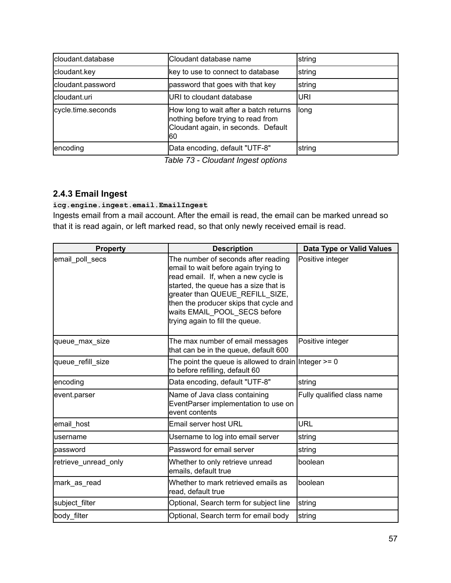| cloudant.database  | Cloudant database name                                                                                                     | string |
|--------------------|----------------------------------------------------------------------------------------------------------------------------|--------|
| cloudant.key       | key to use to connect to database                                                                                          | string |
| cloudant.password  | password that goes with that key                                                                                           | string |
| Icloudant.uri      | URI to cloudant database                                                                                                   | luri   |
| cycle.time.seconds | How long to wait after a batch returns<br>nothing before trying to read from<br>Cloudant again, in seconds. Default<br>160 | llong  |
| encoding           | Data encoding, default "UTF-8"                                                                                             | string |

*Table 73 - Cloudant Ingest options*

### <span id="page-56-0"></span>**2.4.3 Email Ingest**

**icg.engine.ingest.email.EmailIngest**

Ingests email from a mail account. After the email is read, the email can be marked unread so that it is read again, or left marked read, so that only newly received email is read.

| <b>Property</b>      | <b>Description</b>                                                                                                                                                                                                                                                                                          | <b>Data Type or Valid Values</b> |
|----------------------|-------------------------------------------------------------------------------------------------------------------------------------------------------------------------------------------------------------------------------------------------------------------------------------------------------------|----------------------------------|
| email poll secs      | The number of seconds after reading<br>email to wait before again trying to<br>read email. If, when a new cycle is<br>started, the queue has a size that is<br>greater than QUEUE_REFILL_SIZE,<br>then the producer skips that cycle and<br>waits EMAIL_POOL_SECS before<br>trying again to fill the queue. | Positive integer                 |
| queue max size       | The max number of email messages<br>that can be in the queue, default 600                                                                                                                                                                                                                                   | Positive integer                 |
| queue_refill_size    | The point the queue is allowed to drain Integer $>= 0$<br>to before refilling, default 60                                                                                                                                                                                                                   |                                  |
| encoding             | Data encoding, default "UTF-8"                                                                                                                                                                                                                                                                              | string                           |
| event.parser         | Name of Java class containing<br>EventParser implementation to use on<br>event contents                                                                                                                                                                                                                     | Fully qualified class name       |
| email host           | Email server host URL                                                                                                                                                                                                                                                                                       | <b>URL</b>                       |
| lusername            | Username to log into email server                                                                                                                                                                                                                                                                           | string                           |
| lpassword            | Password for email server                                                                                                                                                                                                                                                                                   | string                           |
| retrieve unread only | Whether to only retrieve unread<br>emails, default true                                                                                                                                                                                                                                                     | boolean                          |
| mark as read         | Whether to mark retrieved emails as<br>read, default true                                                                                                                                                                                                                                                   | boolean                          |
| subject filter       | Optional, Search term for subject line                                                                                                                                                                                                                                                                      | string                           |
| body_filter          | Optional, Search term for email body                                                                                                                                                                                                                                                                        | string                           |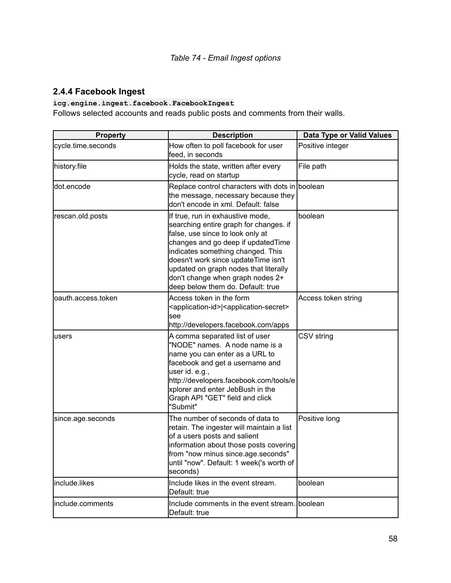# <span id="page-57-0"></span>**2.4.4 Facebook Ingest**

### **icg.engine.ingest.facebook.FacebookIngest**

Follows selected accounts and reads public posts and comments from their walls.

| <b>Property</b>    | <b>Description</b>                                                                                                                                                                                                                                                                                                                                 | Data Type or Valid Values |
|--------------------|----------------------------------------------------------------------------------------------------------------------------------------------------------------------------------------------------------------------------------------------------------------------------------------------------------------------------------------------------|---------------------------|
| cycle.time.seconds | How often to poll facebook for user<br>feed, in seconds                                                                                                                                                                                                                                                                                            | Positive integer          |
| history.file       | Holds the state, written after every<br>cycle, read on startup                                                                                                                                                                                                                                                                                     | File path                 |
| dot.encode         | Replace control characters with dots in boolean<br>the message, necessary because they<br>don't encode in xml. Default: false                                                                                                                                                                                                                      |                           |
| rescan.old.posts   | If true, run in exhaustive mode,<br>searching entire graph for changes. if<br>false, use since to look only at<br>changes and go deep if updatedTime<br>indicates something changed. This<br>doesn't work since updateTime isn't<br>updated on graph nodes that literally<br>don't change when graph nodes 2+<br>deep below them do. Default: true | boolean                   |
| oauth.access.token | Access token in the form<br><application-id> <application-secret><br/>see<br/>http://developers.facebook.com/apps</application-secret></application-id>                                                                                                                                                                                            | Access token string       |
| users              | A comma separated list of user<br>"NODE" names. A node name is a<br>name you can enter as a URL to<br>facebook and get a username and<br>user id. e.g.,<br>http://developers.facebook.com/tools/e<br>xplorer and enter JebBush in the<br>Graph API "GET" field and click<br>"Submit"                                                               | CSV string                |
| since.age.seconds  | The number of seconds of data to<br>retain. The ingester will maintain a list<br>of a users posts and salient<br>information about those posts covering<br>from "now minus since.age.seconds"<br>until "now". Default: 1 week('s worth of<br>seconds)                                                                                              | Positive long             |
| include.likes      | Include likes in the event stream.<br>Default: true                                                                                                                                                                                                                                                                                                | boolean                   |
| include.comments   | Include comments in the event stream. boolean<br>Default: true                                                                                                                                                                                                                                                                                     |                           |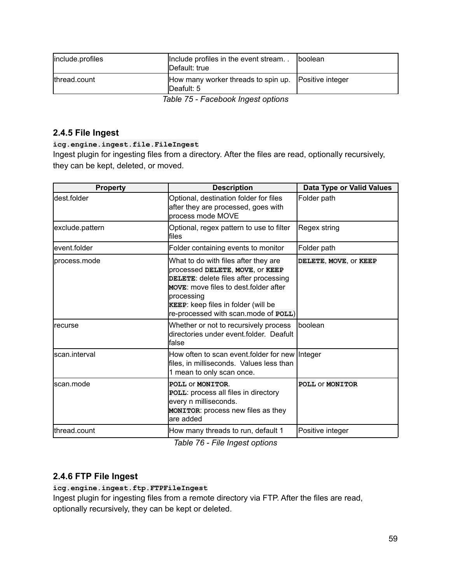| include.profiles | Include profiles in the event stream<br>Default: true                | <b>boolean</b> |
|------------------|----------------------------------------------------------------------|----------------|
| thread.count     | How many worker threads to spin up.   Positive integer<br>Deafult: 5 |                |
|                  | Table 75 - Facebook Ingest options                                   |                |

#### <span id="page-58-0"></span>**2.4.5 File Ingest**

**icg.engine.ingest.file.FileIngest**

Ingest plugin for ingesting files from a directory. After the files are read, optionally recursively, they can be kept, deleted, or moved.

| <b>Property</b> | <b>Description</b>                                                                                                                                                                                                                                            | Data Type or Valid Values |
|-----------------|---------------------------------------------------------------------------------------------------------------------------------------------------------------------------------------------------------------------------------------------------------------|---------------------------|
| ldest.folder    | Optional, destination folder for files<br>after they are processed, goes with<br>process mode MOVE                                                                                                                                                            | Folder path               |
| exclude.pattern | Optional, regex pattern to use to filter<br>lfiles                                                                                                                                                                                                            | Regex string              |
| event.folder    | Folder containing events to monitor                                                                                                                                                                                                                           | Folder path               |
| Iprocess.mode   | What to do with files after they are<br>processed DELETE, MOVE, OF KEEP<br>DELETE: delete files after processing<br><b>MOVE:</b> move files to dest folder after<br>processing<br>KEEP: keep files in folder (will be<br>re-processed with scan.mode of POLL) | DELETE, MOVE, OF KEEP     |
| Irecurse        | Whether or not to recursively process<br>directories under event.folder. Deafult<br>lfalse                                                                                                                                                                    | Iboolean                  |
| lscan.interval  | How often to scan event folder for new Integer<br>files, in milliseconds. Values less than<br>1 mean to only scan once.                                                                                                                                       |                           |
| lscan.mode      | POLL OF MONITOR.<br>POLL: process all files in directory<br>every n milliseconds.<br><b>MONITOR:</b> process new files as they<br>lare added                                                                                                                  | POLL OF MONITOR           |
| lthread.count   | How many threads to run, default 1                                                                                                                                                                                                                            | Positive integer          |

*Table 76 - File Ingest options*

### <span id="page-58-1"></span>**2.4.6 FTP File Ingest**

**icg.engine.ingest.ftp.FTPFileIngest**

Ingest plugin for ingesting files from a remote directory via FTP. After the files are read, optionally recursively, they can be kept or deleted.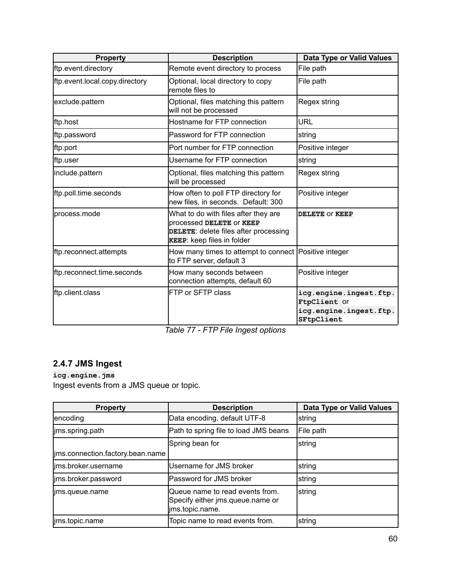| <b>Property</b>                | <b>Description</b>                                                                                                                              | <b>Data Type or Valid Values</b>                                               |
|--------------------------------|-------------------------------------------------------------------------------------------------------------------------------------------------|--------------------------------------------------------------------------------|
| ftp.event.directory            | Remote event directory to process                                                                                                               | File path                                                                      |
| ftp.event.local.copy.directory | Optional, local directory to copy<br>remote files to                                                                                            | File path                                                                      |
| exclude.pattern                | Optional, files matching this pattern<br>will not be processed                                                                                  | Regex string                                                                   |
| ftp.host                       | Hostname for FTP connection                                                                                                                     | <b>URL</b>                                                                     |
| ftp.password                   | Password for FTP connection                                                                                                                     | string                                                                         |
| ftp.port                       | Port number for FTP connection                                                                                                                  | Positive integer                                                               |
| ftp.user                       | Username for FTP connection                                                                                                                     | string                                                                         |
| include.pattern                | Optional, files matching this pattern<br>will be processed                                                                                      | Regex string                                                                   |
| ftp.poll.time.seconds          | How often to poll FTP directory for<br>new files, in seconds. Default: 300                                                                      | Positive integer                                                               |
| lprocess.mode                  | What to do with files after they are<br>Iprocessed DELETE OF KEEP<br>DELETE: delete files after processing<br><b>KEEP:</b> keep files in folder | DELETE OF KEEP                                                                 |
| ftp.reconnect.attempts         | How many times to attempt to connect   Positive integer<br>to FTP server, default 3                                                             |                                                                                |
| ftp.reconnect.time.seconds     | How many seconds between<br>connection attempts, default 60                                                                                     | Positive integer                                                               |
| ftp.client.class               | <b>FTP or SFTP class</b>                                                                                                                        | icg.engine.ingest.ftp.<br>FtpClient Of<br>icg.engine.ingest.ftp.<br>SFtpClient |

*Table 77 - FTP File Ingest options*

# <span id="page-59-0"></span>**2.4.7 JMS Ingest**

**icg.engine.jms** Ingest events from a JMS queue or topic.

| <b>Property</b>                  | <b>Description</b>                                                                     | Data Type or Valid Values |
|----------------------------------|----------------------------------------------------------------------------------------|---------------------------|
| encoding                         | Data encoding, default UTF-8                                                           | string                    |
| jms.spring.path                  | Path to spring file to load JMS beans                                                  | File path                 |
|                                  | Spring bean for                                                                        | string                    |
| jms.connection.factory.bean.name |                                                                                        |                           |
| lims.broker.username             | Username for JMS broker                                                                | string                    |
| ims.broker.password              | Password for JMS broker                                                                | string                    |
| lims.queue.name                  | Queue name to read events from.<br>Specify either jms.queue.name or<br>jms.topic.name. | string                    |
| jms.topic.name                   | Topic name to read events from.                                                        | string                    |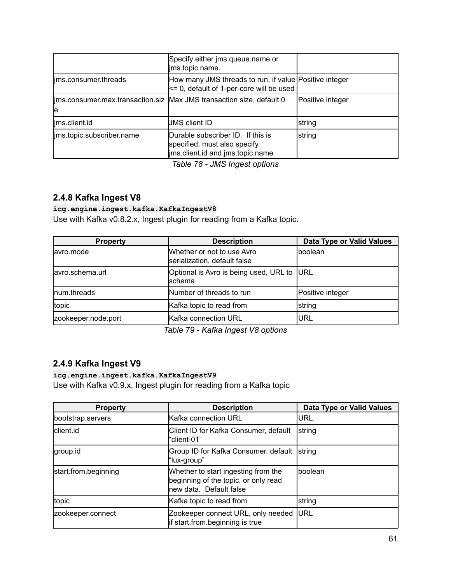|                           | Specify either jms.queue.name or<br>ims.topic.name.                                                   |                  |
|---------------------------|-------------------------------------------------------------------------------------------------------|------------------|
| ims.consumer.threads      | How many JMS threads to run, if value Positive integer<br><= 0, default of 1-per-core will be used    |                  |
| le                        | lims.consumer.max.transaction.siz   Max JMS transaction size, default 0                               | Positive integer |
| lims.client.id            | <b>JMS client ID</b>                                                                                  | string           |
| ims.topic.subscriber.name | Durable subscriber ID. If this is<br>specified, must also specify<br>ims.client.id and jms.topic.name | string           |

*Table 78 - JMS Ingest options*

### <span id="page-60-0"></span>**2.4.8 Kafka Ingest V8**

#### **icg.engine.ingest.kafka.KafkaIngestV8**

Use with Kafka v0.8.2.x, Ingest plugin for reading from a Kafka topic.

| <b>Property</b>     | <b>Description</b>                                         | Data Type or Valid Values |
|---------------------|------------------------------------------------------------|---------------------------|
| lavro.mode          | Whether or not to use Avro<br>serialization, default false | Iboolean                  |
| lavro.schema.url    | Optional is Avro is being used, URL to<br>Ischema          | <b>IURL</b>               |
| Inum.threads        | Number of threads to run                                   | Positive integer          |
| topic               | Kafka topic to read from                                   | <b>s</b> tring            |
| zookeeper.node.port | Kafka connection URL                                       | lurl                      |

*Table 79 - Kafka Ingest V8 options*

### <span id="page-60-1"></span>**2.4.9 Kafka Ingest V9**

**icg.engine.ingest.kafka.KafkaIngestV9** Use with Kafka v0.9.x, Ingest plugin for reading from a Kafka topic

| <b>Property</b>      | <b>Description</b>                                                                                      | <b>Data Type or Valid Values</b> |
|----------------------|---------------------------------------------------------------------------------------------------------|----------------------------------|
| bootstrap.servers    | Kafka connection URL                                                                                    | URL                              |
| client.id            | Client ID for Kafka Consumer, default<br>l"client-01"                                                   | string                           |
| group.id             | Group ID for Kafka Consumer, default<br>"lux-group"                                                     | <b>String</b>                    |
| start.from.beginning | Whether to start ingesting from the<br>beginning of the topic, or only read<br>Inew data. Default false | Iboolean                         |
| topic                | Kafka topic to read from                                                                                | string                           |
| zookeeper.connect    | Zookeeper connect URL, only needed<br>lif start.from.beginning is true                                  | <b>IURL</b>                      |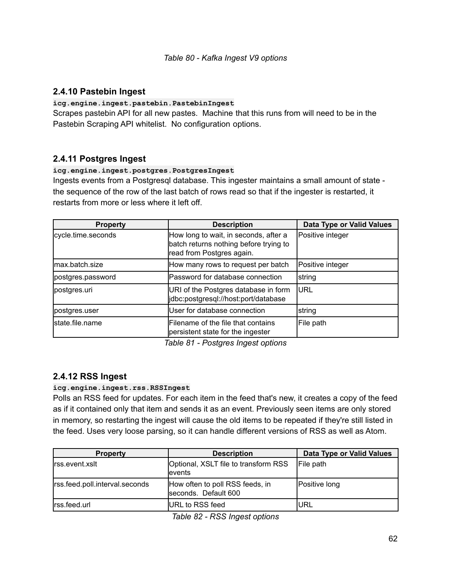#### <span id="page-61-0"></span>**2.4.10 Pastebin Ingest**

#### **icg.engine.ingest.pastebin.PastebinIngest**

Scrapes pastebin API for all new pastes. Machine that this runs from will need to be in the Pastebin Scraping API whitelist. No configuration options.

#### <span id="page-61-1"></span>**2.4.11 Postgres Ingest**

#### **icg.engine.ingest.postgres.PostgresIngest**

Ingests events from a Postgresql database. This ingester maintains a small amount of state the sequence of the row of the last batch of rows read so that if the ingester is restarted, it restarts from more or less where it left off.

| <b>Property</b>    | <b>Description</b>                                                                                           | Data Type or Valid Values |
|--------------------|--------------------------------------------------------------------------------------------------------------|---------------------------|
| cycle.time.seconds | How long to wait, in seconds, after a<br>batch returns nothing before trying to<br>read from Postgres again. | Positive integer          |
| max.batch.size     | How many rows to request per batch                                                                           | Positive integer          |
| postgres.password  | Password for database connection                                                                             | string                    |
| postgres.uri       | URI of the Postgres database in form<br>jdbc:postgresql://host:port/database                                 | <b>IURL</b>               |
| postgres.user      | User for database connection                                                                                 | string                    |
| lstate.file.name   | Filename of the file that contains<br>persistent state for the ingester                                      | File path                 |

*Table 81 - Postgres Ingest options*

#### <span id="page-61-2"></span>**2.4.12 RSS Ingest**

#### **icg.engine.ingest.rss.RSSIngest**

Polls an RSS feed for updates. For each item in the feed that's new, it creates a copy of the feed as if it contained only that item and sends it as an event. Previously seen items are only stored in memory, so restarting the ingest will cause the old items to be repeated if they're still listed in the feed. Uses very loose parsing, so it can handle different versions of RSS as well as Atom.

| <b>Property</b>                | <b>Description</b>                                      | Data Type or Valid Values |
|--------------------------------|---------------------------------------------------------|---------------------------|
| Irss.event.xslt                | Optional, XSLT file to transform RSS<br>levents         | File path                 |
| rss.feed.poll.interval.seconds | How often to poll RSS feeds, in<br>seconds. Default 600 | Positive long             |
| Irss.feed.url                  | URL to RSS feed                                         | IURL                      |

*Table 82 - RSS Ingest options*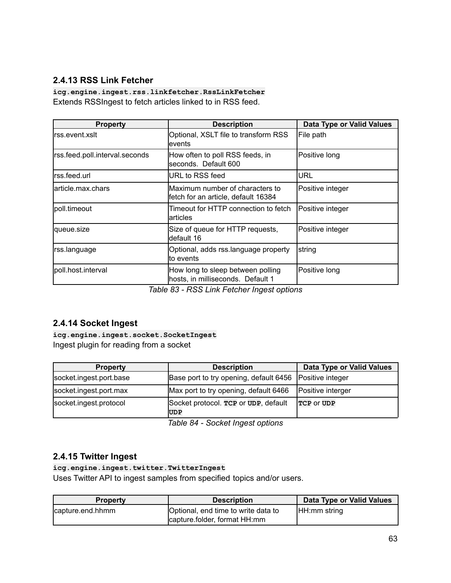# <span id="page-62-0"></span>**2.4.13 RSS Link Fetcher**

**icg.engine.ingest.rss.linkfetcher.RssLinkFetcher** Extends RSSIngest to fetch articles linked to in RSS feed.

| <b>Property</b>                | <b>Description</b>                                                      | Data Type or Valid Values |
|--------------------------------|-------------------------------------------------------------------------|---------------------------|
| lrss.event.xslt                | Optional, XSLT file to transform RSS<br>levents                         | File path                 |
| rss.feed.poll.interval.seconds | How often to poll RSS feeds, in<br>lseconds. Default 600                | Positive long             |
| lrss.feed.url                  | <b>IURL to RSS feed</b>                                                 | URL                       |
| larticle.max.chars             | Maximum number of characters to<br>lfetch for an article, default 16384 | Positive integer          |
| poll.timeout                   | Timeout for HTTP connection to fetch<br>larticles                       | Positive integer          |
| queue.size                     | Size of queue for HTTP requests,<br>ldefault 16                         | Positive integer          |
| rss.language                   | Optional, adds rss.language property<br>lto events                      | <b>s</b> tring            |
| poll.host.interval             | How long to sleep between polling<br>hosts, in milliseconds. Default 1  | Positive long             |

*Table 83 - RSS Link Fetcher Ingest options*

### <span id="page-62-1"></span>**2.4.14 Socket Ingest**

**icg.engine.ingest.socket.SocketIngest** Ingest plugin for reading from a socket

| <b>Property</b>         | <b>Description</b>                                      | Data Type or Valid Values |
|-------------------------|---------------------------------------------------------|---------------------------|
| socket.ingest.port.base | Base port to try opening, default 6456 Positive integer |                           |
| socket.ingest.port.max  | Max port to try opening, default 6466                   | Positive interger         |
| socket.ingest.protocol  | Socket protocol. TCP or UDP, default<br>UDP             | TCP OF UDP                |

*Table 84 - Socket Ingest options*

#### <span id="page-62-2"></span>**2.4.15 Twitter Ingest**

#### **icg.engine.ingest.twitter.TwitterIngest**

Uses Twitter API to ingest samples from specified topics and/or users.

| <b>Property</b>  | <b>Description</b>                                                  | Data Type or Valid Values |
|------------------|---------------------------------------------------------------------|---------------------------|
| capture.end.hhmm | Optional, end time to write data to<br>capture folder, format HH:mm | HH:mm string              |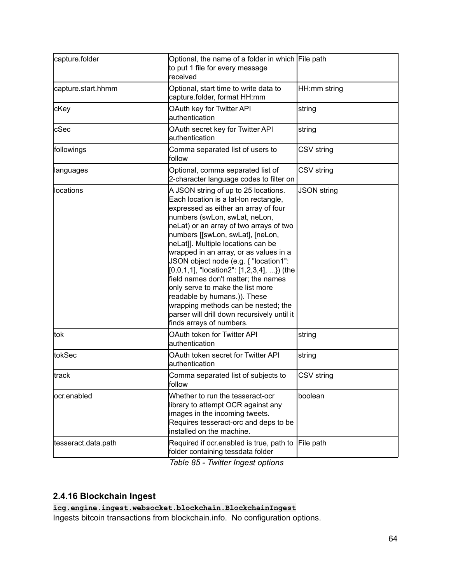| capture.folder      | Optional, the name of a folder in which File path<br>to put 1 file for every message<br>received                                                                                                                                                                                                                                                                                                                                                                                                                                                                                                                                                |                    |
|---------------------|-------------------------------------------------------------------------------------------------------------------------------------------------------------------------------------------------------------------------------------------------------------------------------------------------------------------------------------------------------------------------------------------------------------------------------------------------------------------------------------------------------------------------------------------------------------------------------------------------------------------------------------------------|--------------------|
| capture.start.hhmm  | Optional, start time to write data to<br>capture.folder, format HH:mm                                                                                                                                                                                                                                                                                                                                                                                                                                                                                                                                                                           | HH:mm string       |
| cKey                | OAuth key for Twitter API<br>authentication                                                                                                                                                                                                                                                                                                                                                                                                                                                                                                                                                                                                     | string             |
| cSec                | OAuth secret key for Twitter API<br>authentication                                                                                                                                                                                                                                                                                                                                                                                                                                                                                                                                                                                              | string             |
| followings          | Comma separated list of users to<br>follow                                                                                                                                                                                                                                                                                                                                                                                                                                                                                                                                                                                                      | CSV string         |
| languages           | Optional, comma separated list of<br>2-character language codes to filter on                                                                                                                                                                                                                                                                                                                                                                                                                                                                                                                                                                    | CSV string         |
| locations           | A JSON string of up to 25 locations.<br>Each location is a lat-lon rectangle,<br>expressed as either an array of four<br>numbers (swLon, swLat, neLon,<br>neLat) or an array of two arrays of two<br>numbers [[swLon, swLat], [neLon,<br>neLat]]. Multiple locations can be<br>wrapped in an array, or as values in a<br>JSON object node (e.g. { "location1":<br>$[0,0,1,1]$ , "location2": $[1,2,3,4]$ , }) (the<br>field names don't matter; the names<br>only serve to make the list more<br>readable by humans.)). These<br>wrapping methods can be nested; the<br>parser will drill down recursively until it<br>finds arrays of numbers. | <b>JSON string</b> |
| tok                 | OAuth token for Twitter API<br>authentication                                                                                                                                                                                                                                                                                                                                                                                                                                                                                                                                                                                                   | string             |
| tokSec              | OAuth token secret for Twitter API<br>authentication                                                                                                                                                                                                                                                                                                                                                                                                                                                                                                                                                                                            | string             |
| track               | Comma separated list of subjects to<br>tollow                                                                                                                                                                                                                                                                                                                                                                                                                                                                                                                                                                                                   | CSV string         |
| ocr.enabled         | Whether to run the tesseract-ocr<br>library to attempt OCR against any<br>images in the incoming tweets.<br>Requires tesseract-orc and deps to be<br>installed on the machine.                                                                                                                                                                                                                                                                                                                                                                                                                                                                  | boolean            |
| tesseract.data.path | Required if ocr.enabled is true, path to<br>folder containing tessdata folder                                                                                                                                                                                                                                                                                                                                                                                                                                                                                                                                                                   | File path          |

*Table 85 - Twitter Ingest options*

# <span id="page-63-0"></span>**2.4.16 Blockchain Ingest**

**icg.engine.ingest.websocket.blockchain.BlockchainIngest** Ingests bitcoin transactions from blockchain.info. No configuration options.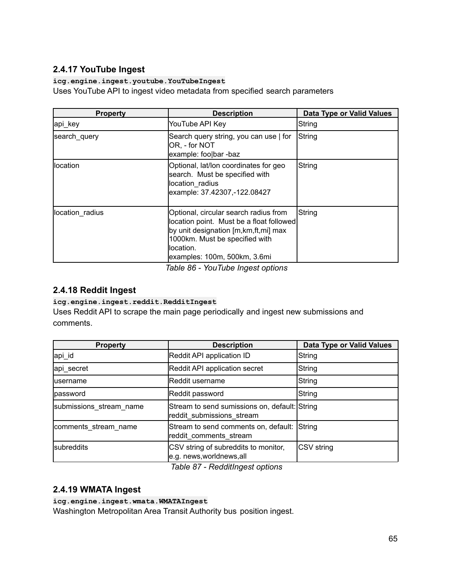# <span id="page-64-0"></span>**2.4.17 YouTube Ingest**

#### **icg.engine.ingest.youtube.YouTubeIngest**

Uses YouTube API to ingest video metadata from specified search parameters

| <b>Property</b> | <b>Description</b>                                                                                                                                                                                          | Data Type or Valid Values |
|-----------------|-------------------------------------------------------------------------------------------------------------------------------------------------------------------------------------------------------------|---------------------------|
| api_key         | YouTube API Key                                                                                                                                                                                             | String                    |
| search query    | Search query string, you can use   for<br>OR, - for NOT<br>example: foo bar -baz                                                                                                                            | String                    |
| llocation       | Optional, lat/lon coordinates for geo<br>search. Must be specified with<br>location radius<br>example: 37.42307,-122.08427                                                                                  | String                    |
| location radius | Optional, circular search radius from<br>location point. Must be a float followed<br>by unit designation [m, km, ft, mi] max<br>1000km. Must be specified with<br>location.<br>examples: 100m, 500km, 3.6mi | <b>S</b> tring            |

*Table 86 - YouTube Ingest options*

### <span id="page-64-1"></span>**2.4.18 Reddit Ingest**

#### **icg.engine.ingest.reddit.RedditIngest**

Uses Reddit API to scrape the main page periodically and ingest new submissions and comments.

| <b>Property</b>         | <b>Description</b>                                                         | Data Type or Valid Values |
|-------------------------|----------------------------------------------------------------------------|---------------------------|
| api_id                  | Reddit API application ID                                                  | String                    |
| api_secret              | Reddit API application secret                                              | String                    |
| <b>lusername</b>        | Reddit username                                                            | String                    |
| password                | Reddit password                                                            | String                    |
| submissions stream name | Stream to send sumissions on, default: String<br>reddit submissions stream |                           |
| comments stream name    | Stream to send comments on, default:<br>reddit comments stream             | String                    |
| subreddits              | CSV string of subreddits to monitor,<br>e.g. news,worldnews,all            | CSV string                |

*Table 87 - RedditIngest options*

### <span id="page-64-2"></span>**2.4.19 WMATA Ingest**

#### **icg.engine.ingest.wmata.WMATAIngest**

Washington Metropolitan Area Transit Authority bus position ingest.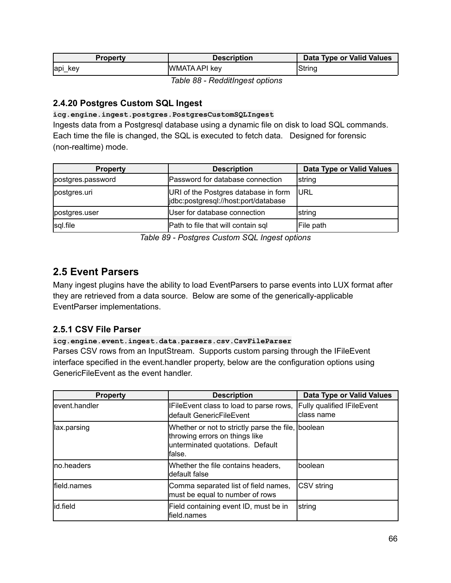| Propertv     | <b>Description</b> | Data Type or Valid Values |
|--------------|--------------------|---------------------------|
| ∣api_<br>kev | WMATA API key      | String                    |

*Table 88 - RedditIngest options*

### <span id="page-65-0"></span>**2.4.20 Postgres Custom SQL Ingest**

#### **icg.engine.ingest.postgres.PostgresCustomSQLIngest**

Ingests data from a Postgresql database using a dynamic file on disk to load SQL commands. Each time the file is changed, the SQL is executed to fetch data. Designed for forensic (non-realtime) mode.

| <b>Property</b>   | <b>Description</b>                                                           | Data Type or Valid Values |
|-------------------|------------------------------------------------------------------------------|---------------------------|
| postgres.password | Password for database connection                                             | <b>string</b>             |
| postgres.uri      | URI of the Postgres database in form<br>jdbc:postgresql://host:port/database | <b>JURL</b>               |
| postgres.user     | User for database connection                                                 | Istring                   |
| sql.file          | Path to file that will contain sql                                           | File path                 |

*Table 89 - Postgres Custom SQL Ingest options*

# <span id="page-65-1"></span>**2.5 Event Parsers**

Many ingest plugins have the ability to load EventParsers to parse events into LUX format after they are retrieved from a data source. Below are some of the generically-applicable EventParser implementations.

#### <span id="page-65-2"></span>**2.5.1 CSV File Parser**

#### **icg.engine.event.ingest.data.parsers.csv.CsvFileParser**

Parses CSV rows from an InputStream. Supports custom parsing through the IFileEvent interface specified in the event.handler property, below are the configuration options using GenericFileEvent as the event handler.

| <b>Property</b> | <b>Description</b>                                                                                                                  | Data Type or Valid Values                       |
|-----------------|-------------------------------------------------------------------------------------------------------------------------------------|-------------------------------------------------|
| levent.handler  | IFileEvent class to load to parse rows,<br>ldefault GenericFileEvent                                                                | <b>Fully qualified IFileEvent</b><br>class name |
| llax.parsing    | Whether or not to strictly parse the file, boolean<br>throwing errors on things like<br>unterminated quotations. Default<br>lfalse. |                                                 |
| Ino.headers     | Whether the file contains headers,<br>default false                                                                                 | boolean                                         |
| field.names     | Comma separated list of field names,<br>must be equal to number of rows                                                             | CSV string                                      |
| id.field        | Field containing event ID, must be in<br>field.names                                                                                | string                                          |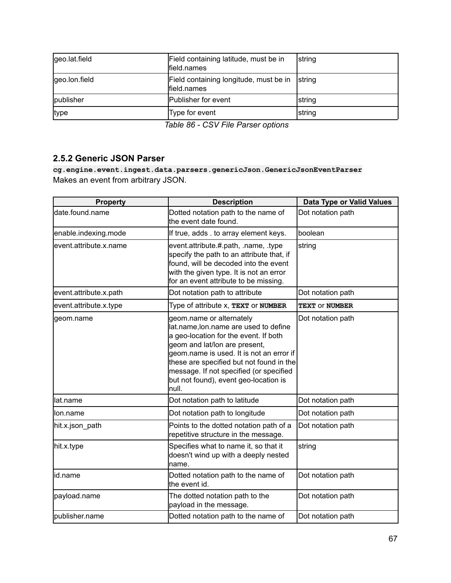| geo.lat.field | Field containing latitude, must be in<br>field.names  | <b>String</b> |
|---------------|-------------------------------------------------------|---------------|
| geo.lon.field | Field containing longitude, must be in<br>field.names | <b>String</b> |
| publisher     | Publisher for event                                   | Istring       |
| type          | Type for event                                        | <b>String</b> |

*Table 86 - CSV File Parser options*

### <span id="page-66-0"></span>**2.5.2 Generic JSON Parser**

**cg.engine.event.ingest.data.parsers.genericJson.GenericJsonEventParser** Makes an event from arbitrary JSON.

| <b>Property</b>        | <b>Description</b>                                                                                                                                                                                                                                                                                                               | <b>Data Type or Valid Values</b> |
|------------------------|----------------------------------------------------------------------------------------------------------------------------------------------------------------------------------------------------------------------------------------------------------------------------------------------------------------------------------|----------------------------------|
| date.found.name        | Dotted notation path to the name of<br>the event date found.                                                                                                                                                                                                                                                                     | Dot notation path                |
| enable.indexing.mode   | If true, adds . to array element keys.                                                                                                                                                                                                                                                                                           | boolean                          |
| event.attribute.x.name | event.attribute.#.path, .name, .type<br>specify the path to an attribute that, if<br>found, will be decoded into the event<br>with the given type. It is not an error<br>for an event attribute to be missing.                                                                                                                   | string                           |
| event.attribute.x.path | Dot notation path to attribute                                                                                                                                                                                                                                                                                                   | Dot notation path                |
| event.attribute.x.type | Type of attribute x, TEXT or NUMBER                                                                                                                                                                                                                                                                                              | TEXT OF NUMBER                   |
| geom.name              | geom.name or alternately<br>lat.name, lon.name are used to define<br>a geo-location for the event. If both<br>geom and lat/lon are present,<br>geom.name is used. It is not an error if<br>these are specified but not found in the<br>message. If not specified (or specified<br>but not found), event geo-location is<br>null. | Dot notation path                |
| llat.name              | Dot notation path to latitude                                                                                                                                                                                                                                                                                                    | Dot notation path                |
| llon.name              | Dot notation path to longitude                                                                                                                                                                                                                                                                                                   | Dot notation path                |
| hit.x.json_path        | Points to the dotted notation path of a<br>repetitive structure in the message.                                                                                                                                                                                                                                                  | Dot notation path                |
| hit.x.type             | Specifies what to name it, so that it<br>doesn't wind up with a deeply nested<br>name.                                                                                                                                                                                                                                           | string                           |
| lid.name               | Dotted notation path to the name of<br>the event id.                                                                                                                                                                                                                                                                             | Dot notation path                |
| payload.name           | The dotted notation path to the<br>payload in the message.                                                                                                                                                                                                                                                                       | Dot notation path                |
| publisher.name         | Dotted notation path to the name of                                                                                                                                                                                                                                                                                              | Dot notation path                |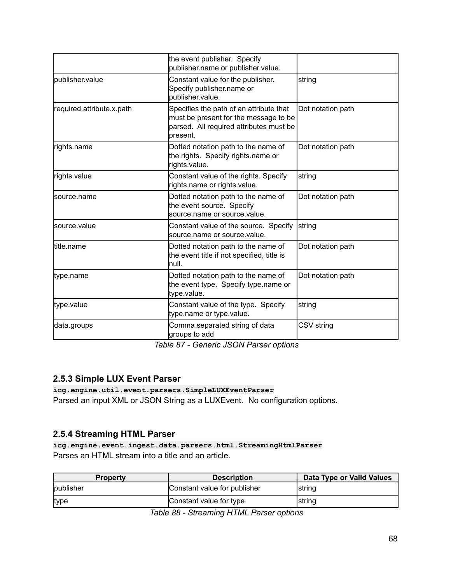|                           | the event publisher. Specify<br>publisher.name or publisher.value.                                                                       |                   |
|---------------------------|------------------------------------------------------------------------------------------------------------------------------------------|-------------------|
| publisher.value           | Constant value for the publisher.<br>Specify publisher.name or<br>bublisher.value.                                                       | string            |
| required.attribute.x.path | Specifies the path of an attribute that<br>must be present for the message to be<br>parsed. All required attributes must be<br>lpresent. | Dot notation path |
| rights.name               | Dotted notation path to the name of<br>the rights. Specify rights.name or<br>rights.value.                                               | Dot notation path |
| rights.value              | Constant value of the rights. Specify<br>rights.name or rights.value.                                                                    | string            |
| lsource.name              | Dotted notation path to the name of<br>the event source. Specify<br>source.name or source.value.                                         | Dot notation path |
| lsource.value             | Constant value of the source. Specify<br>source.name or source.value.                                                                    | string            |
| ltitle.name               | Dotted notation path to the name of<br>the event title if not specified, title is<br>lnull.                                              | Dot notation path |
| type.name                 | Dotted notation path to the name of<br>the event type. Specify type name or<br>type.value.                                               | Dot notation path |
| type.value                | Constant value of the type. Specify<br>type.name or type.value.                                                                          | string            |
| data.groups               | Comma separated string of data<br>groups to add                                                                                          | CSV string        |

*Table 87 - Generic JSON Parser options*

# <span id="page-67-0"></span>**2.5.3 Simple LUX Event Parser**

**icg.engine.util.event.parsers.SimpleLUXEventParser** Parsed an input XML or JSON String as a LUXEvent. No configuration options.

### <span id="page-67-1"></span>**2.5.4 Streaming HTML Parser**

**icg.engine.event.ingest.data.parsers.html.StreamingHtmlParser** Parses an HTML stream into a title and an article.

| <b>Property</b> | <b>Description</b>           | Data Type or Valid Values |
|-----------------|------------------------------|---------------------------|
| publisher       | Constant value for publisher | <b>String</b>             |
| type            | Constant value for type      | <b>String</b>             |

*Table 88 - Streaming HTML Parser options*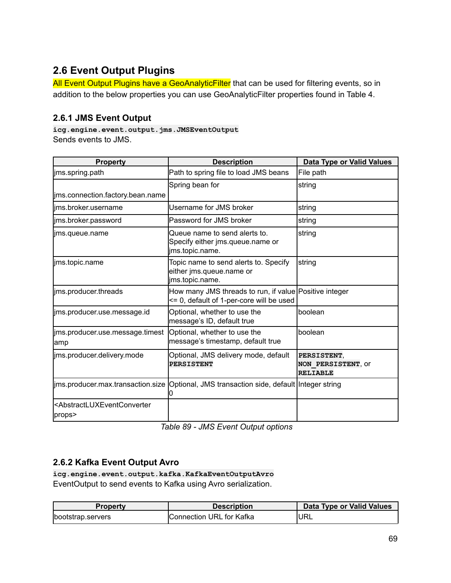# <span id="page-68-0"></span>**2.6 Event Output Plugins**

All Event Output Plugins have a GeoAnalyticFilter that can be used for filtering events, so in addition to the below properties you can use GeoAnalyticFilter properties found in Table 4.

### <span id="page-68-1"></span>**2.6.1 JMS Event Output**

**icg.engine.event.output.jms.JMSEventOutput** Sends events to JMS.

| <b>Property</b>                                                        | <b>Description</b>                                                                                 | Data Type or Valid Values                            |
|------------------------------------------------------------------------|----------------------------------------------------------------------------------------------------|------------------------------------------------------|
| jms.spring.path                                                        | Path to spring file to load JMS beans                                                              | File path                                            |
|                                                                        | Spring bean for                                                                                    | string                                               |
| ims.connection.factory.bean.name                                       |                                                                                                    |                                                      |
| lims.broker.username                                                   | Username for JMS broker                                                                            | string                                               |
| lims.broker.password                                                   | lPassword for JMS broker                                                                           | Istring                                              |
| lims.queue.name                                                        | Queue name to send alerts to.<br>Specify either jms.queue.name or<br>jms.topic.name.               | string                                               |
| ims.topic.name                                                         | Topic name to send alerts to. Specify<br>either jms.queue.name or<br>ims.topic.name.               | string                                               |
| ims.producer.threads                                                   | How many JMS threads to run, if value Positive integer<br><= 0, default of 1-per-core will be used |                                                      |
| ims.producer.use.message.id                                            | Optional, whether to use the<br>message's ID, default true                                         | lboolean                                             |
| lims.producer.use.message.timest   Optional, whether to use the<br>amp | message's timestamp, default true                                                                  | lboolean                                             |
| ims.producer.delivery.mode                                             | Optional, JMS delivery mode, default<br><b>PERSISTENT</b>                                          | PERSISTENT,<br>NON PERSISTENT, OF<br><b>RELIABLE</b> |
|                                                                        | jms.producer.max.transaction.size  Optional, JMS transaction side, default  Integer string<br>O    |                                                      |
| <abstractluxeventconverter<br>props&gt;</abstractluxeventconverter<br> |                                                                                                    |                                                      |

*Table 89 - JMS Event Output options*

### <span id="page-68-2"></span>**2.6.2 Kafka Event Output Avro**

**icg.engine.event.output.kafka.KafkaEventOutputAvro** EventOutput to send events to Kafka using Avro serialization.

| Propertv          | <b>Description</b>       | Data Type or Valid Values |
|-------------------|--------------------------|---------------------------|
| bootstrap.servers | Connection URL for Kafka | <b>IURL</b>               |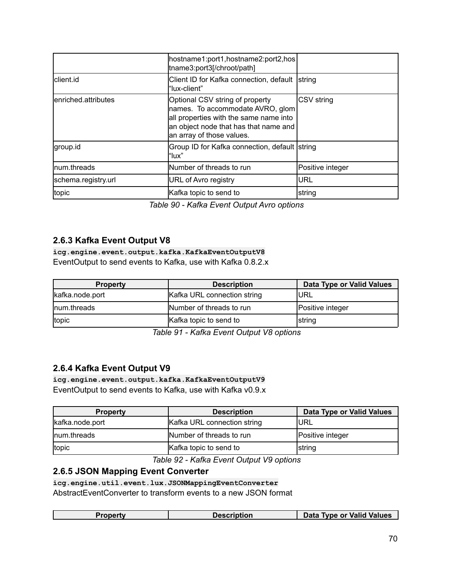|                      | hostname1:port1,hostname2:port2,hos<br>tname3:port3[/chroot/path]                                                                                                                   |                  |
|----------------------|-------------------------------------------------------------------------------------------------------------------------------------------------------------------------------------|------------------|
| Iclient.id           | Client ID for Kafka connection, default<br>l"lux-client"                                                                                                                            | <b>String</b>    |
| lenriched.attributes | Optional CSV string of property<br>names. To accommodate AVRO, glom<br>all properties with the same name into<br>an object node that has that name and<br>an array of those values. | CSV string       |
| group.id             | Group ID for Kafka connection, default string<br>l"lux"                                                                                                                             |                  |
| Inum.threads         | Number of threads to run                                                                                                                                                            | Positive integer |
| schema.registry.url  | <b>URL of Avro registry</b>                                                                                                                                                         | <b>IURL</b>      |
| topic                | Kafka topic to send to                                                                                                                                                              | string           |

*Table 90 - Kafka Event Output Avro options*

### <span id="page-69-0"></span>**2.6.3 Kafka Event Output V8**

**icg.engine.event.output.kafka.KafkaEventOutputV8** EventOutput to send events to Kafka, use with Kafka 0.8.2.x

| <b>Property</b> | <b>Description</b>          | Data Type or Valid Values |
|-----------------|-----------------------------|---------------------------|
| kafka.node.port | Kafka URL connection string | <b>IURL</b>               |
| Inum.threads    | Number of threads to run    | Positive integer          |
| topic           | Kafka topic to send to      | <b>String</b>             |

*Table 91 - Kafka Event Output V8 options*

#### <span id="page-69-1"></span>**2.6.4 Kafka Event Output V9**

**icg.engine.event.output.kafka.KafkaEventOutputV9** EventOutput to send events to Kafka, use with Kafka v0.9.x

| <b>Property</b> | <b>Description</b>          | Data Type or Valid Values |
|-----------------|-----------------------------|---------------------------|
| kafka.node.port | Kafka URL connection string | <b>IURL</b>               |
| Inum.threads    | Number of threads to run    | Positive integer          |
| topic           | Kafka topic to send to      | <b>String</b>             |

*Table 92 - Kafka Event Output V9 options*

### **2.6.5 JSON Mapping Event Converter**

**icg.engine.util.event.lux.JSONMappingEventConverter** AbstractEventConverter to transform events to a new JSON format

| Property | Description | Data Type or Valid Values |
|----------|-------------|---------------------------|
|          |             |                           |